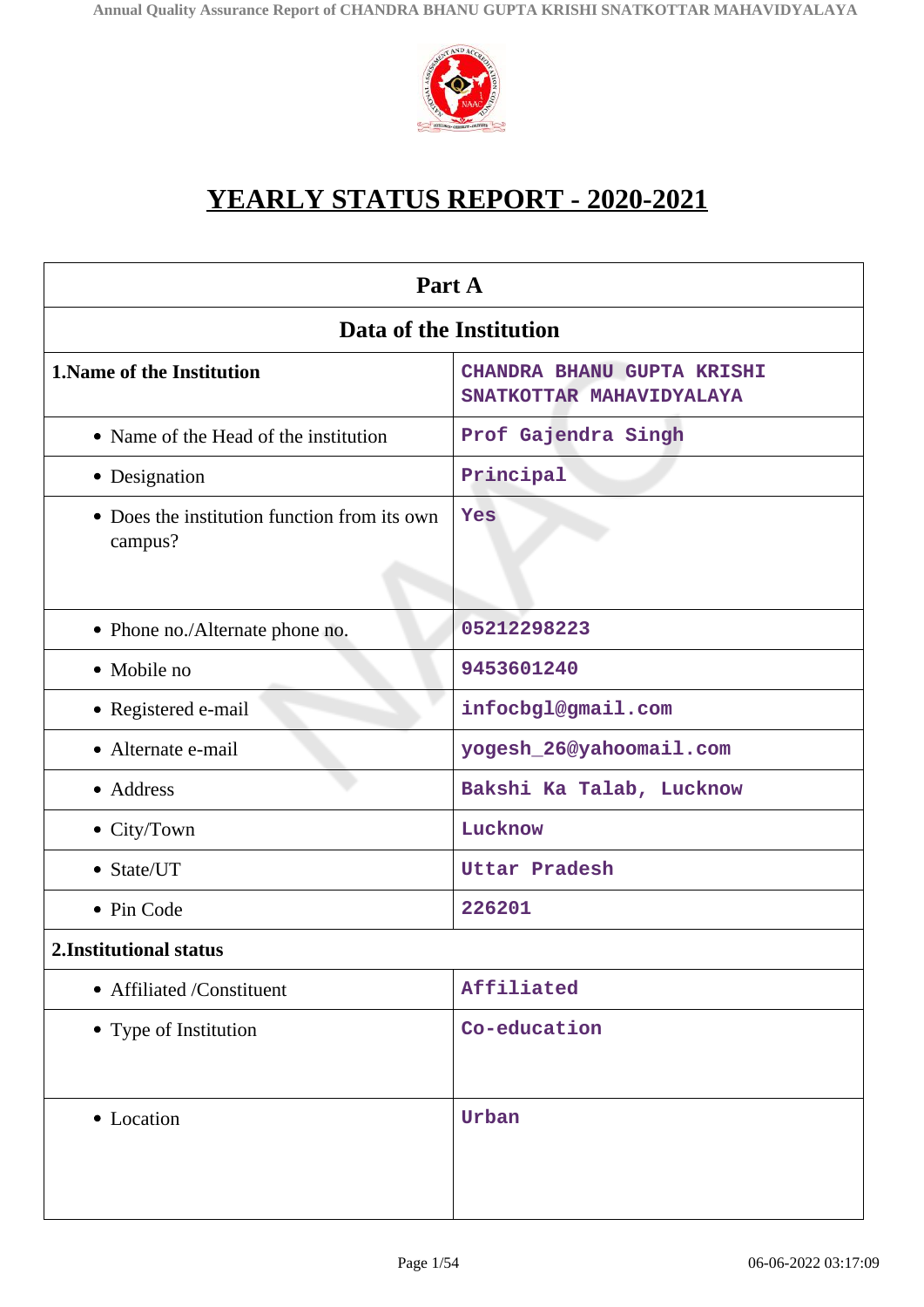

# **YEARLY STATUS REPORT - 2020-2021**

| Part A                                                  |                                                        |  |
|---------------------------------------------------------|--------------------------------------------------------|--|
| Data of the Institution                                 |                                                        |  |
| <b>1. Name of the Institution</b>                       | CHANDRA BHANU GUPTA KRISHI<br>SNATKOTTAR MAHAVIDYALAYA |  |
| • Name of the Head of the institution                   | Prof Gajendra Singh                                    |  |
| • Designation                                           | Principal                                              |  |
| • Does the institution function from its own<br>campus? | Yes                                                    |  |
| • Phone no./Alternate phone no.                         | 05212298223                                            |  |
| • Mobile no                                             | 9453601240                                             |  |
| • Registered e-mail                                     | infocbgl@gmail.com                                     |  |
| • Alternate e-mail                                      | yogesh_26@yahoomail.com                                |  |
| • Address                                               | Bakshi Ka Talab, Lucknow                               |  |
| • City/Town                                             | Lucknow                                                |  |
| • State/UT                                              | <b>Uttar Pradesh</b>                                   |  |
| • Pin Code                                              | 226201                                                 |  |
| 2. Institutional status                                 |                                                        |  |
| • Affiliated /Constituent                               | Affiliated                                             |  |
| • Type of Institution                                   | Co-education                                           |  |
| • Location                                              | Urban                                                  |  |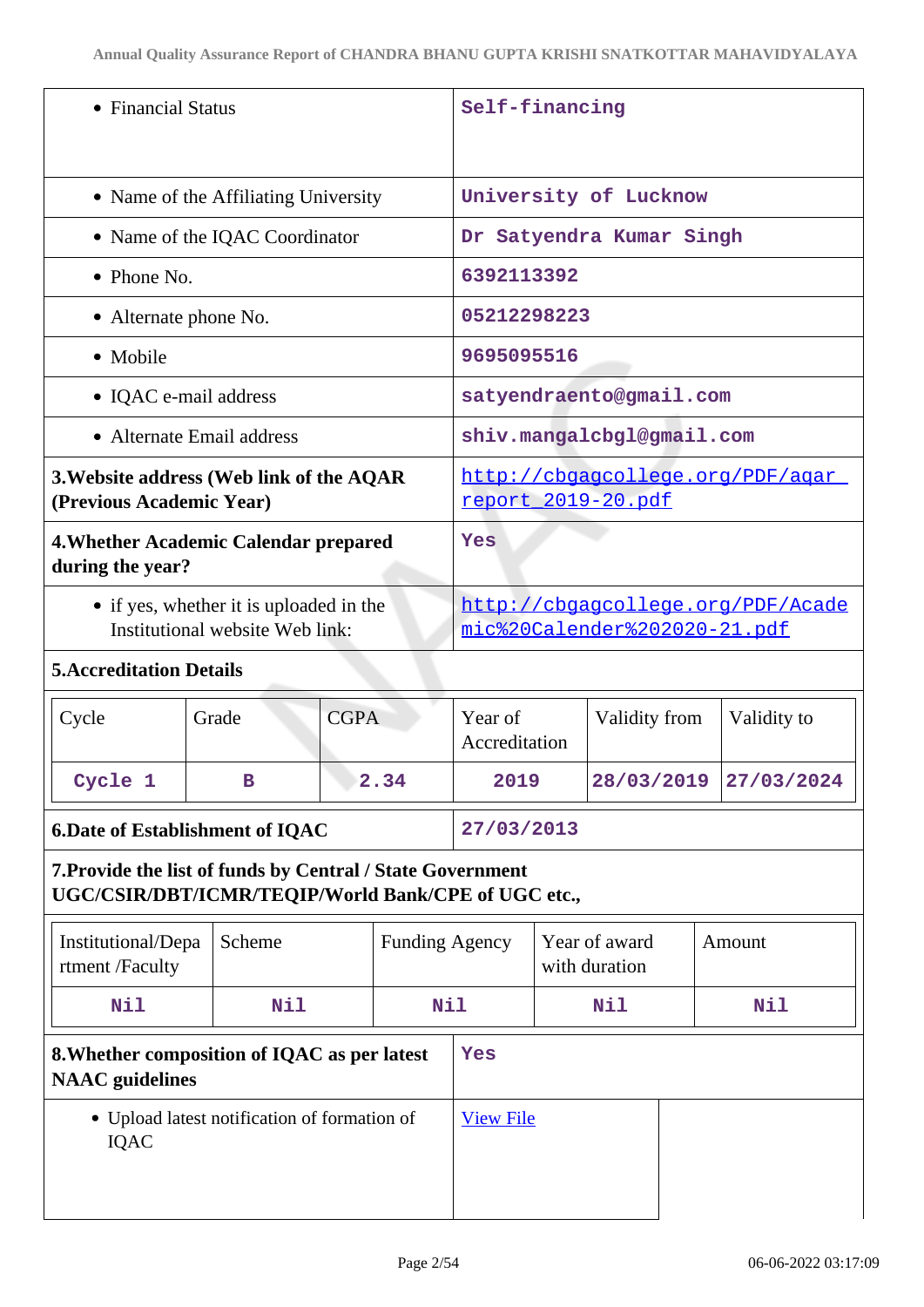| • Financial Status                                                                                                |                                                                            | Self-financing                                         |                                                                   |  |                                |  |             |
|-------------------------------------------------------------------------------------------------------------------|----------------------------------------------------------------------------|--------------------------------------------------------|-------------------------------------------------------------------|--|--------------------------------|--|-------------|
| • Name of the Affiliating University                                                                              |                                                                            | University of Lucknow                                  |                                                                   |  |                                |  |             |
|                                                                                                                   | • Name of the IQAC Coordinator                                             |                                                        |                                                                   |  | Dr Satyendra Kumar Singh       |  |             |
| $\bullet$ Phone No.                                                                                               |                                                                            |                                                        | 6392113392                                                        |  |                                |  |             |
| • Alternate phone No.                                                                                             |                                                                            |                                                        | 05212298223                                                       |  |                                |  |             |
| • Mobile                                                                                                          |                                                                            |                                                        | 9695095516                                                        |  |                                |  |             |
| • IQAC e-mail address                                                                                             |                                                                            |                                                        | satyendraento@gmail.com                                           |  |                                |  |             |
| • Alternate Email address                                                                                         |                                                                            |                                                        |                                                                   |  | shiv.mangalcbgl@gmail.com      |  |             |
| 3. Website address (Web link of the AQAR<br>(Previous Academic Year)                                              |                                                                            | http://cbgagcollege.org/PDF/agar<br>report 2019-20.pdf |                                                                   |  |                                |  |             |
| 4. Whether Academic Calendar prepared<br>during the year?                                                         |                                                                            | Yes                                                    |                                                                   |  |                                |  |             |
|                                                                                                                   | • if yes, whether it is uploaded in the<br>Institutional website Web link: |                                                        | http://cbgagcollege.org/PDF/Acade<br>mic%20Calender%202020-21.pdf |  |                                |  |             |
| <b>5. Accreditation Details</b>                                                                                   |                                                                            |                                                        |                                                                   |  |                                |  |             |
| Cycle                                                                                                             | <b>CGPA</b><br>Grade                                                       |                                                        | Year of<br>Accreditation                                          |  | Validity from                  |  | Validity to |
| Cycle 1                                                                                                           | 2.34<br>в                                                                  |                                                        | 2019                                                              |  | 28/03/2019                     |  | 27/03/2024  |
| 6. Date of Establishment of IQAC                                                                                  |                                                                            | 27/03/2013                                             |                                                                   |  |                                |  |             |
| 7. Provide the list of funds by Central / State Government<br>UGC/CSIR/DBT/ICMR/TEQIP/World Bank/CPE of UGC etc., |                                                                            |                                                        |                                                                   |  |                                |  |             |
| Institutional/Depa<br>rtment /Faculty                                                                             | Scheme                                                                     | <b>Funding Agency</b>                                  |                                                                   |  | Year of award<br>with duration |  | Amount      |
| Nil                                                                                                               | Nil<br>Nil                                                                 |                                                        | Nil                                                               |  | Nil                            |  |             |
| 8. Whether composition of IQAC as per latest<br><b>NAAC</b> guidelines                                            |                                                                            | Yes                                                    |                                                                   |  |                                |  |             |
| • Upload latest notification of formation of<br><b>IQAC</b>                                                       |                                                                            | <b>View File</b>                                       |                                                                   |  |                                |  |             |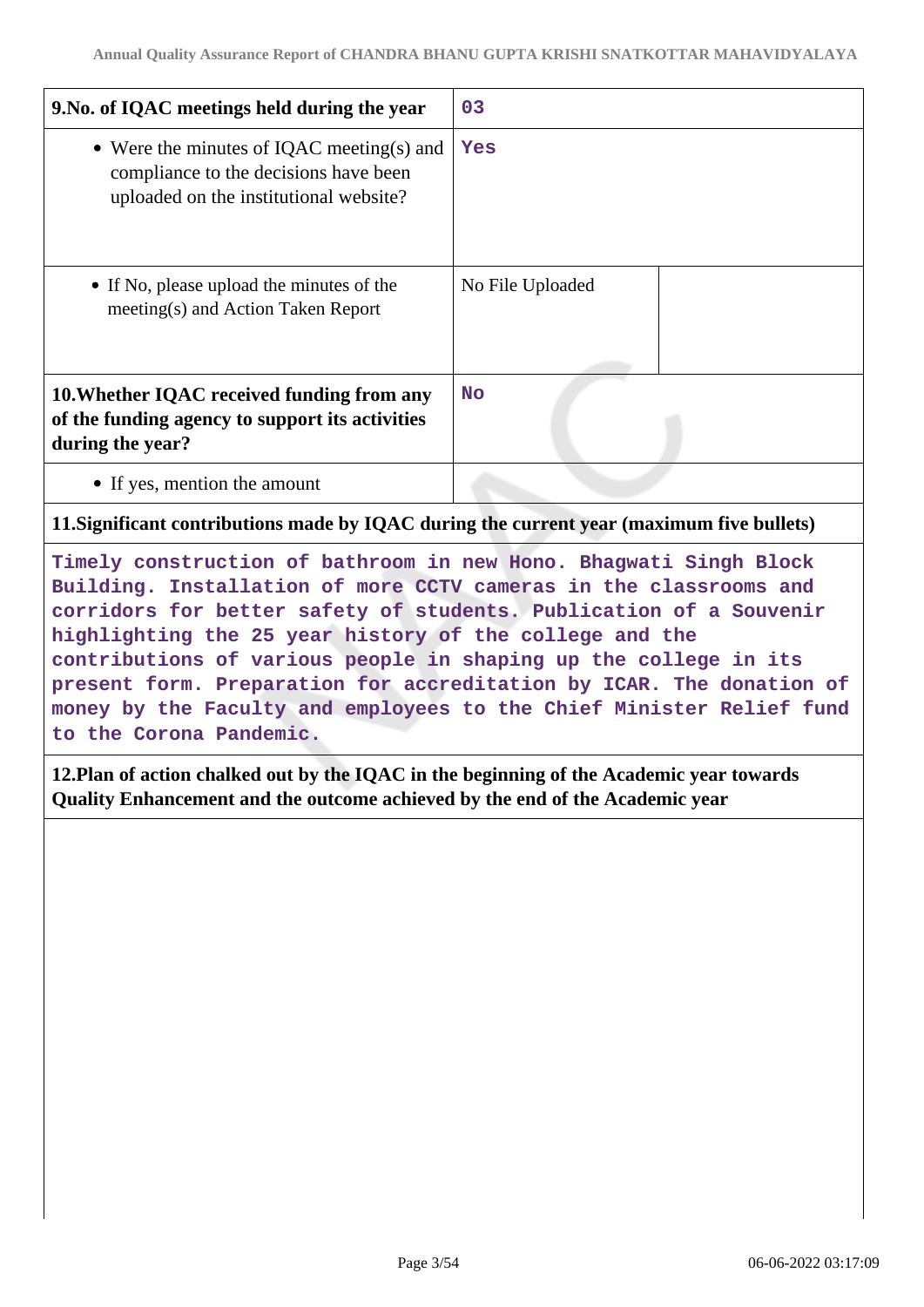| 9. No. of IQAC meetings held during the year                                                                                                                                                                                                                                                                                                                                                                                                                                                                           | 03               |  |
|------------------------------------------------------------------------------------------------------------------------------------------------------------------------------------------------------------------------------------------------------------------------------------------------------------------------------------------------------------------------------------------------------------------------------------------------------------------------------------------------------------------------|------------------|--|
| • Were the minutes of IQAC meeting(s) and<br>compliance to the decisions have been<br>uploaded on the institutional website?                                                                                                                                                                                                                                                                                                                                                                                           | Yes              |  |
| • If No, please upload the minutes of the<br>meeting(s) and Action Taken Report                                                                                                                                                                                                                                                                                                                                                                                                                                        | No File Uploaded |  |
| 10. Whether IQAC received funding from any<br>of the funding agency to support its activities<br>during the year?                                                                                                                                                                                                                                                                                                                                                                                                      | <b>No</b>        |  |
| • If yes, mention the amount                                                                                                                                                                                                                                                                                                                                                                                                                                                                                           |                  |  |
| 11. Significant contributions made by IQAC during the current year (maximum five bullets)                                                                                                                                                                                                                                                                                                                                                                                                                              |                  |  |
| Timely construction of bathroom in new Hono. Bhagwati Singh Block<br>Building. Installation of more CCTV cameras in the classrooms and<br>corridors for better safety of students. Publication of a Souvenir<br>highlighting the 25 year history of the college and the<br>contributions of various people in shaping up the college in its<br>present form. Preparation for accreditation by ICAR. The donation of<br>money by the Faculty and employees to the Chief Minister Relief fund<br>to the Corona Pandemic. |                  |  |
| 12. Plan of action chalked out by the IQAC in the beginning of the Academic year towards<br>Quality Enhancement and the outcome achieved by the end of the Academic year                                                                                                                                                                                                                                                                                                                                               |                  |  |
|                                                                                                                                                                                                                                                                                                                                                                                                                                                                                                                        |                  |  |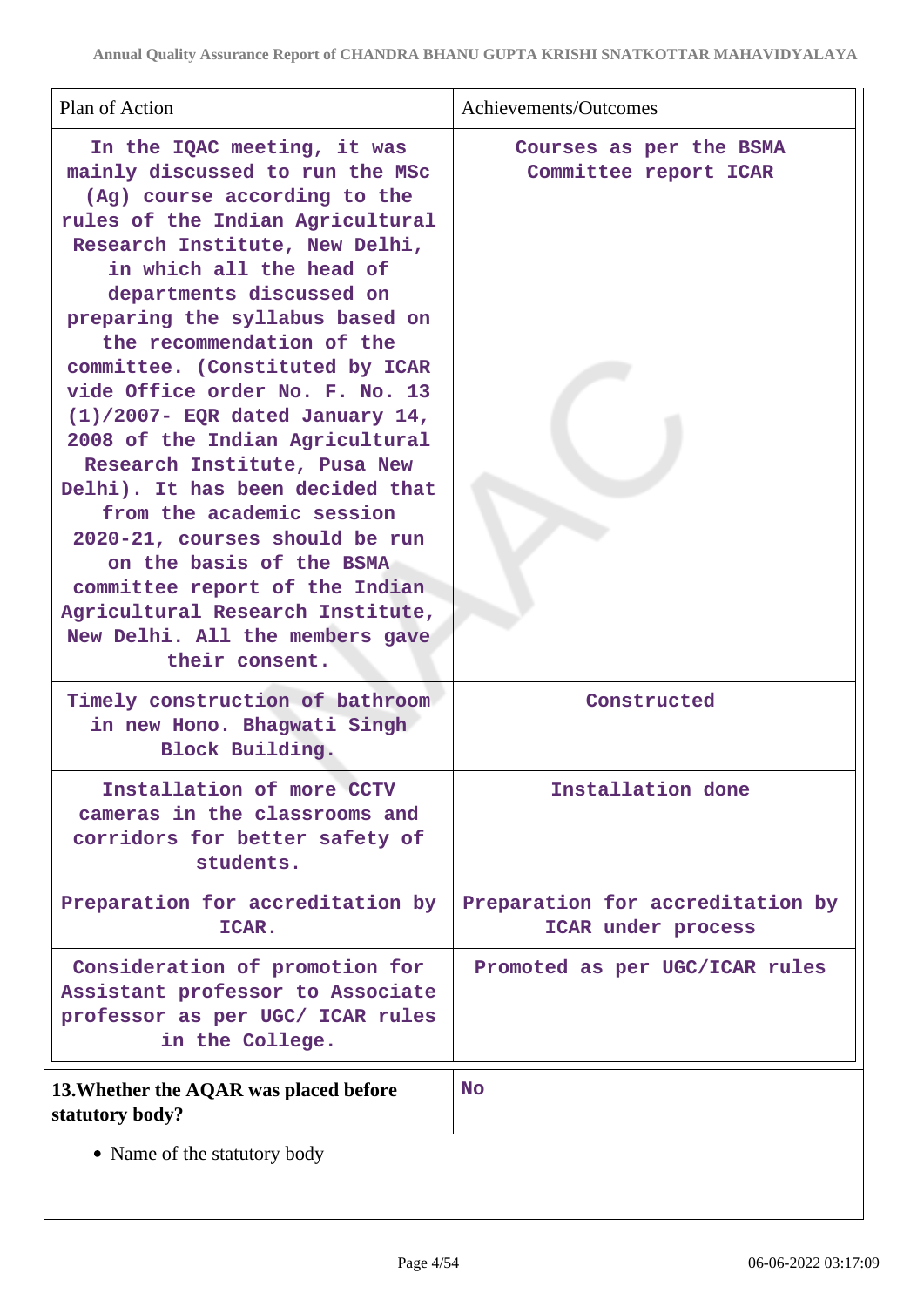| Plan of Action                                                                                                                                                                                                                                                                                                                                                                                                                                                                                                                                                                                                                                                                                                                        | Achievements/Outcomes                                  |
|---------------------------------------------------------------------------------------------------------------------------------------------------------------------------------------------------------------------------------------------------------------------------------------------------------------------------------------------------------------------------------------------------------------------------------------------------------------------------------------------------------------------------------------------------------------------------------------------------------------------------------------------------------------------------------------------------------------------------------------|--------------------------------------------------------|
| In the IQAC meeting, it was<br>mainly discussed to run the MSc<br>(Ag) course according to the<br>rules of the Indian Agricultural<br>Research Institute, New Delhi,<br>in which all the head of<br>departments discussed on<br>preparing the syllabus based on<br>the recommendation of the<br>committee. (Constituted by ICAR<br>vide Office order No. F. No. 13<br>$(1)/2007$ - EQR dated January 14,<br>2008 of the Indian Agricultural<br>Research Institute, Pusa New<br>Delhi). It has been decided that<br>from the academic session<br>2020-21, courses should be run<br>on the basis of the BSMA<br>committee report of the Indian<br>Agricultural Research Institute,<br>New Delhi. All the members gave<br>their consent. | Courses as per the BSMA<br>Committee report ICAR       |
| Timely construction of bathroom<br>in new Hono. Bhagwati Singh<br>Block Building.                                                                                                                                                                                                                                                                                                                                                                                                                                                                                                                                                                                                                                                     | Constructed                                            |
| Installation of more CCTV<br>cameras in the classrooms and<br>corridors for better safety of<br>students.                                                                                                                                                                                                                                                                                                                                                                                                                                                                                                                                                                                                                             | Installation done                                      |
| Preparation for accreditation by<br>ICAR.                                                                                                                                                                                                                                                                                                                                                                                                                                                                                                                                                                                                                                                                                             | Preparation for accreditation by<br>ICAR under process |
| Consideration of promotion for<br>Assistant professor to Associate<br>professor as per UGC/ ICAR rules<br>in the College.                                                                                                                                                                                                                                                                                                                                                                                                                                                                                                                                                                                                             | Promoted as per UGC/ICAR rules                         |
| 13. Whether the AQAR was placed before<br>statutory body?                                                                                                                                                                                                                                                                                                                                                                                                                                                                                                                                                                                                                                                                             | <b>No</b>                                              |
| • Name of the statutory body                                                                                                                                                                                                                                                                                                                                                                                                                                                                                                                                                                                                                                                                                                          |                                                        |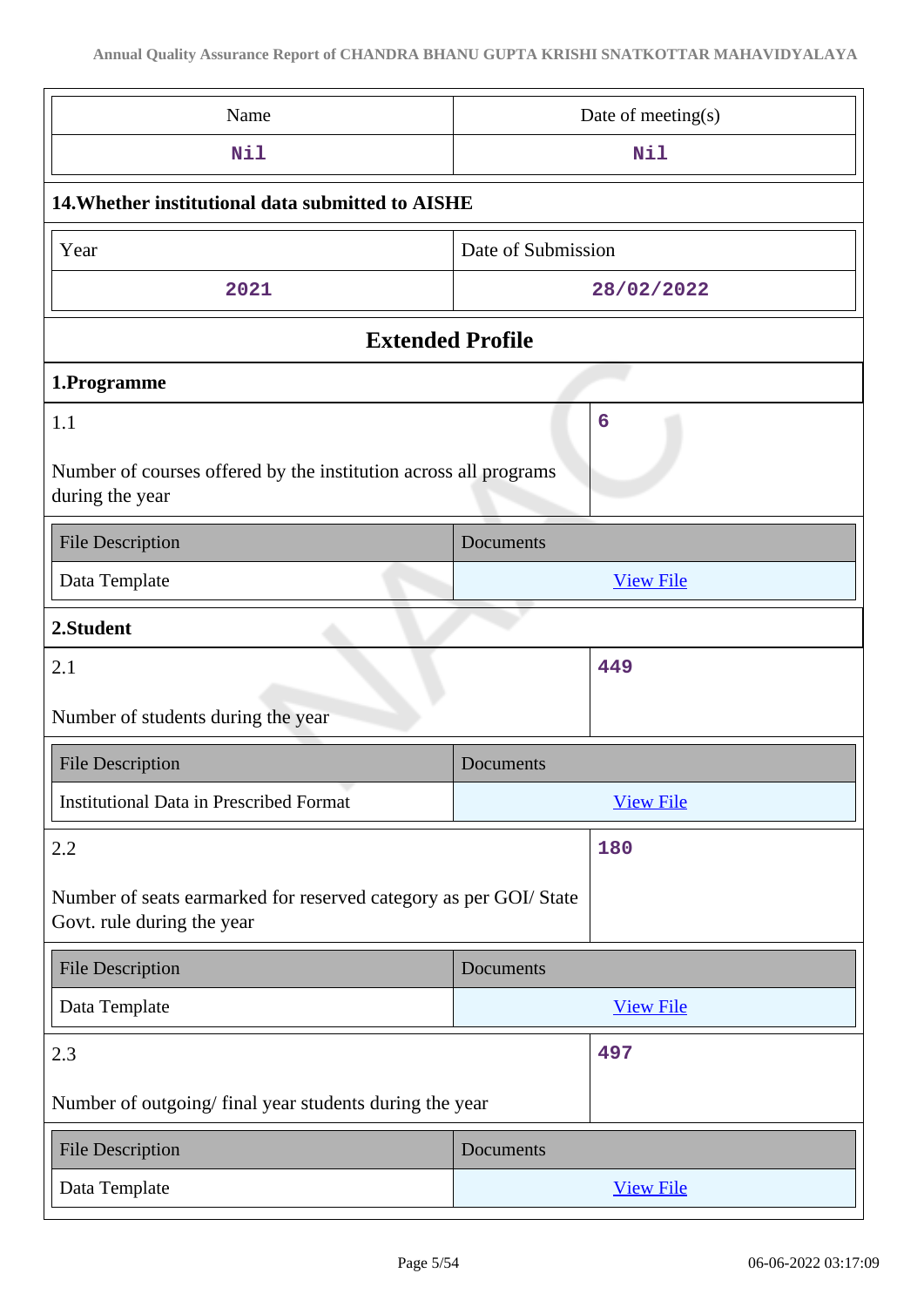| Name                                                                                            | Date of meeting(s) |  |  |
|-------------------------------------------------------------------------------------------------|--------------------|--|--|
| Nil                                                                                             | Nil                |  |  |
| 14. Whether institutional data submitted to AISHE                                               |                    |  |  |
| Year                                                                                            | Date of Submission |  |  |
| 2021                                                                                            | 28/02/2022         |  |  |
| <b>Extended Profile</b>                                                                         |                    |  |  |
| 1.Programme                                                                                     |                    |  |  |
| 1.1                                                                                             | 6                  |  |  |
| Number of courses offered by the institution across all programs<br>during the year             |                    |  |  |
| <b>File Description</b>                                                                         | Documents          |  |  |
| Data Template                                                                                   | <b>View File</b>   |  |  |
| 2.Student                                                                                       |                    |  |  |
| 2.1                                                                                             | 449                |  |  |
| Number of students during the year                                                              |                    |  |  |
| <b>File Description</b>                                                                         | Documents          |  |  |
| <b>Institutional Data in Prescribed Format</b>                                                  | <b>View File</b>   |  |  |
| 2.2                                                                                             | 180                |  |  |
| Number of seats earmarked for reserved category as per GOI/ State<br>Govt. rule during the year |                    |  |  |
| <b>File Description</b>                                                                         |                    |  |  |
|                                                                                                 | Documents          |  |  |
| Data Template                                                                                   | <b>View File</b>   |  |  |
| 2.3                                                                                             | 497                |  |  |
| Number of outgoing/final year students during the year                                          |                    |  |  |
| <b>File Description</b>                                                                         | Documents          |  |  |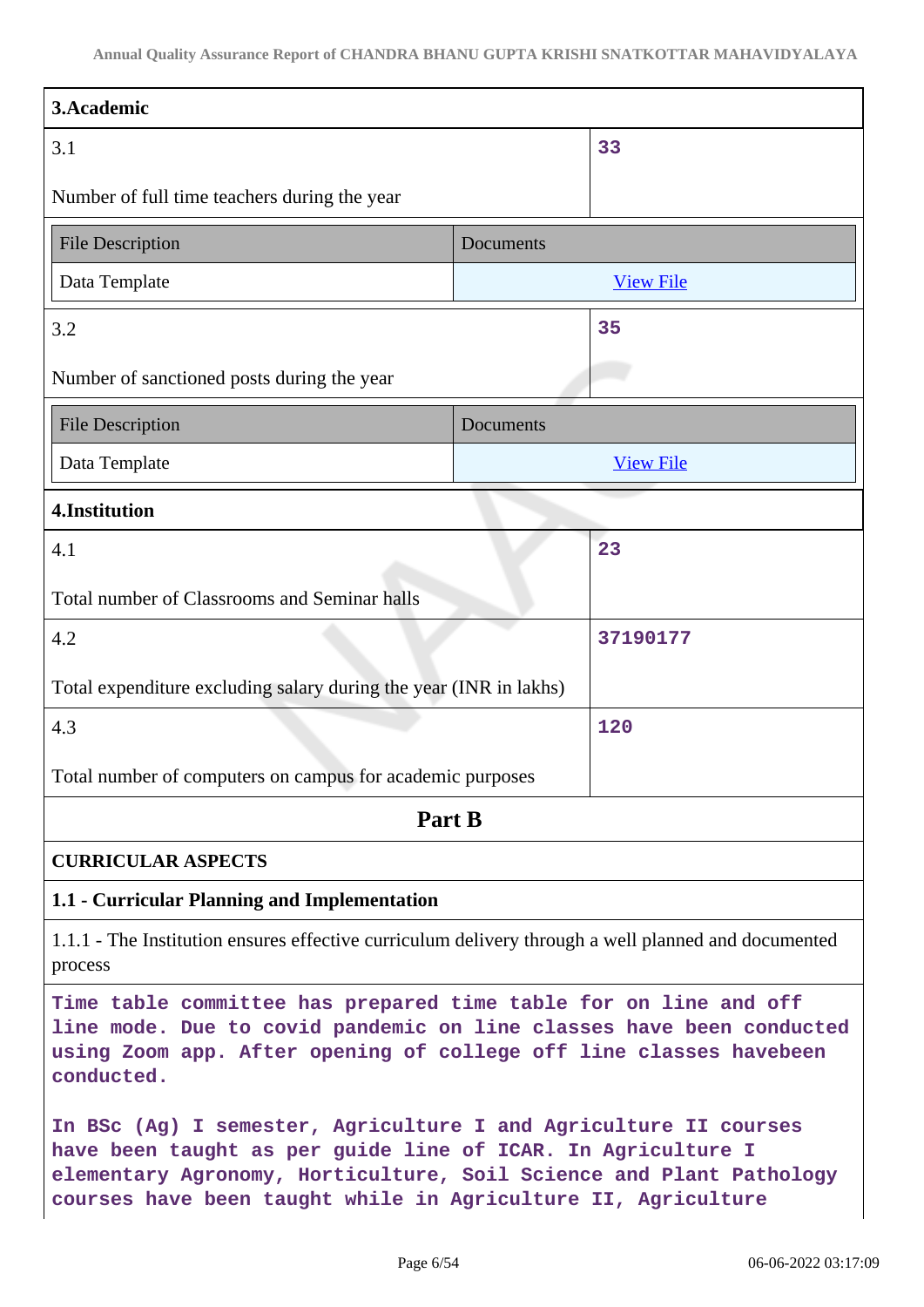| 3.Academic                                                                                                                                                                                                                   |           |                  |
|------------------------------------------------------------------------------------------------------------------------------------------------------------------------------------------------------------------------------|-----------|------------------|
| 3.1                                                                                                                                                                                                                          |           | 33               |
| Number of full time teachers during the year                                                                                                                                                                                 |           |                  |
| <b>File Description</b><br>Documents                                                                                                                                                                                         |           |                  |
| Data Template                                                                                                                                                                                                                |           | <b>View File</b> |
| 3.2                                                                                                                                                                                                                          |           | 35               |
| Number of sanctioned posts during the year                                                                                                                                                                                   |           |                  |
| <b>File Description</b>                                                                                                                                                                                                      | Documents |                  |
| Data Template                                                                                                                                                                                                                |           | <b>View File</b> |
| 4.Institution                                                                                                                                                                                                                |           |                  |
| 4.1                                                                                                                                                                                                                          |           | 23               |
| Total number of Classrooms and Seminar halls                                                                                                                                                                                 |           |                  |
| 4.2                                                                                                                                                                                                                          |           | 37190177         |
| Total expenditure excluding salary during the year (INR in lakhs)                                                                                                                                                            |           |                  |
| 4.3                                                                                                                                                                                                                          |           | 120              |
| Total number of computers on campus for academic purposes                                                                                                                                                                    |           |                  |
| Part B                                                                                                                                                                                                                       |           |                  |
| <b>CURRICULAR ASPECTS</b>                                                                                                                                                                                                    |           |                  |
| 1.1 - Curricular Planning and Implementation                                                                                                                                                                                 |           |                  |
| 1.1.1 - The Institution ensures effective curriculum delivery through a well planned and documented<br>process                                                                                                               |           |                  |
| Time table committee has prepared time table for on line and off<br>line mode. Due to covid pandemic on line classes have been conducted<br>using Zoom app. After opening of college off line classes havebeen<br>conducted. |           |                  |
| In BSc (Ag) I semester, Agriculture I and Agriculture II courses<br>have been taught as per guide line of ICAR. In Agriculture I<br>elementary Agronomy, Horticulture, Soil Science and Plant Pathology                      |           |                  |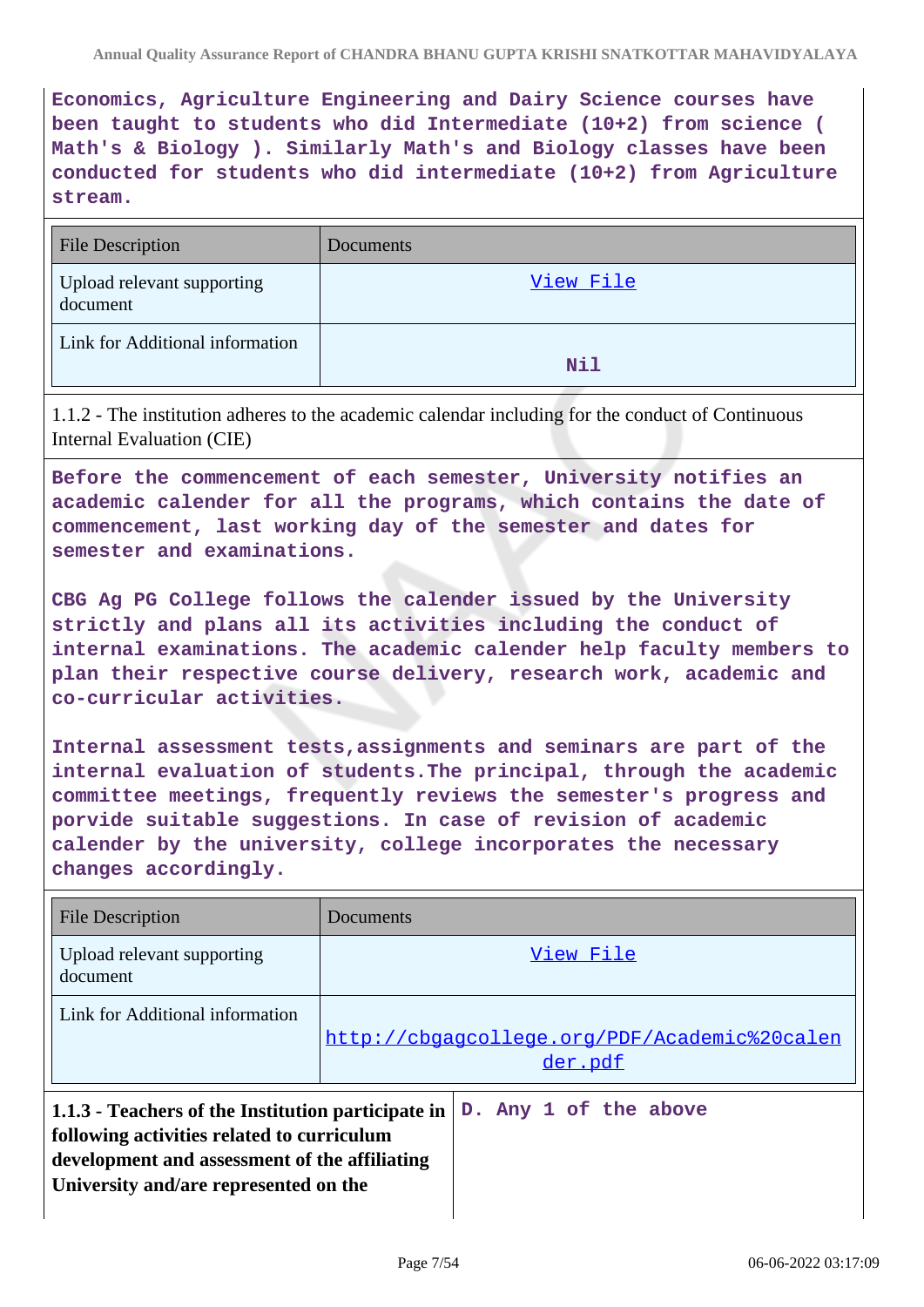**Economics, Agriculture Engineering and Dairy Science courses have been taught to students who did Intermediate (10+2) from science ( Math's & Biology ). Similarly Math's and Biology classes have been conducted for students who did intermediate (10+2) from Agriculture stream.**

| <b>File Description</b>                | <b>Documents</b> |
|----------------------------------------|------------------|
| Upload relevant supporting<br>document | View File        |
| Link for Additional information        | Nil              |

1.1.2 - The institution adheres to the academic calendar including for the conduct of Continuous Internal Evaluation (CIE)

**Before the commencement of each semester, University notifies an academic calender for all the programs, which contains the date of commencement, last working day of the semester and dates for semester and examinations.**

**CBG Ag PG College follows the calender issued by the University strictly and plans all its activities including the conduct of internal examinations. The academic calender help faculty members to plan their respective course delivery, research work, academic and co-curricular activities.**

**Internal assessment tests,assignments and seminars are part of the internal evaluation of students.The principal, through the academic committee meetings, frequently reviews the semester's progress and porvide suitable suggestions. In case of revision of academic calender by the university, college incorporates the necessary changes accordingly.**

| <b>File Description</b>                                                                                                                                                                    | Documents                                               |  |
|--------------------------------------------------------------------------------------------------------------------------------------------------------------------------------------------|---------------------------------------------------------|--|
| Upload relevant supporting<br>document                                                                                                                                                     | View File                                               |  |
| Link for Additional information                                                                                                                                                            | http://cbgagcollege.org/PDF/Academic%20calen<br>der.pdf |  |
| 1.1.3 - Teachers of the Institution participate in<br>following activities related to curriculum<br>development and assessment of the affiliating<br>University and/are represented on the | D. Any 1 of the above                                   |  |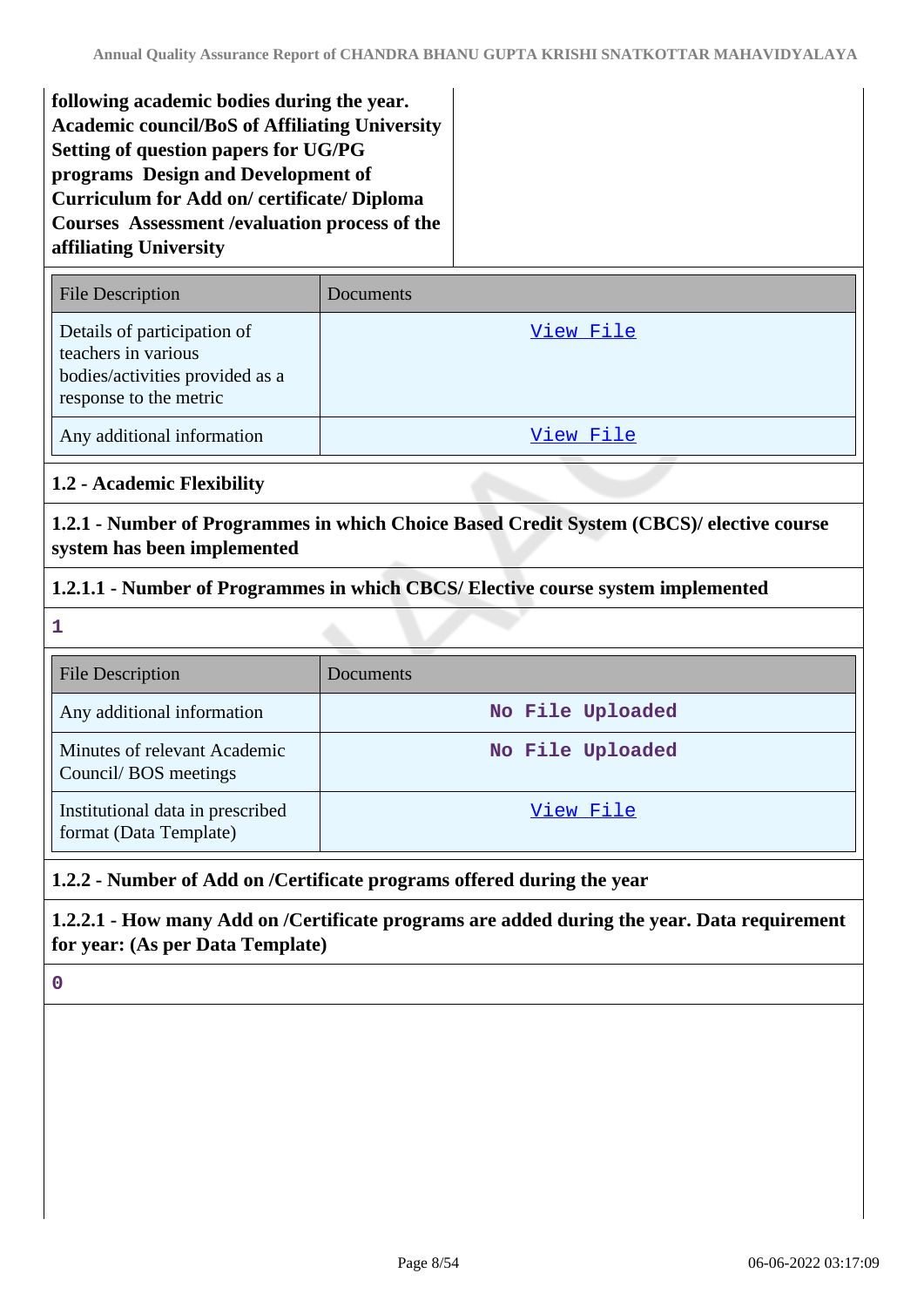**following academic bodies during the year. Academic council/BoS of Affiliating University Setting of question papers for UG/PG programs Design and Development of Curriculum for Add on/ certificate/ Diploma Courses Assessment /evaluation process of the affiliating University**

| <b>File Description</b>                                                                                         | Documents |
|-----------------------------------------------------------------------------------------------------------------|-----------|
| Details of participation of<br>teachers in various<br>bodies/activities provided as a<br>response to the metric | View File |
| Any additional information                                                                                      | View File |

## **1.2 - Academic Flexibility**

**1.2.1 - Number of Programmes in which Choice Based Credit System (CBCS)/ elective course system has been implemented**

## **1.2.1.1 - Number of Programmes in which CBCS/ Elective course system implemented**

**1**

| <b>File Description</b>                                    | <b>Documents</b> |
|------------------------------------------------------------|------------------|
| Any additional information                                 | No File Uploaded |
| Minutes of relevant Academic<br>Council/BOS meetings       | No File Uploaded |
| Institutional data in prescribed<br>format (Data Template) | View File        |

## **1.2.2 - Number of Add on /Certificate programs offered during the year**

**1.2.2.1 - How many Add on /Certificate programs are added during the year. Data requirement for year: (As per Data Template)**

**0**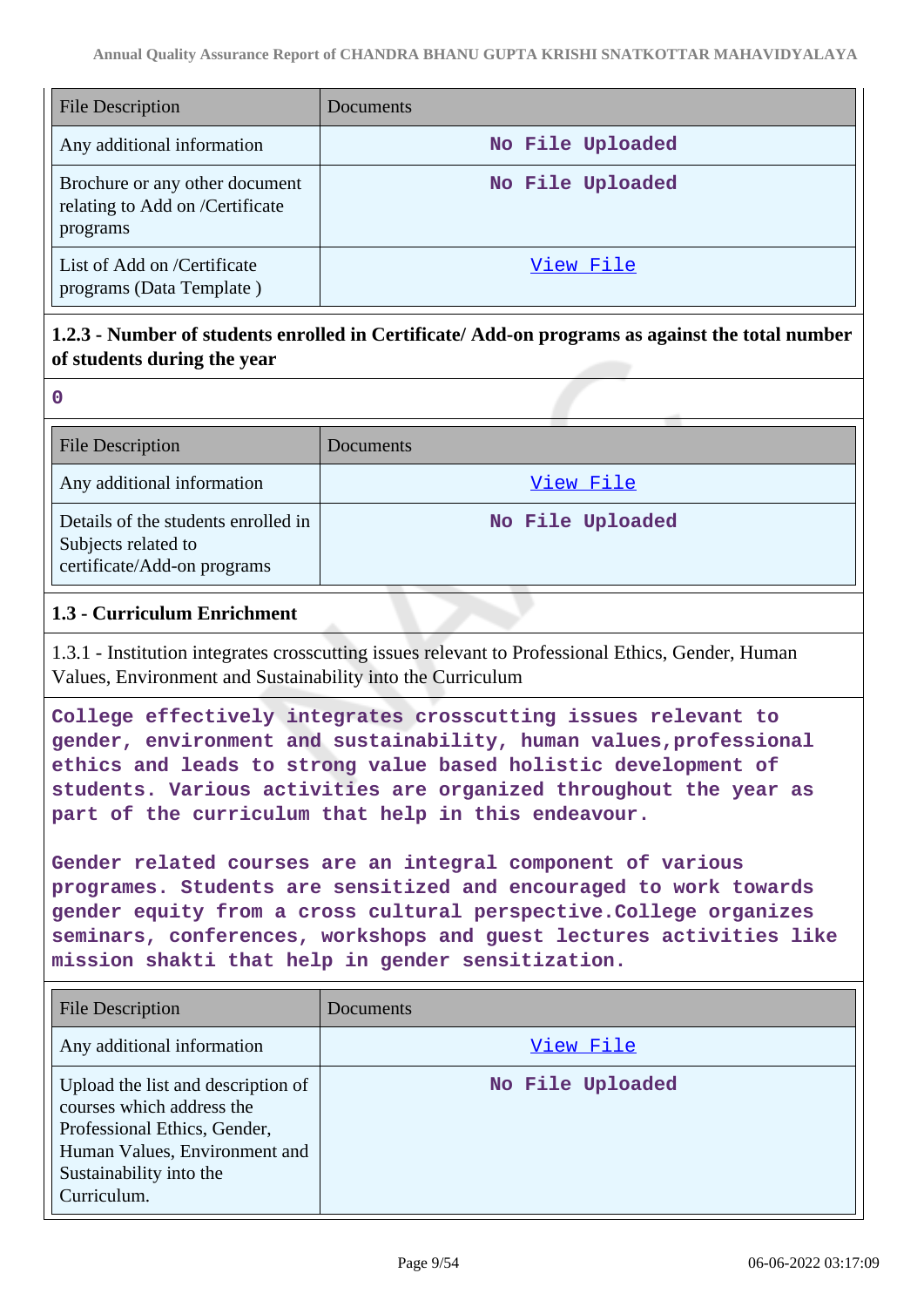| <b>File Description</b>                                                       | Documents        |
|-------------------------------------------------------------------------------|------------------|
| Any additional information                                                    | No File Uploaded |
| Brochure or any other document<br>relating to Add on /Certificate<br>programs | No File Uploaded |
| List of Add on /Certificate<br>programs (Data Template)                       | View File        |

## **1.2.3 - Number of students enrolled in Certificate/ Add-on programs as against the total number of students during the year**

| $\mathbf 0$                                                                               |                  |
|-------------------------------------------------------------------------------------------|------------------|
| <b>File Description</b>                                                                   | <b>Documents</b> |
| Any additional information                                                                | View File        |
| Details of the students enrolled in<br>Subjects related to<br>certificate/Add-on programs | No File Uploaded |

#### **1.3 - Curriculum Enrichment**

1.3.1 - Institution integrates crosscutting issues relevant to Professional Ethics, Gender, Human Values, Environment and Sustainability into the Curriculum

**College effectively integrates crosscutting issues relevant to gender, environment and sustainability, human values,professional ethics and leads to strong value based holistic development of students. Various activities are organized throughout the year as part of the curriculum that help in this endeavour.**

**Gender related courses are an integral component of various programes. Students are sensitized and encouraged to work towards gender equity from a cross cultural perspective.College organizes seminars, conferences, workshops and guest lectures activities like mission shakti that help in gender sensitization.**

| File Description                                                                                                                                                           | Documents        |
|----------------------------------------------------------------------------------------------------------------------------------------------------------------------------|------------------|
| Any additional information                                                                                                                                                 | View File        |
| Upload the list and description of<br>courses which address the<br>Professional Ethics, Gender,<br>Human Values, Environment and<br>Sustainability into the<br>Curriculum. | No File Uploaded |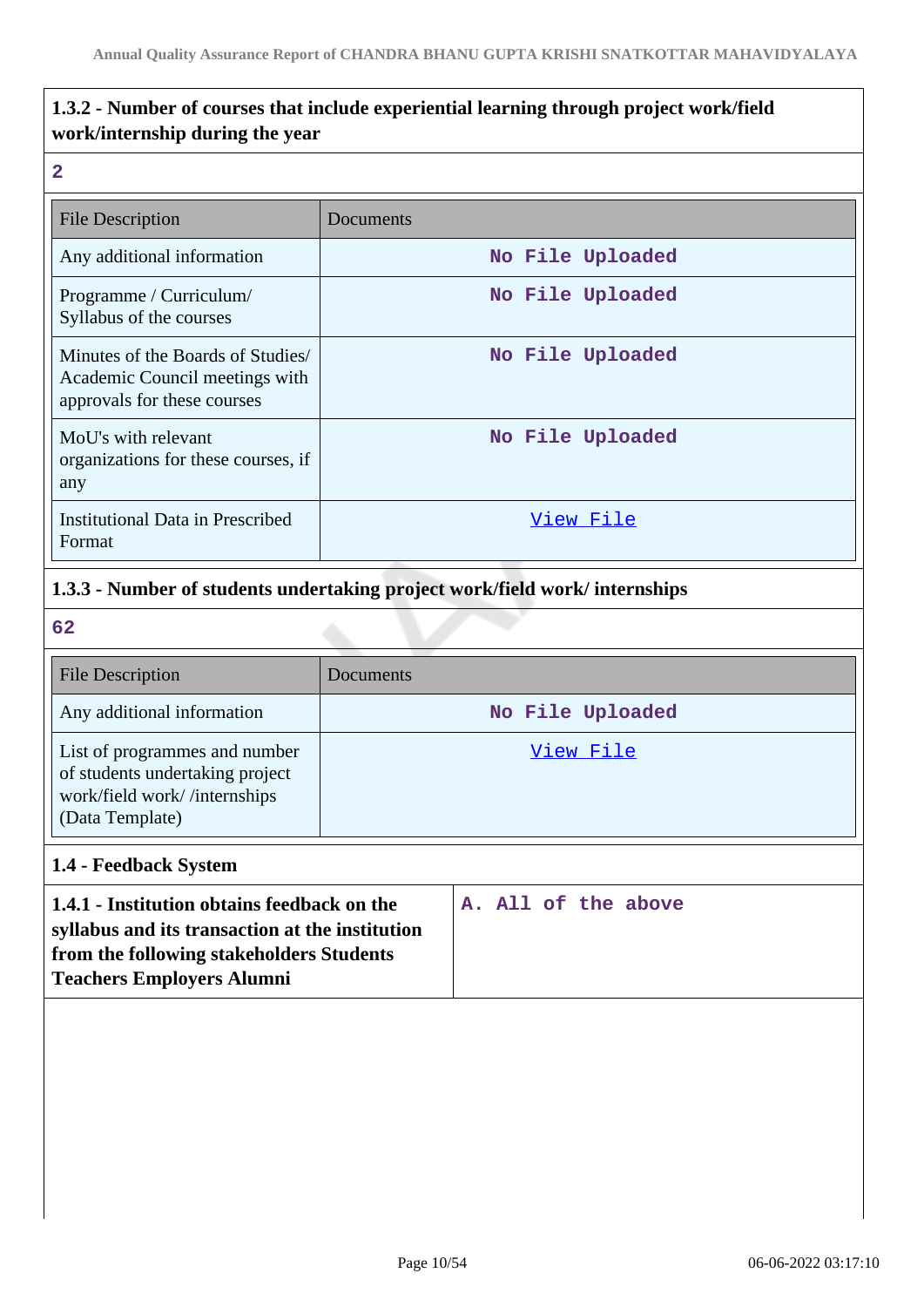## **1.3.2 - Number of courses that include experiential learning through project work/field work/internship during the year**

#### **2**

| <b>File Description</b>                                                                            | Documents        |
|----------------------------------------------------------------------------------------------------|------------------|
| Any additional information                                                                         | No File Uploaded |
| Programme / Curriculum/<br>Syllabus of the courses                                                 | No File Uploaded |
| Minutes of the Boards of Studies/<br>Academic Council meetings with<br>approvals for these courses | No File Uploaded |
| MoU's with relevant<br>organizations for these courses, if<br>any                                  | No File Uploaded |
| Institutional Data in Prescribed<br>Format                                                         | View File        |

## **1.3.3 - Number of students undertaking project work/field work/ internships**

**62**

| <b>File Description</b>                                                                                             | <b>Documents</b> |
|---------------------------------------------------------------------------------------------------------------------|------------------|
| Any additional information                                                                                          | No File Uploaded |
| List of programmes and number<br>of students undertaking project<br>work/field work//internships<br>(Data Template) | View File        |

## **1.4 - Feedback System**

| 1.4.1 - Institution obtains feedback on the<br>syllabus and its transaction at the institution |  |  | A. All of the above |
|------------------------------------------------------------------------------------------------|--|--|---------------------|
| from the following stakeholders Students<br><b>Teachers Employers Alumni</b>                   |  |  |                     |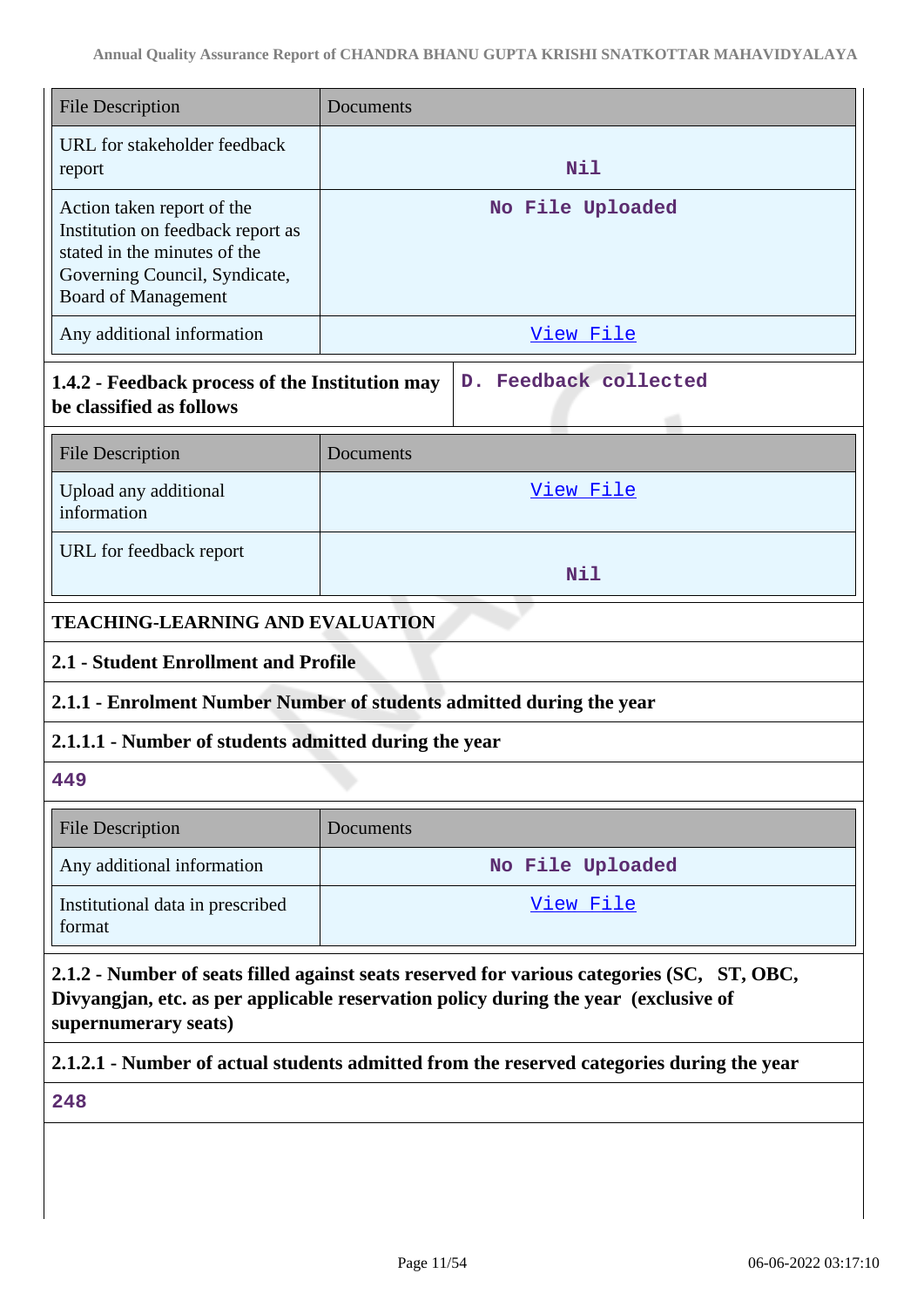| <b>File Description</b>                                                                                                                                                                                   | Documents                                                                                 |  |  |
|-----------------------------------------------------------------------------------------------------------------------------------------------------------------------------------------------------------|-------------------------------------------------------------------------------------------|--|--|
| URL for stakeholder feedback<br>report                                                                                                                                                                    | Nil                                                                                       |  |  |
| Action taken report of the<br>Institution on feedback report as<br>stated in the minutes of the<br>Governing Council, Syndicate,<br><b>Board of Management</b>                                            | No File Uploaded                                                                          |  |  |
| Any additional information                                                                                                                                                                                | View File                                                                                 |  |  |
| 1.4.2 - Feedback process of the Institution may<br>be classified as follows                                                                                                                               | D. Feedback collected                                                                     |  |  |
| <b>File Description</b>                                                                                                                                                                                   | Documents                                                                                 |  |  |
| Upload any additional<br>information                                                                                                                                                                      | View File                                                                                 |  |  |
| URL for feedback report                                                                                                                                                                                   | <b>Nil</b>                                                                                |  |  |
| <b>TEACHING-LEARNING AND EVALUATION</b>                                                                                                                                                                   |                                                                                           |  |  |
| 2.1 - Student Enrollment and Profile                                                                                                                                                                      |                                                                                           |  |  |
|                                                                                                                                                                                                           | 2.1.1 - Enrolment Number Number of students admitted during the year                      |  |  |
| 2.1.1.1 - Number of students admitted during the year                                                                                                                                                     |                                                                                           |  |  |
| 449                                                                                                                                                                                                       |                                                                                           |  |  |
| <b>File Description</b>                                                                                                                                                                                   | Documents                                                                                 |  |  |
| Any additional information                                                                                                                                                                                | No File Uploaded                                                                          |  |  |
| Institutional data in prescribed<br>format                                                                                                                                                                | <u>View File</u>                                                                          |  |  |
| 2.1.2 - Number of seats filled against seats reserved for various categories (SC, ST, OBC,<br>Divyangjan, etc. as per applicable reservation policy during the year (exclusive of<br>supernumerary seats) |                                                                                           |  |  |
|                                                                                                                                                                                                           | 2.1.2.1 - Number of actual students admitted from the reserved categories during the year |  |  |

**248**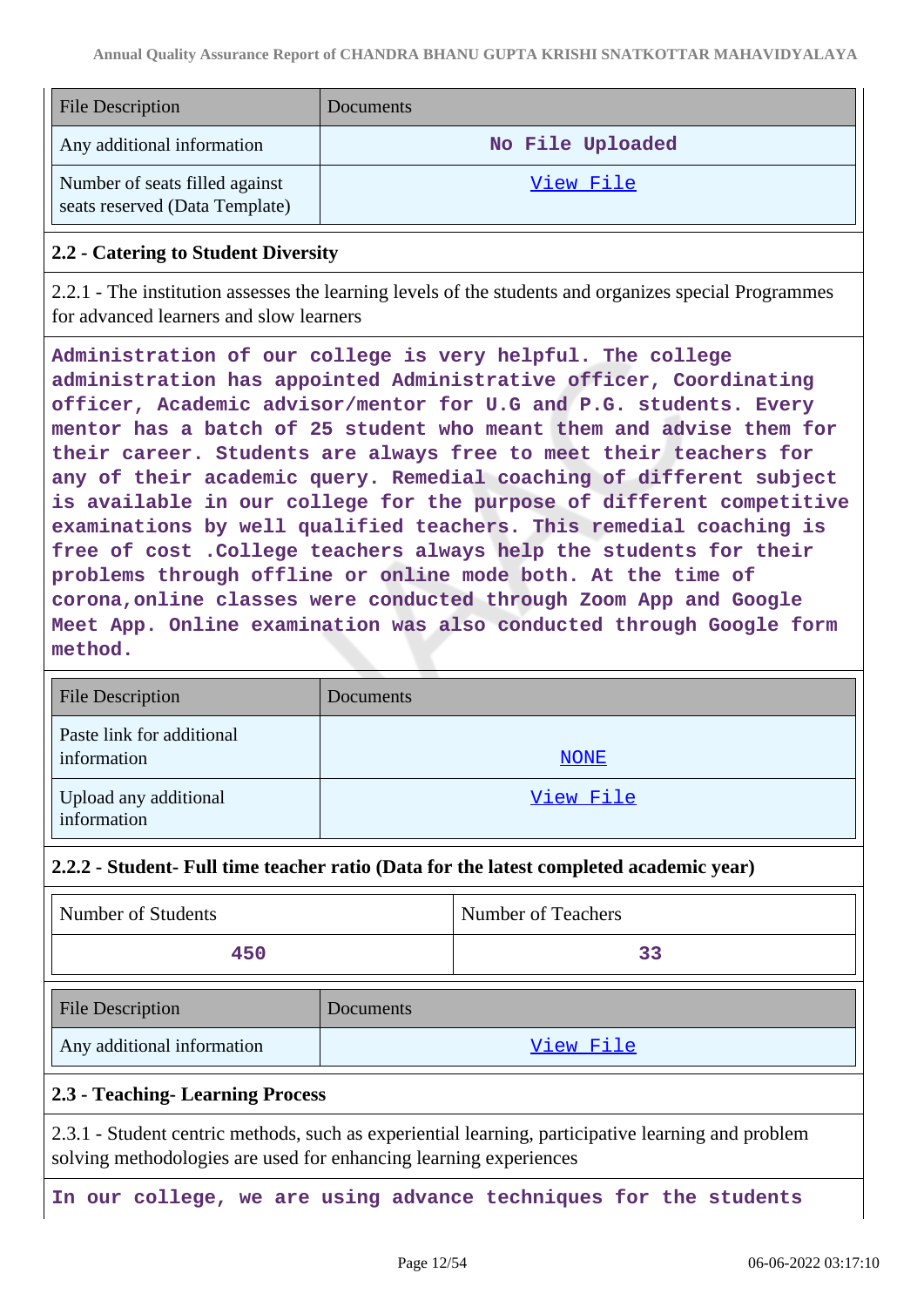| <b>File Description</b>                                          | <b>Documents</b> |
|------------------------------------------------------------------|------------------|
| Any additional information                                       | No File Uploaded |
| Number of seats filled against<br>seats reserved (Data Template) | View File        |

#### **2.2 - Catering to Student Diversity**

2.2.1 - The institution assesses the learning levels of the students and organizes special Programmes for advanced learners and slow learners

**Administration of our college is very helpful. The college administration has appointed Administrative officer, Coordinating officer, Academic advisor/mentor for U.G and P.G. students. Every mentor has a batch of 25 student who meant them and advise them for their career. Students are always free to meet their teachers for any of their academic query. Remedial coaching of different subject is available in our college for the purpose of different competitive examinations by well qualified teachers. This remedial coaching is free of cost .College teachers always help the students for their problems through offline or online mode both. At the time of corona,online classes were conducted through Zoom App and Google Meet App. Online examination was also conducted through Google form method.**

| <b>File Description</b>                  | Documents   |
|------------------------------------------|-------------|
| Paste link for additional<br>information | <b>NONE</b> |
| Upload any additional<br>information     | View File   |

#### **2.2.2 - Student- Full time teacher ratio (Data for the latest completed academic year)**

| Number of Students | <b>Number of Teachers</b> |
|--------------------|---------------------------|
| 450                |                           |

| File Description           | <b>Documents</b> |
|----------------------------|------------------|
| Any additional information | View File        |

#### **2.3 - Teaching- Learning Process**

2.3.1 - Student centric methods, such as experiential learning, participative learning and problem solving methodologies are used for enhancing learning experiences

**In our college, we are using advance techniques for the students**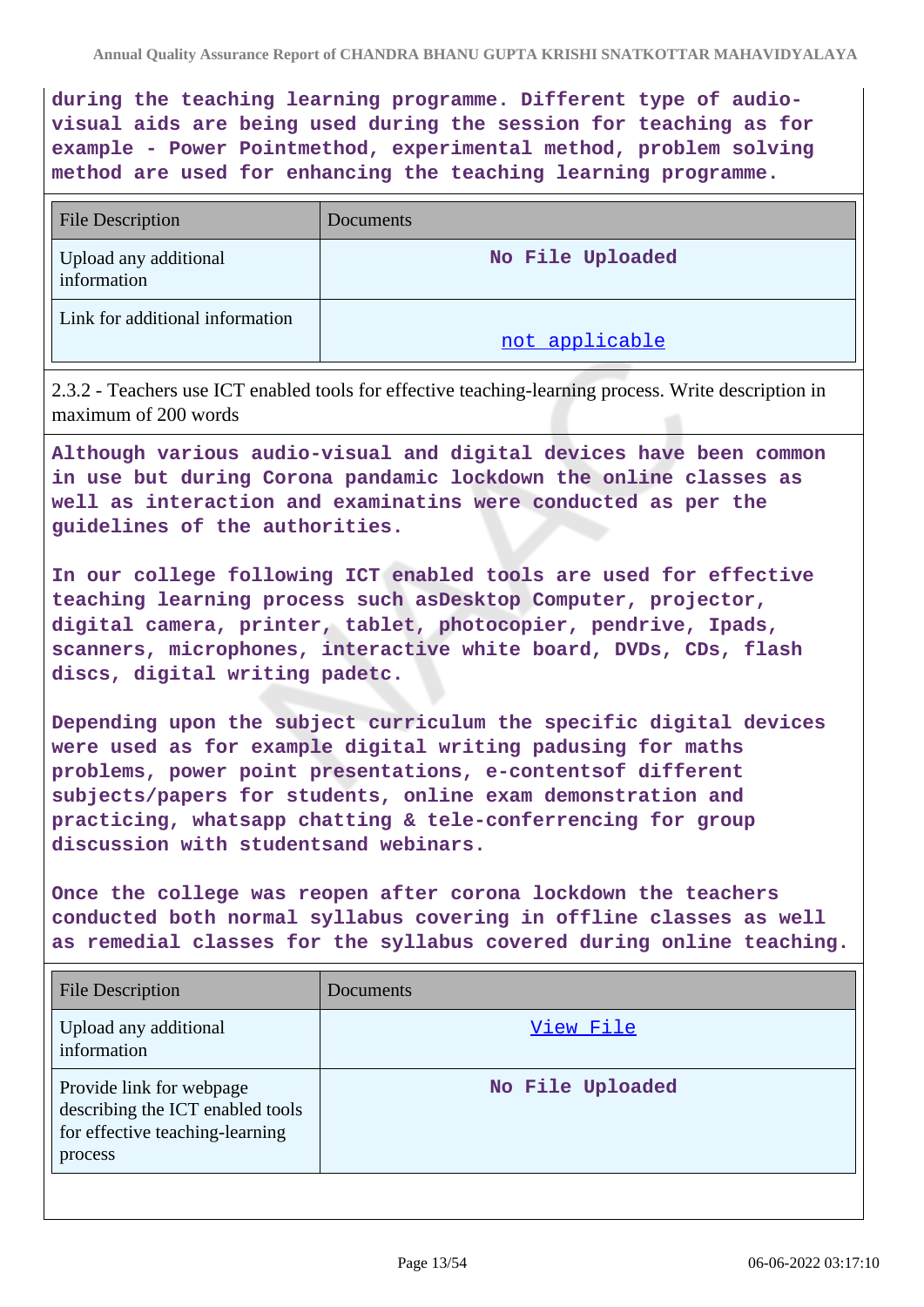**during the teaching learning programme. Different type of audiovisual aids are being used during the session for teaching as for example - Power Pointmethod, experimental method, problem solving method are used for enhancing the teaching learning programme.**

| <b>File Description</b>              | Documents        |
|--------------------------------------|------------------|
| Upload any additional<br>information | No File Uploaded |
| Link for additional information      | not applicable   |

2.3.2 - Teachers use ICT enabled tools for effective teaching-learning process. Write description in maximum of 200 words

**Although various audio-visual and digital devices have been common in use but during Corona pandamic lockdown the online classes as well as interaction and examinatins were conducted as per the guidelines of the authorities.**

**In our college following ICT enabled tools are used for effective teaching learning process such asDesktop Computer, projector, digital camera, printer, tablet, photocopier, pendrive, Ipads, scanners, microphones, interactive white board, DVDs, CDs, flash discs, digital writing padetc.**

**Depending upon the subject curriculum the specific digital devices were used as for example digital writing padusing for maths problems, power point presentations, e-contentsof different subjects/papers for students, online exam demonstration and practicing, whatsapp chatting & tele-conferrencing for group discussion with studentsand webinars.**

**Once the college was reopen after corona lockdown the teachers conducted both normal syllabus covering in offline classes as well as remedial classes for the syllabus covered during online teaching.**

| <b>File Description</b>                                                                                    | <b>Documents</b> |
|------------------------------------------------------------------------------------------------------------|------------------|
| Upload any additional<br>information                                                                       | View File        |
| Provide link for webpage<br>describing the ICT enabled tools<br>for effective teaching-learning<br>process | No File Uploaded |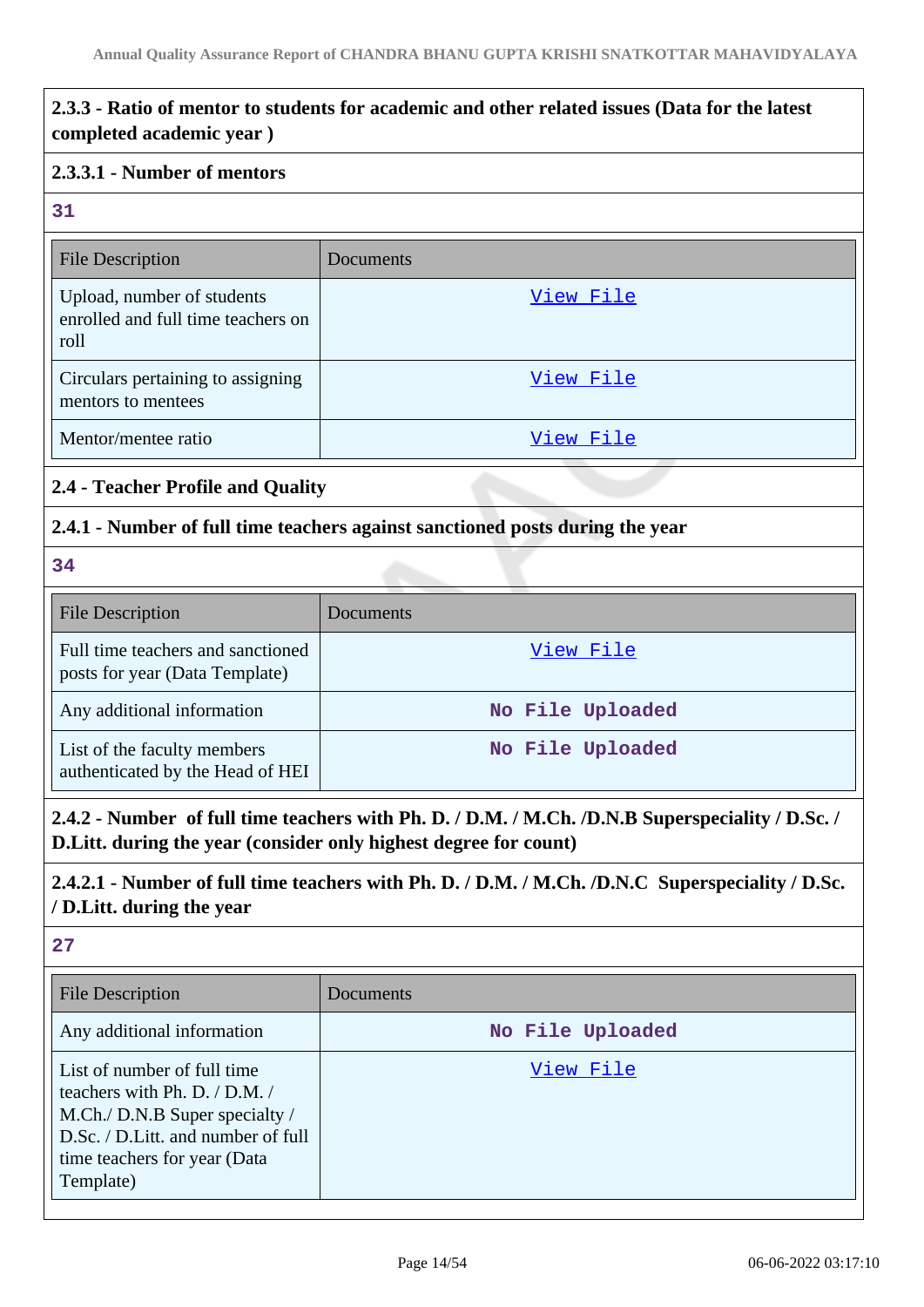## **2.3.3 - Ratio of mentor to students for academic and other related issues (Data for the latest completed academic year )**

#### **2.3.3.1 - Number of mentors**

#### **31**

| <b>File Description</b>                                                  | Documents |
|--------------------------------------------------------------------------|-----------|
| Upload, number of students<br>enrolled and full time teachers on<br>roll | View File |
| Circulars pertaining to assigning<br>mentors to mentees                  | View File |
| Mentor/mentee ratio                                                      | View File |

# **2.4 - Teacher Profile and Quality**

#### **2.4.1 - Number of full time teachers against sanctioned posts during the year**

#### **34**

| <b>File Description</b>                                             | Documents        |
|---------------------------------------------------------------------|------------------|
| Full time teachers and sanctioned<br>posts for year (Data Template) | View File        |
| Any additional information                                          | No File Uploaded |
| List of the faculty members<br>authenticated by the Head of HEI     | No File Uploaded |

**2.4.2 - Number of full time teachers with Ph. D. / D.M. / M.Ch. /D.N.B Superspeciality / D.Sc. / D.Litt. during the year (consider only highest degree for count)**

## **2.4.2.1 - Number of full time teachers with Ph. D. / D.M. / M.Ch. /D.N.C Superspeciality / D.Sc. / D.Litt. during the year**

| File Description                                                                                                                                                                      | Documents        |
|---------------------------------------------------------------------------------------------------------------------------------------------------------------------------------------|------------------|
| Any additional information                                                                                                                                                            | No File Uploaded |
| List of number of full time<br>teachers with Ph. D. $/$ D.M. $/$<br>M.Ch./ D.N.B Super specialty /<br>D.Sc. / D.Litt. and number of full<br>time teachers for year (Data<br>Template) | View File        |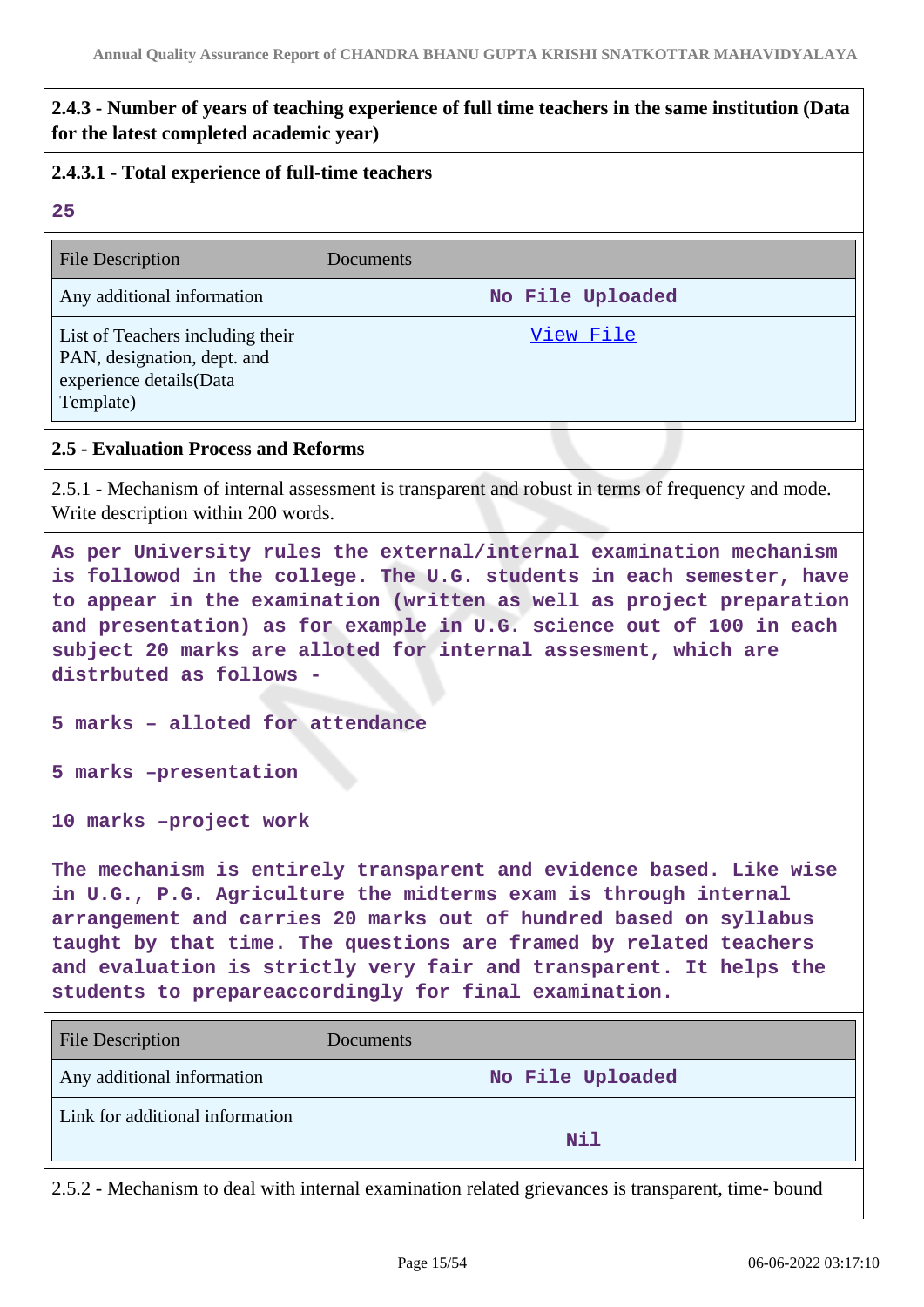## **2.4.3 - Number of years of teaching experience of full time teachers in the same institution (Data for the latest completed academic year)**

#### **2.4.3.1 - Total experience of full-time teachers**

#### **25**

| <b>File Description</b>                                                                                 | Documents        |
|---------------------------------------------------------------------------------------------------------|------------------|
| Any additional information                                                                              | No File Uploaded |
| List of Teachers including their<br>PAN, designation, dept. and<br>experience details(Data<br>Template) | View File        |

#### **2.5 - Evaluation Process and Reforms**

2.5.1 - Mechanism of internal assessment is transparent and robust in terms of frequency and mode. Write description within 200 words.

**As per University rules the external/internal examination mechanism is followod in the college. The U.G. students in each semester, have to appear in the examination (written as well as project preparation and presentation) as for example in U.G. science out of 100 in each subject 20 marks are alloted for internal assesment, which are distrbuted as follows -**

**5 marks – alloted for attendance**

**5 marks –presentation**

**10 marks –project work**

**The mechanism is entirely transparent and evidence based. Like wise in U.G., P.G. Agriculture the midterms exam is through internal arrangement and carries 20 marks out of hundred based on syllabus taught by that time. The questions are framed by related teachers and evaluation is strictly very fair and transparent. It helps the students to prepareaccordingly for final examination.**

| <b>File Description</b>         | Documents        |
|---------------------------------|------------------|
| Any additional information      | No File Uploaded |
| Link for additional information | <b>Nil</b>       |

2.5.2 - Mechanism to deal with internal examination related grievances is transparent, time- bound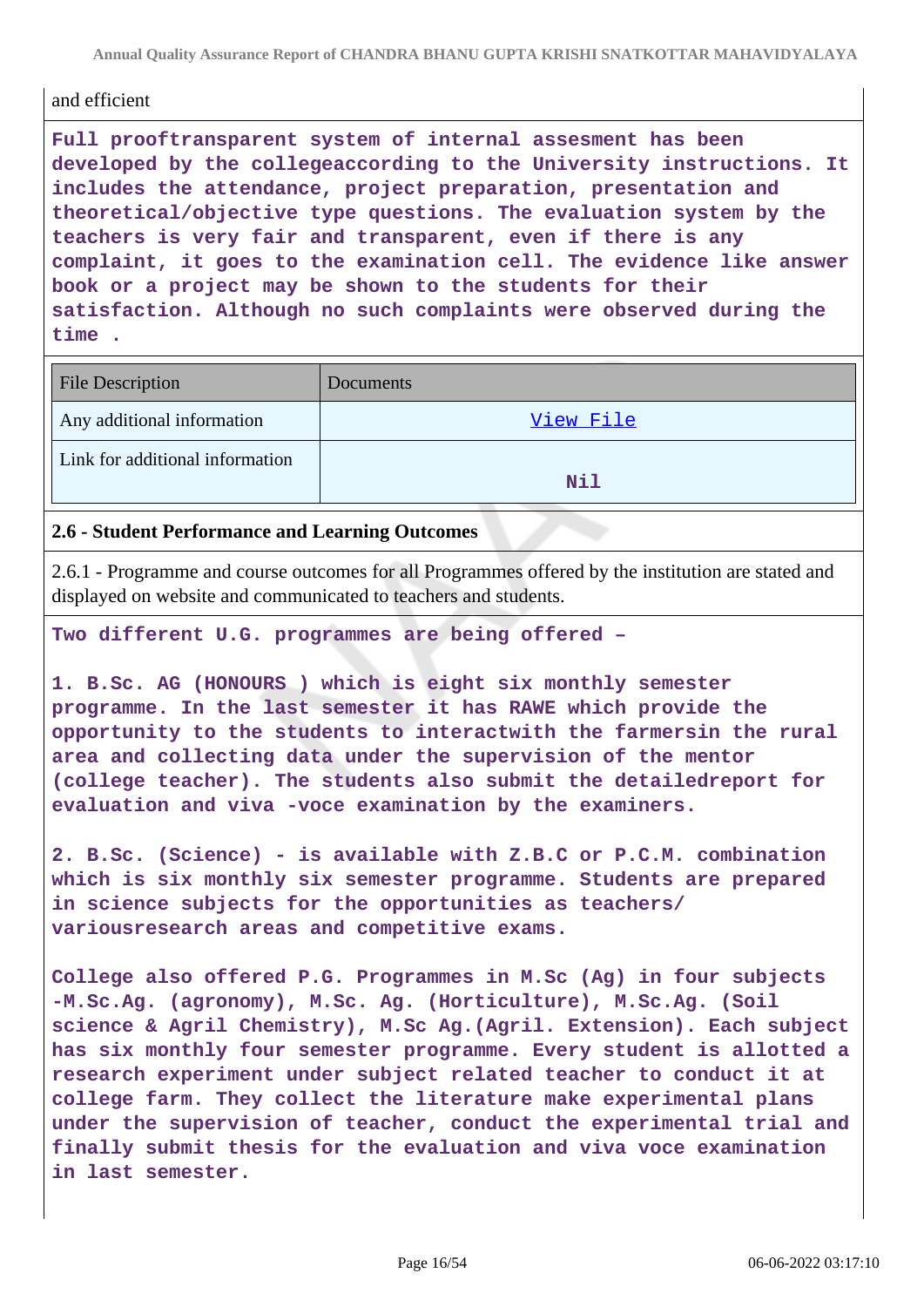**Annual Quality Assurance Report of CHANDRA BHANU GUPTA KRISHI SNATKOTTAR MAHAVIDYALAYA**

#### and efficient

**Full prooftransparent system of internal assesment has been developed by the collegeaccording to the University instructions. It includes the attendance, project preparation, presentation and theoretical/objective type questions. The evaluation system by the teachers is very fair and transparent, even if there is any complaint, it goes to the examination cell. The evidence like answer book or a project may be shown to the students for their satisfaction. Although no such complaints were observed during the time .**

| <b>File Description</b>         | Documents |
|---------------------------------|-----------|
| Any additional information      | View File |
| Link for additional information | Nil       |

#### **2.6 - Student Performance and Learning Outcomes**

2.6.1 - Programme and course outcomes for all Programmes offered by the institution are stated and displayed on website and communicated to teachers and students.

**Two different U.G. programmes are being offered –**

**1. B.Sc. AG (HONOURS ) which is eight six monthly semester programme. In the last semester it has RAWE which provide the opportunity to the students to interactwith the farmersin the rural area and collecting data under the supervision of the mentor (college teacher). The students also submit the detailedreport for evaluation and viva -voce examination by the examiners.**

**2. B.Sc. (Science) - is available with Z.B.C or P.C.M. combination which is six monthly six semester programme. Students are prepared in science subjects for the opportunities as teachers/ variousresearch areas and competitive exams.**

**College also offered P.G. Programmes in M.Sc (Ag) in four subjects -M.Sc.Ag. (agronomy), M.Sc. Ag. (Horticulture), M.Sc.Ag. (Soil science & Agril Chemistry), M.Sc Ag.(Agril. Extension). Each subject has six monthly four semester programme. Every student is allotted a research experiment under subject related teacher to conduct it at college farm. They collect the literature make experimental plans under the supervision of teacher, conduct the experimental trial and finally submit thesis for the evaluation and viva voce examination in last semester.**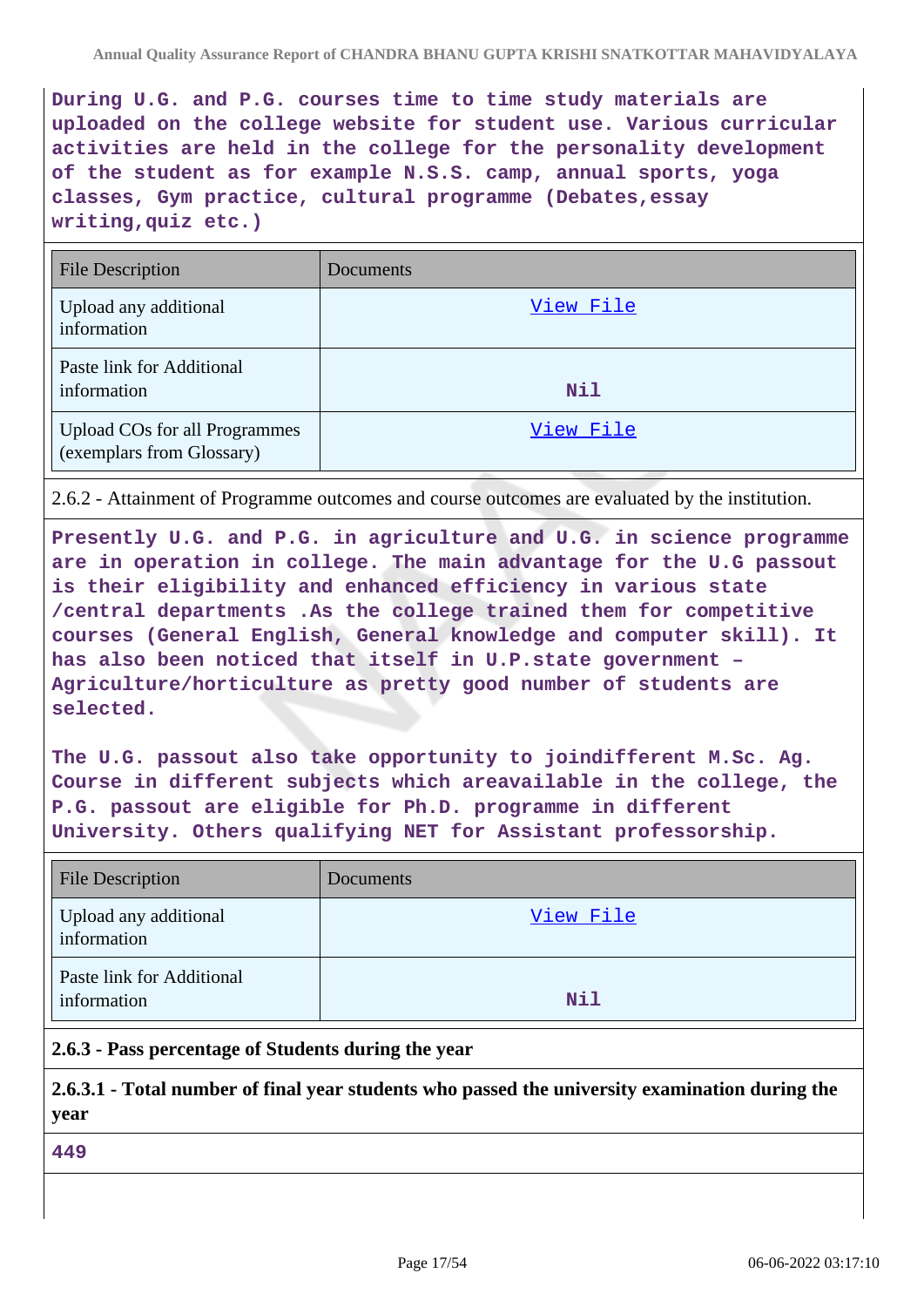**During U.G. and P.G. courses time to time study materials are uploaded on the college website for student use. Various curricular activities are held in the college for the personality development of the student as for example N.S.S. camp, annual sports, yoga classes, Gym practice, cultural programme (Debates,essay writing,quiz etc.)**

| <b>File Description</b>                                           | Documents |
|-------------------------------------------------------------------|-----------|
| Upload any additional<br>information                              | View File |
| Paste link for Additional<br>information                          | Nil       |
| <b>Upload COs for all Programmes</b><br>(exemplars from Glossary) | View File |

2.6.2 - Attainment of Programme outcomes and course outcomes are evaluated by the institution.

**Presently U.G. and P.G. in agriculture and U.G. in science programme are in operation in college. The main advantage for the U.G passout is their eligibility and enhanced efficiency in various state /central departments .As the college trained them for competitive courses (General English, General knowledge and computer skill). It has also been noticed that itself in U.P.state government – Agriculture/horticulture as pretty good number of students are selected.**

**The U.G. passout also take opportunity to joindifferent M.Sc. Ag. Course in different subjects which areavailable in the college, the P.G. passout are eligible for Ph.D. programme in different University. Others qualifying NET for Assistant professorship.**

| <b>File Description</b>                  | Documents |
|------------------------------------------|-----------|
| Upload any additional<br>information     | View File |
| Paste link for Additional<br>information | Nil       |

#### **2.6.3 - Pass percentage of Students during the year**

**2.6.3.1 - Total number of final year students who passed the university examination during the year**

**449**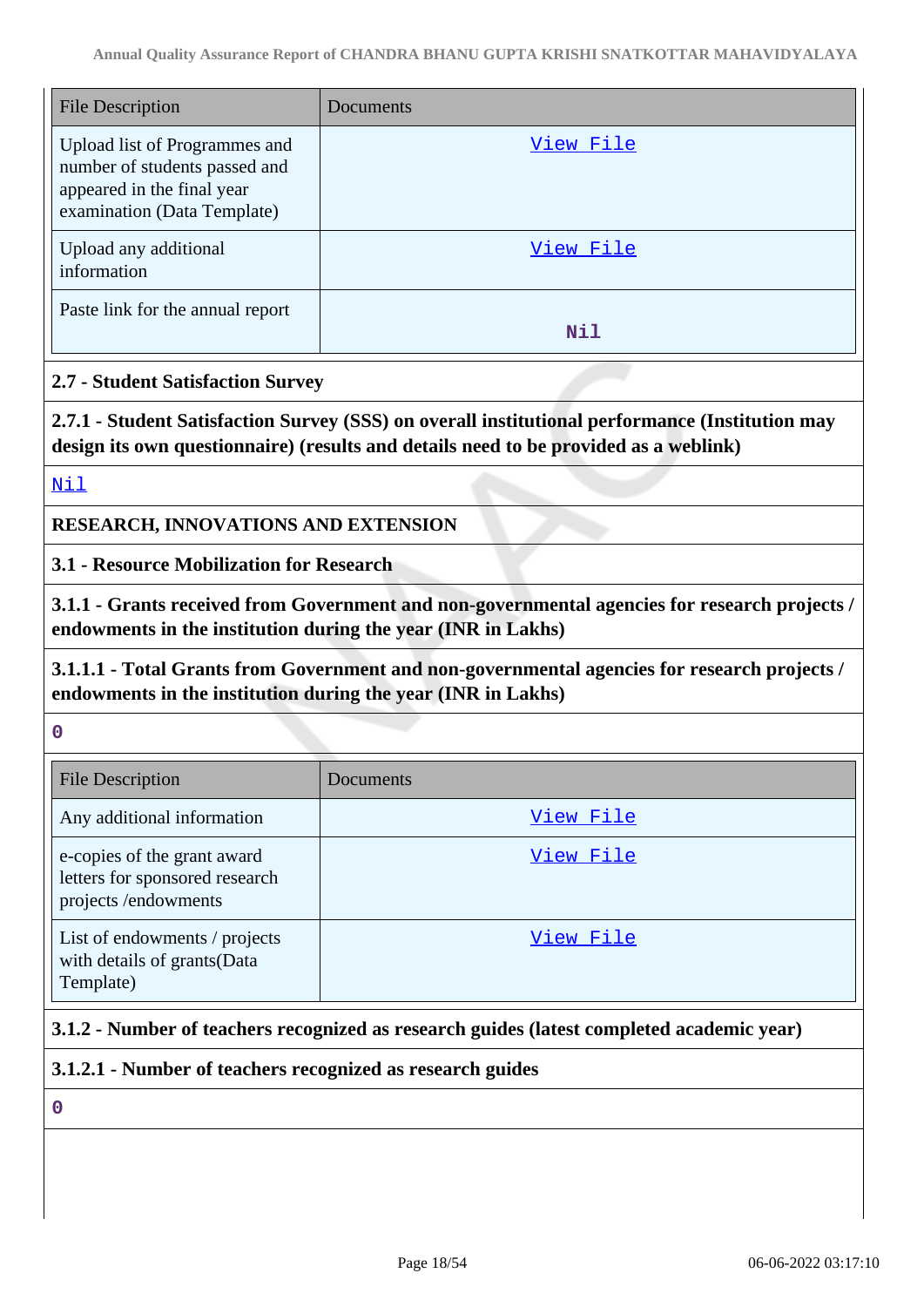| <b>File Description</b>                                                                                                     | Documents |
|-----------------------------------------------------------------------------------------------------------------------------|-----------|
| Upload list of Programmes and<br>number of students passed and<br>appeared in the final year<br>examination (Data Template) | View File |
| Upload any additional<br>information                                                                                        | View File |
| Paste link for the annual report                                                                                            | Nil       |

#### **2.7 - Student Satisfaction Survey**

**2.7.1 - Student Satisfaction Survey (SSS) on overall institutional performance (Institution may design its own questionnaire) (results and details need to be provided as a weblink)**

<Nil>

**RESEARCH, INNOVATIONS AND EXTENSION**

**3.1 - Resource Mobilization for Research**

**3.1.1 - Grants received from Government and non-governmental agencies for research projects / endowments in the institution during the year (INR in Lakhs)**

## **3.1.1.1 - Total Grants from Government and non-governmental agencies for research projects / endowments in the institution during the year (INR in Lakhs)**

**0**

| <b>File Description</b>                                                              | Documents |
|--------------------------------------------------------------------------------------|-----------|
| Any additional information                                                           | View File |
| e-copies of the grant award<br>letters for sponsored research<br>projects/endowments | View File |
| List of endowments / projects<br>with details of grants(Data<br>Template)            | View File |

## **3.1.2 - Number of teachers recognized as research guides (latest completed academic year)**

**3.1.2.1 - Number of teachers recognized as research guides**

**0**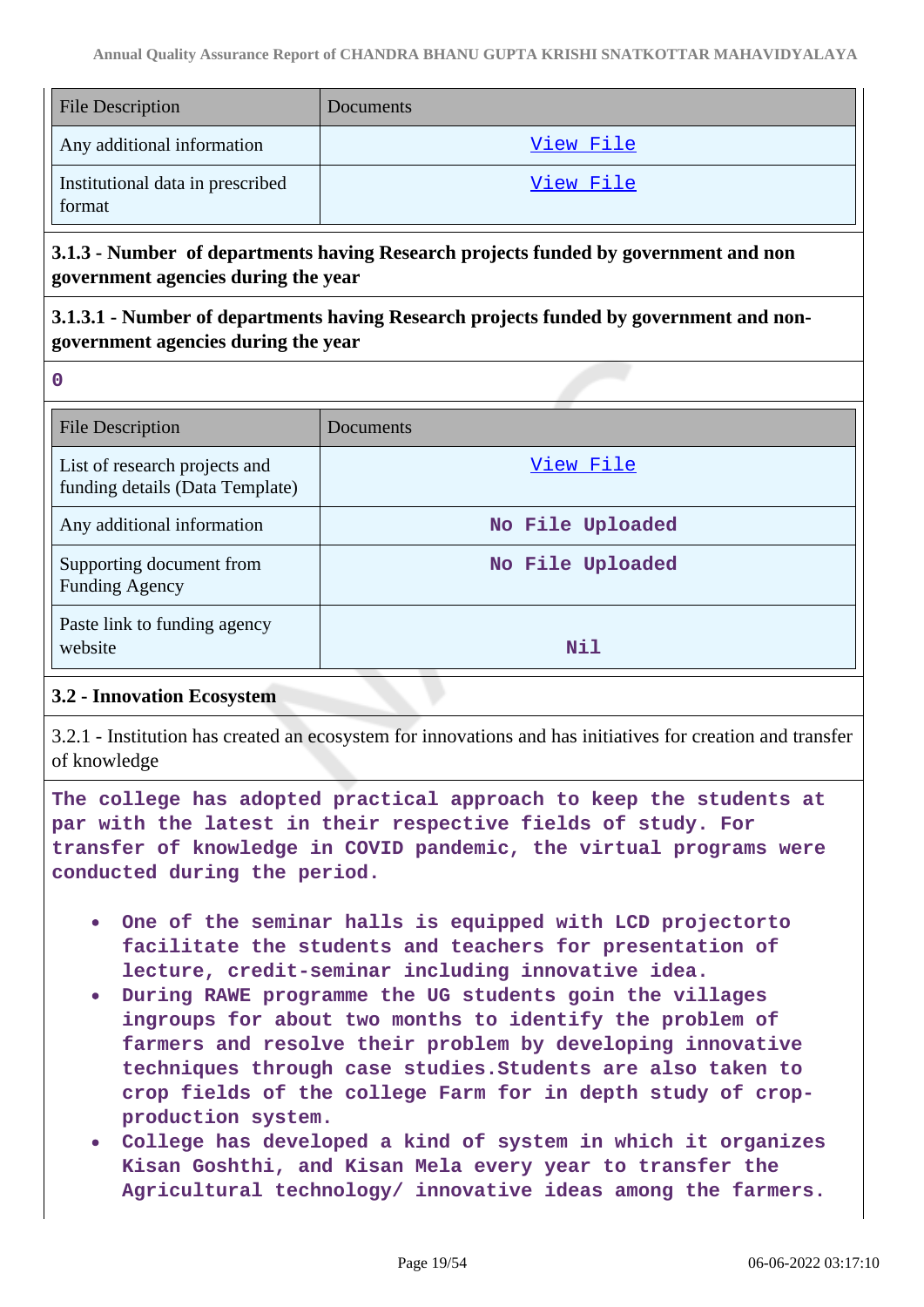| <b>File Description</b>                    | Documents        |
|--------------------------------------------|------------------|
| Any additional information                 | <u>View File</u> |
| Institutional data in prescribed<br>format | View File        |

## **3.1.3 - Number of departments having Research projects funded by government and non government agencies during the year**

## **3.1.3.1 - Number of departments having Research projects funded by government and nongovernment agencies during the year**

| ı<br>۰.<br>۰. |  |
|---------------|--|

| <b>File Description</b>                                          | Documents        |
|------------------------------------------------------------------|------------------|
| List of research projects and<br>funding details (Data Template) | View File        |
| Any additional information                                       | No File Uploaded |
| Supporting document from<br><b>Funding Agency</b>                | No File Uploaded |
| Paste link to funding agency<br>website                          | Nil              |

## **3.2 - Innovation Ecosystem**

3.2.1 - Institution has created an ecosystem for innovations and has initiatives for creation and transfer of knowledge

**The college has adopted practical approach to keep the students at par with the latest in their respective fields of study. For transfer of knowledge in COVID pandemic, the virtual programs were conducted during the period.**

- **One of the seminar halls is equipped with LCD projectorto facilitate the students and teachers for presentation of lecture, credit-seminar including innovative idea.**
- **During RAWE programme the UG students goin the villages ingroups for about two months to identify the problem of farmers and resolve their problem by developing innovative techniques through case studies.Students are also taken to crop fields of the college Farm for in depth study of cropproduction system.**
- **College has developed a kind of system in which it organizes Kisan Goshthi, and Kisan Mela every year to transfer the Agricultural technology/ innovative ideas among the farmers.**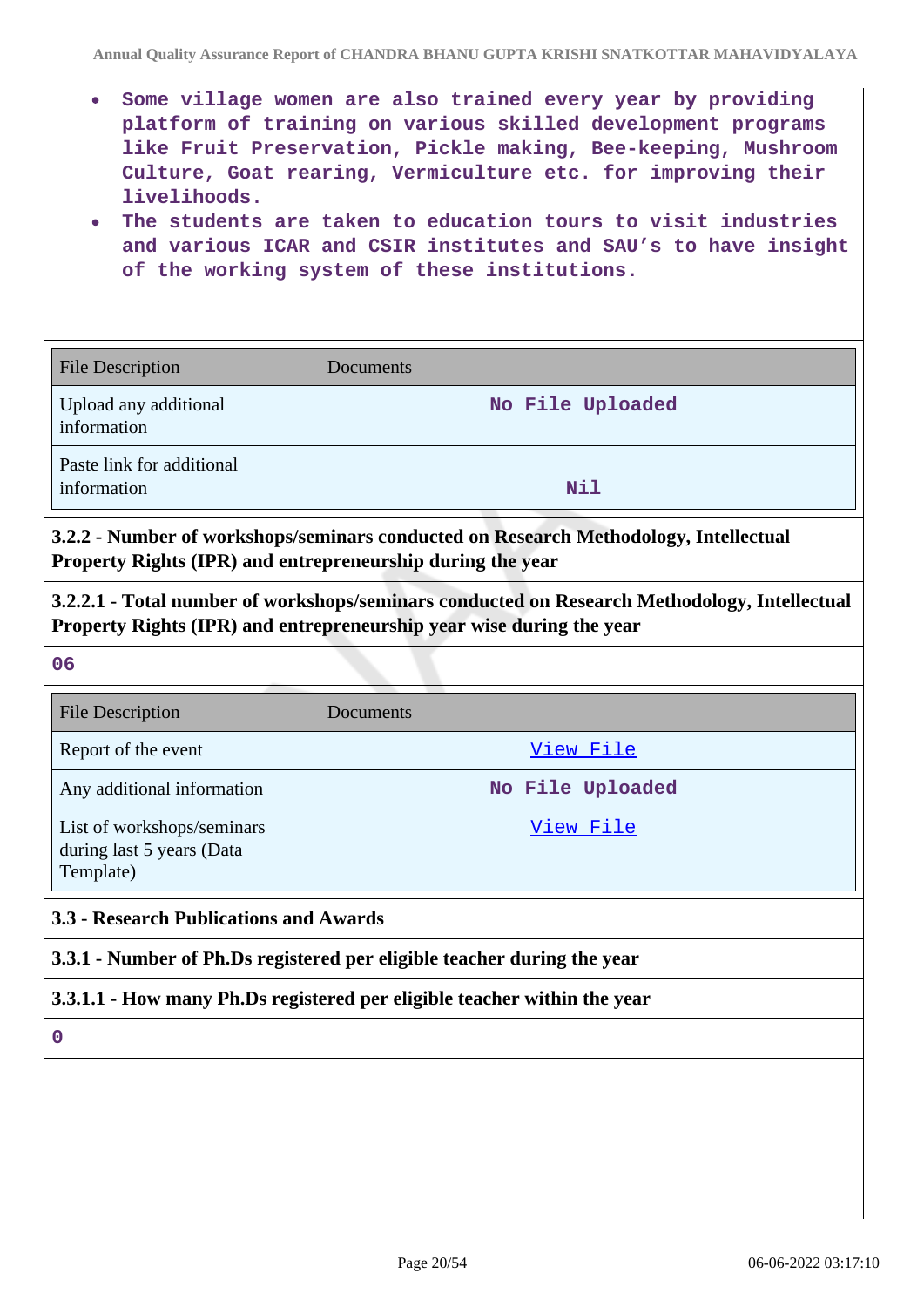- **Some village women are also trained every year by providing platform of training on various skilled development programs like Fruit Preservation, Pickle making, Bee-keeping, Mushroom Culture, Goat rearing, Vermiculture etc. for improving their livelihoods.**
- **The students are taken to education tours to visit industries and various ICAR and CSIR institutes and SAU's to have insight of the working system of these institutions.**

| File Description                         | Documents        |
|------------------------------------------|------------------|
| Upload any additional<br>information     | No File Uploaded |
| Paste link for additional<br>information | Nil              |

**3.2.2 - Number of workshops/seminars conducted on Research Methodology, Intellectual Property Rights (IPR) and entrepreneurship during the year**

**3.2.2.1 - Total number of workshops/seminars conducted on Research Methodology, Intellectual Property Rights (IPR) and entrepreneurship year wise during the year**

**06**

| <b>File Description</b>                                              | Documents        |
|----------------------------------------------------------------------|------------------|
| Report of the event                                                  | View File        |
| Any additional information                                           | No File Uploaded |
| List of workshops/seminars<br>during last 5 years (Data<br>Template) | View File        |

## **3.3 - Research Publications and Awards**

**3.3.1 - Number of Ph.Ds registered per eligible teacher during the year**

#### **3.3.1.1 - How many Ph.Ds registered per eligible teacher within the year**

**0**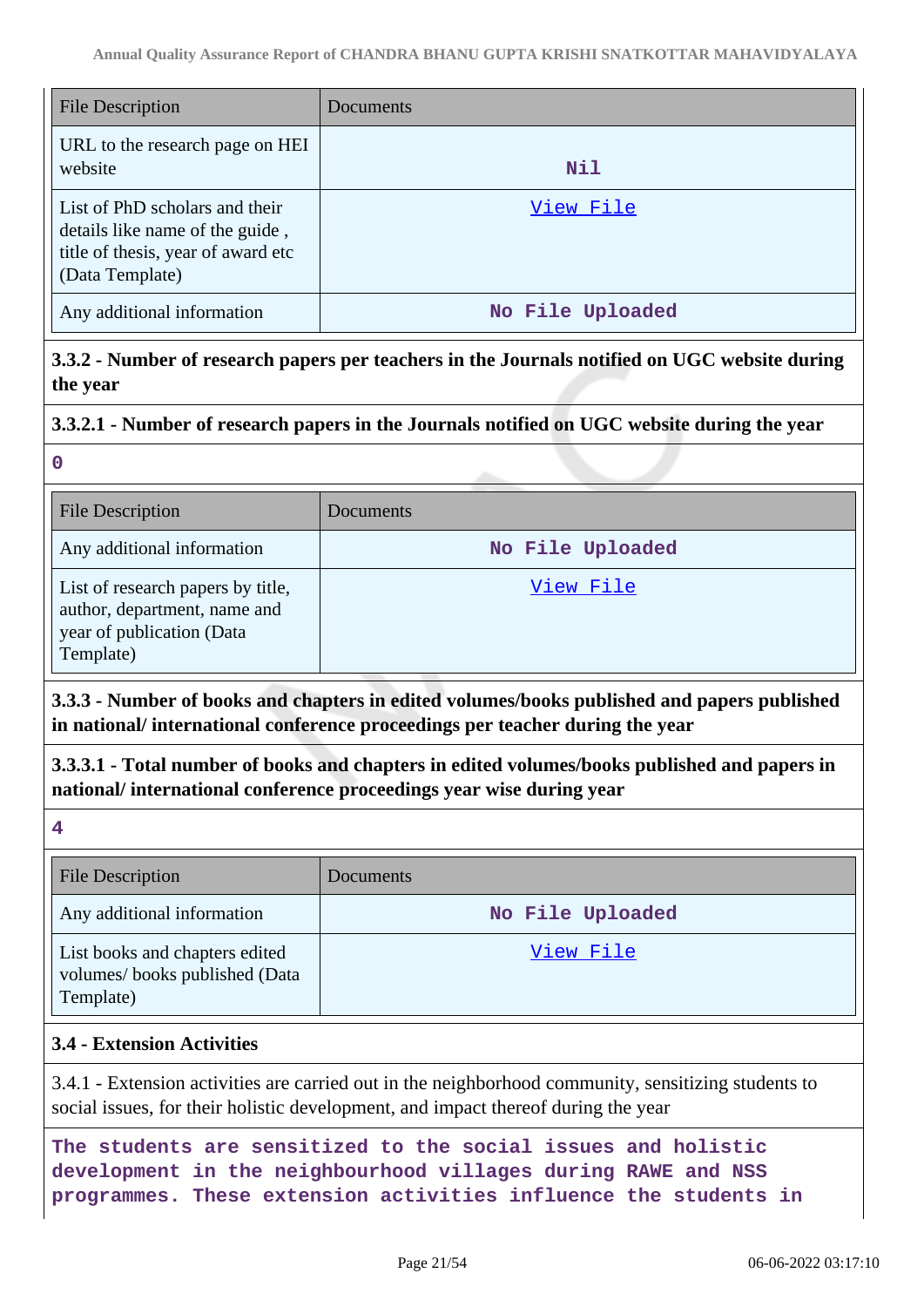| <b>File Description</b>                                                                                                    | <b>Documents</b> |
|----------------------------------------------------------------------------------------------------------------------------|------------------|
| URL to the research page on HEI<br>website                                                                                 | Nil              |
| List of PhD scholars and their<br>details like name of the guide,<br>title of thesis, year of award etc<br>(Data Template) | View File        |
| Any additional information                                                                                                 | No File Uploaded |

**3.3.2 - Number of research papers per teachers in the Journals notified on UGC website during the year**

#### **3.3.2.1 - Number of research papers in the Journals notified on UGC website during the year**

**0**

| <b>File Description</b>                                                                                     | Documents        |
|-------------------------------------------------------------------------------------------------------------|------------------|
| Any additional information                                                                                  | No File Uploaded |
| List of research papers by title,<br>author, department, name and<br>year of publication (Data<br>Template) | View File        |

**3.3.3 - Number of books and chapters in edited volumes/books published and papers published in national/ international conference proceedings per teacher during the year**

**3.3.3.1 - Total number of books and chapters in edited volumes/books published and papers in national/ international conference proceedings year wise during year**

**4**

| <b>File Description</b>                                                      | Documents        |
|------------------------------------------------------------------------------|------------------|
| Any additional information                                                   | No File Uploaded |
| List books and chapters edited<br>volumes/books published (Data<br>Template) | View File        |

#### **3.4 - Extension Activities**

3.4.1 - Extension activities are carried out in the neighborhood community, sensitizing students to social issues, for their holistic development, and impact thereof during the year

**The students are sensitized to the social issues and holistic development in the neighbourhood villages during RAWE and NSS programmes. These extension activities influence the students in**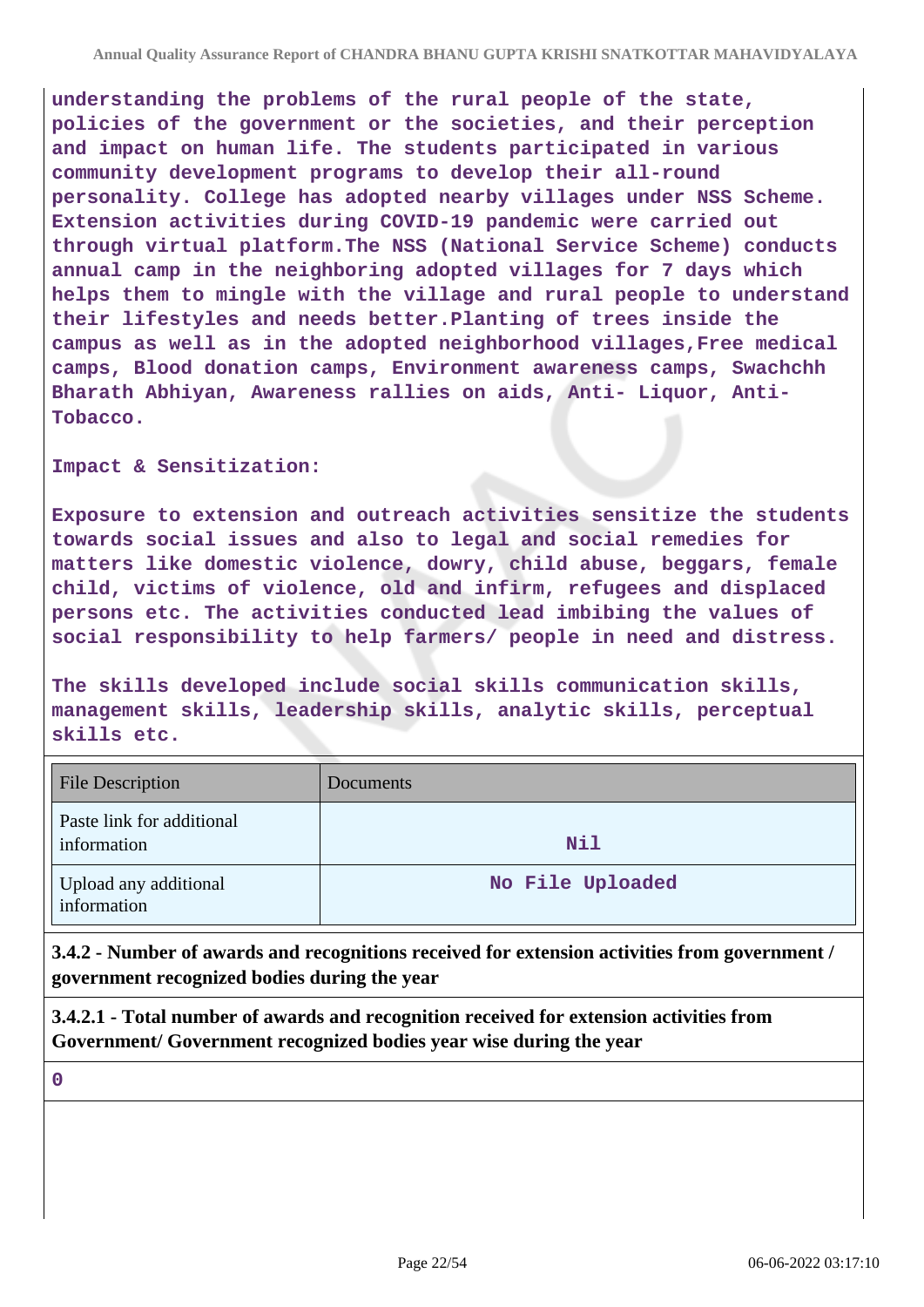**understanding the problems of the rural people of the state, policies of the government or the societies, and their perception and impact on human life. The students participated in various community development programs to develop their all-round personality. College has adopted nearby villages under NSS Scheme. Extension activities during COVID-19 pandemic were carried out through virtual platform.The NSS (National Service Scheme) conducts annual camp in the neighboring adopted villages for 7 days which helps them to mingle with the village and rural people to understand their lifestyles and needs better.Planting of trees inside the campus as well as in the adopted neighborhood villages,Free medical camps, Blood donation camps, Environment awareness camps, Swachchh Bharath Abhiyan, Awareness rallies on aids, Anti- Liquor, Anti-Tobacco.**

**Impact & Sensitization:**

**Exposure to extension and outreach activities sensitize the students towards social issues and also to legal and social remedies for matters like domestic violence, dowry, child abuse, beggars, female child, victims of violence, old and infirm, refugees and displaced persons etc. The activities conducted lead imbibing the values of social responsibility to help farmers/ people in need and distress.**

**The skills developed include social skills communication skills, management skills, leadership skills, analytic skills, perceptual skills etc.**

| <b>File Description</b>                  | <b>Documents</b> |
|------------------------------------------|------------------|
| Paste link for additional<br>information | Nil              |
| Upload any additional<br>information     | No File Uploaded |

**3.4.2 - Number of awards and recognitions received for extension activities from government / government recognized bodies during the year**

**3.4.2.1 - Total number of awards and recognition received for extension activities from Government/ Government recognized bodies year wise during the year**

**0**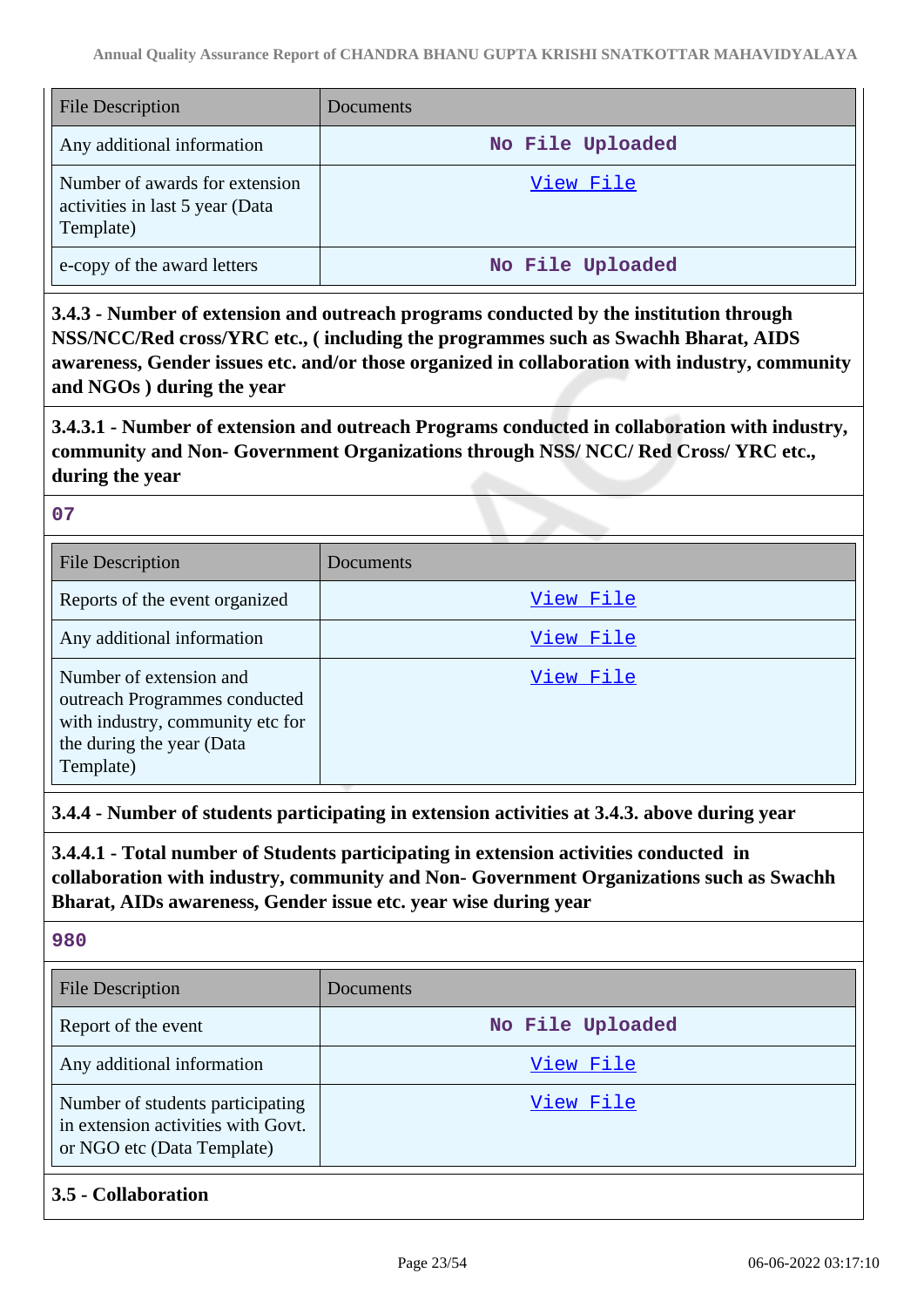| <b>File Description</b>                                                        | <b>Documents</b> |
|--------------------------------------------------------------------------------|------------------|
| Any additional information                                                     | No File Uploaded |
| Number of awards for extension<br>activities in last 5 year (Data<br>Template) | View File        |
| e-copy of the award letters                                                    | No File Uploaded |

**3.4.3 - Number of extension and outreach programs conducted by the institution through NSS/NCC/Red cross/YRC etc., ( including the programmes such as Swachh Bharat, AIDS awareness, Gender issues etc. and/or those organized in collaboration with industry, community and NGOs ) during the year**

**3.4.3.1 - Number of extension and outreach Programs conducted in collaboration with industry, community and Non- Government Organizations through NSS/ NCC/ Red Cross/ YRC etc., during the year**

#### **07**

| <b>File Description</b>                                                                                                                | Documents |
|----------------------------------------------------------------------------------------------------------------------------------------|-----------|
| Reports of the event organized                                                                                                         | View File |
| Any additional information                                                                                                             | View File |
| Number of extension and<br>outreach Programmes conducted<br>with industry, community etc for<br>the during the year (Data<br>Template) | View File |

**3.4.4 - Number of students participating in extension activities at 3.4.3. above during year**

**3.4.4.1 - Total number of Students participating in extension activities conducted in collaboration with industry, community and Non- Government Organizations such as Swachh Bharat, AIDs awareness, Gender issue etc. year wise during year**

**980**

| <b>File Description</b>                                                                              | <b>Documents</b> |
|------------------------------------------------------------------------------------------------------|------------------|
| Report of the event                                                                                  | No File Uploaded |
| Any additional information                                                                           | View File        |
| Number of students participating<br>in extension activities with Govt.<br>or NGO etc (Data Template) | View File        |

**3.5 - Collaboration**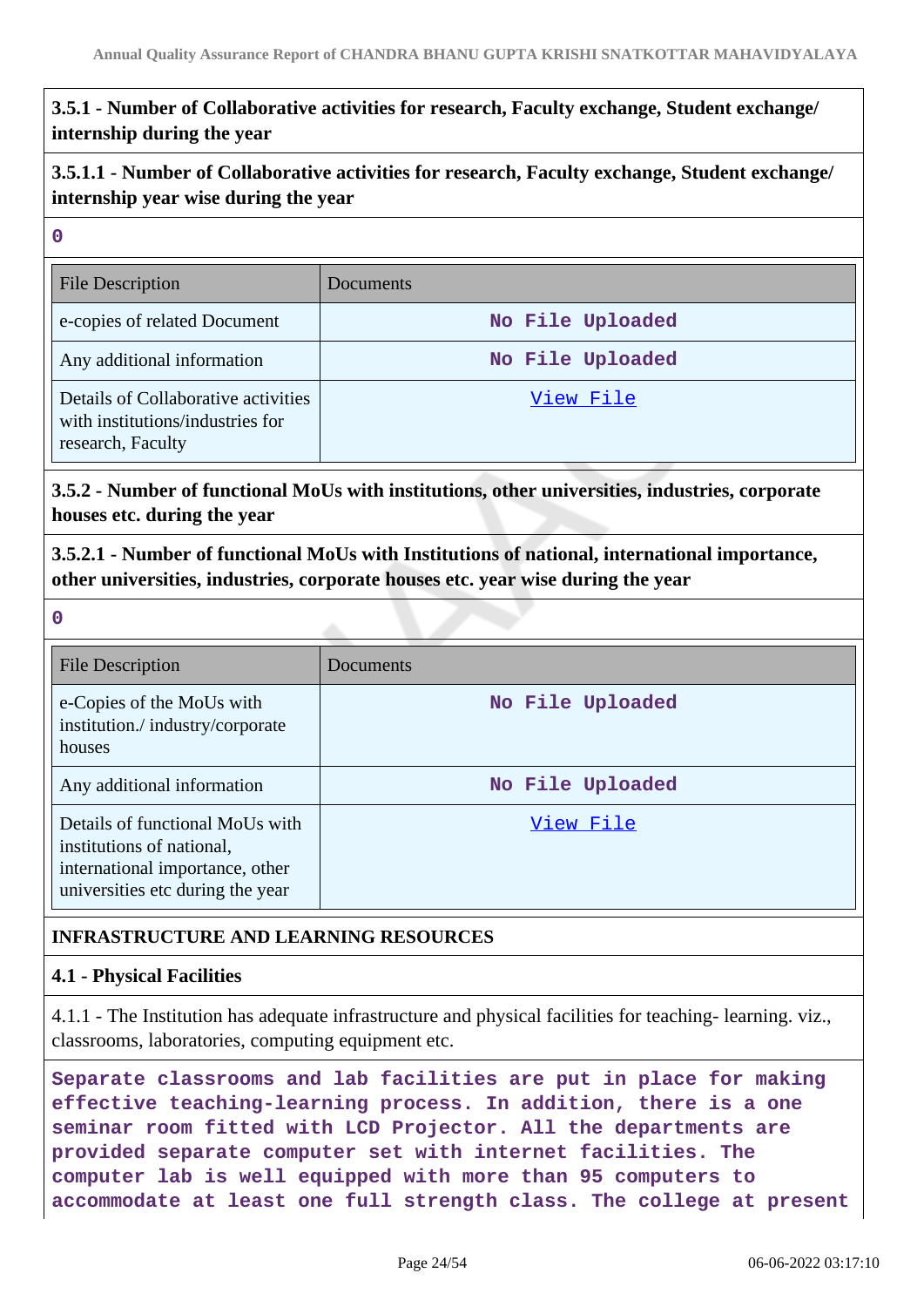## **3.5.1 - Number of Collaborative activities for research, Faculty exchange, Student exchange/ internship during the year**

**3.5.1.1 - Number of Collaborative activities for research, Faculty exchange, Student exchange/ internship year wise during the year**

#### **0**

| <b>File Description</b>                                                                      | Documents        |
|----------------------------------------------------------------------------------------------|------------------|
| e-copies of related Document                                                                 | No File Uploaded |
| Any additional information                                                                   | No File Uploaded |
| Details of Collaborative activities<br>with institutions/industries for<br>research, Faculty | View File        |

## **3.5.2 - Number of functional MoUs with institutions, other universities, industries, corporate houses etc. during the year**

**3.5.2.1 - Number of functional MoUs with Institutions of national, international importance, other universities, industries, corporate houses etc. year wise during the year**

**0**

| <b>File Description</b>                                                                                                             | Documents        |
|-------------------------------------------------------------------------------------------------------------------------------------|------------------|
| e-Copies of the MoUs with<br>institution./industry/corporate<br>houses                                                              | No File Uploaded |
| Any additional information                                                                                                          | No File Uploaded |
| Details of functional MoUs with<br>institutions of national,<br>international importance, other<br>universities etc during the year | View File        |

## **INFRASTRUCTURE AND LEARNING RESOURCES**

#### **4.1 - Physical Facilities**

4.1.1 - The Institution has adequate infrastructure and physical facilities for teaching- learning. viz., classrooms, laboratories, computing equipment etc.

**Separate classrooms and lab facilities are put in place for making effective teaching-learning process. In addition, there is a one seminar room fitted with LCD Projector. All the departments are provided separate computer set with internet facilities. The computer lab is well equipped with more than 95 computers to accommodate at least one full strength class. The college at present**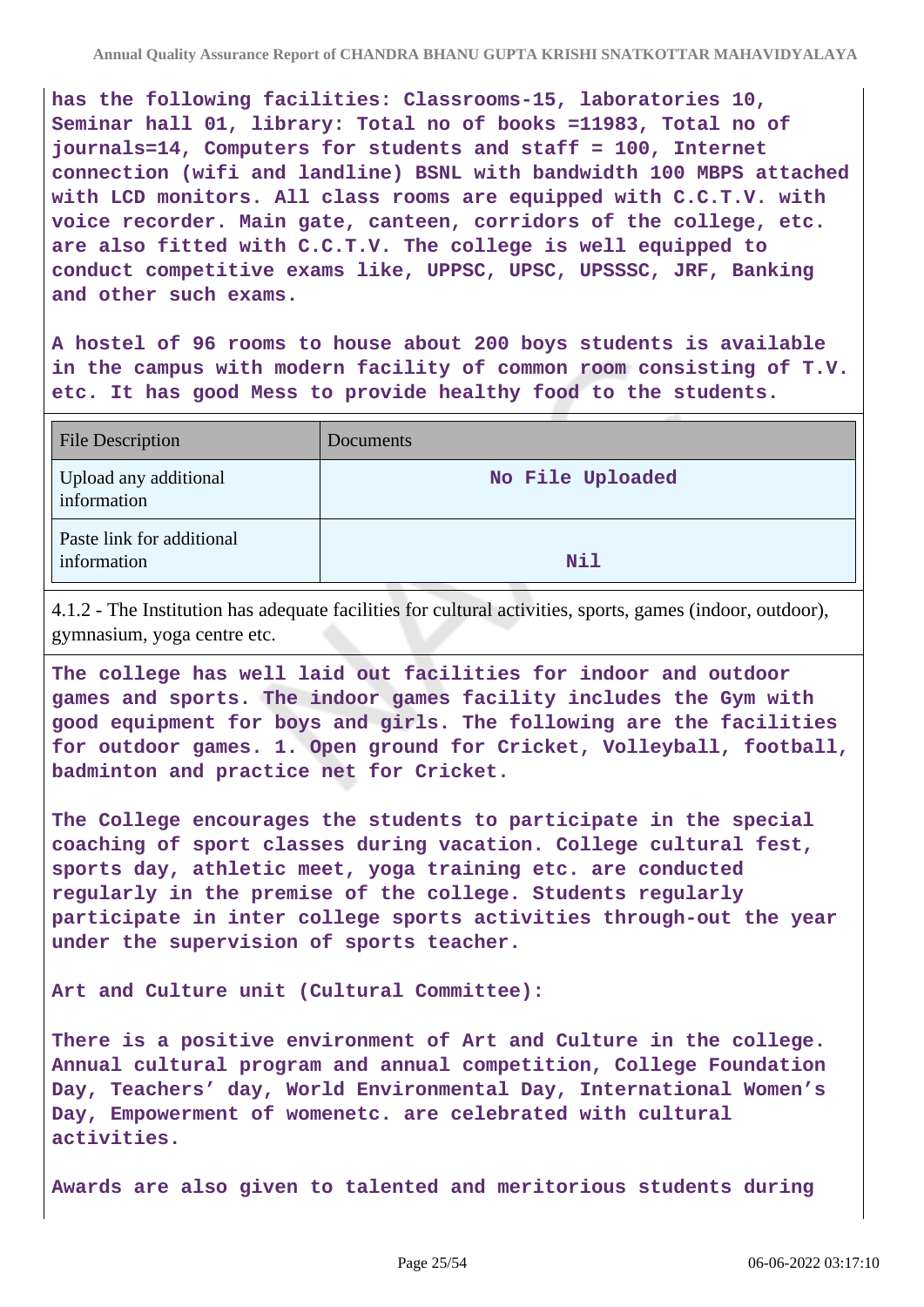**has the following facilities: Classrooms-15, laboratories 10, Seminar hall 01, library: Total no of books =11983, Total no of journals=14, Computers for students and staff = 100, Internet connection (wifi and landline) BSNL with bandwidth 100 MBPS attached with LCD monitors. All class rooms are equipped with C.C.T.V. with voice recorder. Main gate, canteen, corridors of the college, etc. are also fitted with C.C.T.V. The college is well equipped to conduct competitive exams like, UPPSC, UPSC, UPSSSC, JRF, Banking and other such exams.**

**A hostel of 96 rooms to house about 200 boys students is available in the campus with modern facility of common room consisting of T.V. etc. It has good Mess to provide healthy food to the students.**

| <b>File Description</b>                  | Documents        |
|------------------------------------------|------------------|
| Upload any additional<br>information     | No File Uploaded |
| Paste link for additional<br>information | Nil              |

4.1.2 - The Institution has adequate facilities for cultural activities, sports, games (indoor, outdoor), gymnasium, yoga centre etc.

**The college has well laid out facilities for indoor and outdoor games and sports. The indoor games facility includes the Gym with good equipment for boys and girls. The following are the facilities for outdoor games. 1. Open ground for Cricket, Volleyball, football, badminton and practice net for Cricket.**

**The College encourages the students to participate in the special coaching of sport classes during vacation. College cultural fest, sports day, athletic meet, yoga training etc. are conducted regularly in the premise of the college. Students regularly participate in inter college sports activities through-out the year under the supervision of sports teacher.**

**Art and Culture unit (Cultural Committee):**

**There is a positive environment of Art and Culture in the college. Annual cultural program and annual competition, College Foundation Day, Teachers' day, World Environmental Day, International Women's Day, Empowerment of womenetc. are celebrated with cultural activities.**

**Awards are also given to talented and meritorious students during**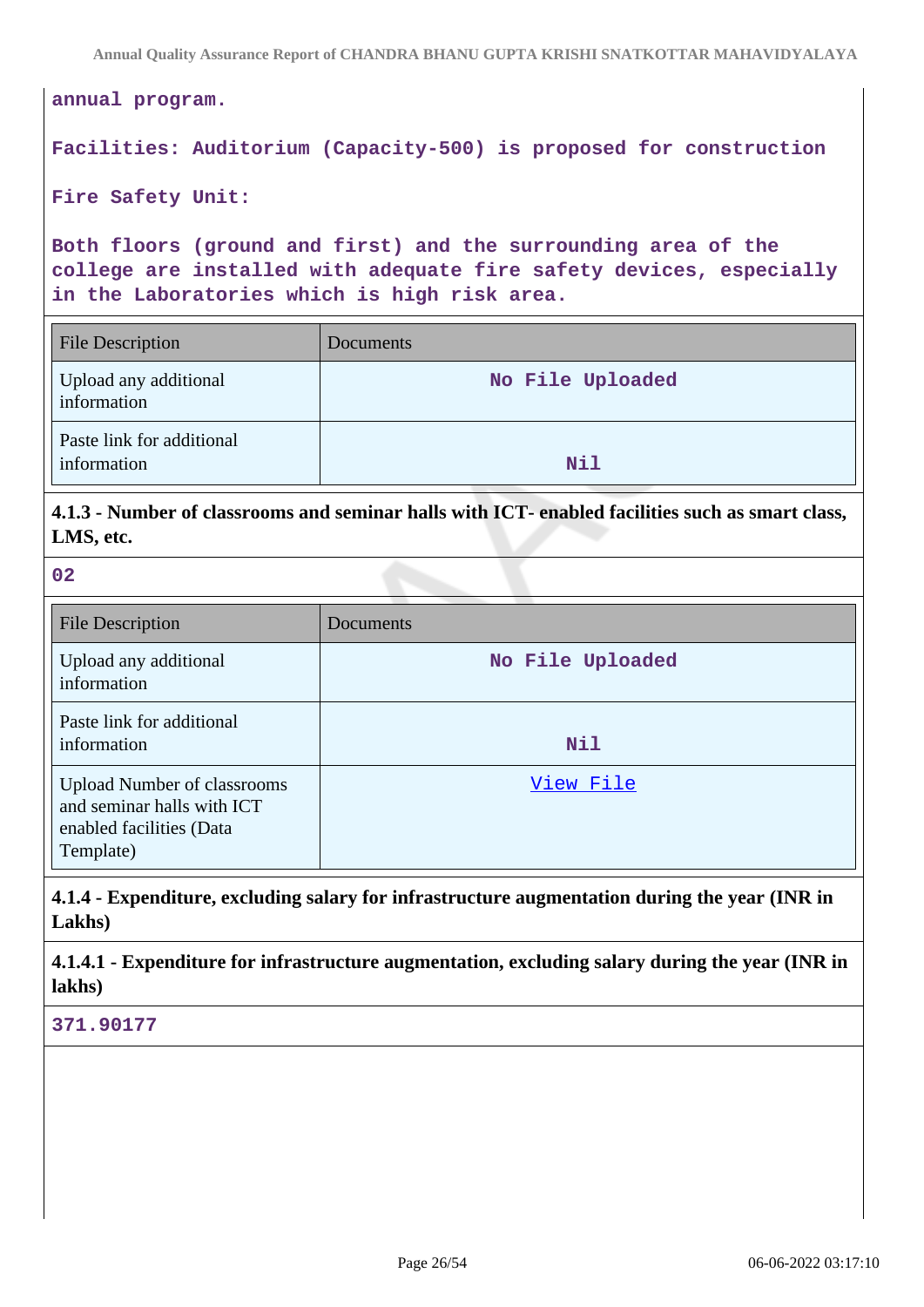**Annual Quality Assurance Report of CHANDRA BHANU GUPTA KRISHI SNATKOTTAR MAHAVIDYALAYA**

# **annual program. Facilities: Auditorium (Capacity-500) is proposed for construction Fire Safety Unit: Both floors (ground and first) and the surrounding area of the college are installed with adequate fire safety devices, especially in the Laboratories which is high risk area.** File Description Documents Upload any additional information **No File Uploaded** Paste link for additional information **Nil**

**4.1.3 - Number of classrooms and seminar halls with ICT- enabled facilities such as smart class, LMS, etc.**

**02**

| <b>File Description</b>                                                                                   | Documents        |
|-----------------------------------------------------------------------------------------------------------|------------------|
| Upload any additional<br>information                                                                      | No File Uploaded |
| Paste link for additional<br>information                                                                  | Nil              |
| <b>Upload Number of classrooms</b><br>and seminar halls with ICT<br>enabled facilities (Data<br>Template) | View File        |

**4.1.4 - Expenditure, excluding salary for infrastructure augmentation during the year (INR in Lakhs)**

**4.1.4.1 - Expenditure for infrastructure augmentation, excluding salary during the year (INR in lakhs)**

**371.90177**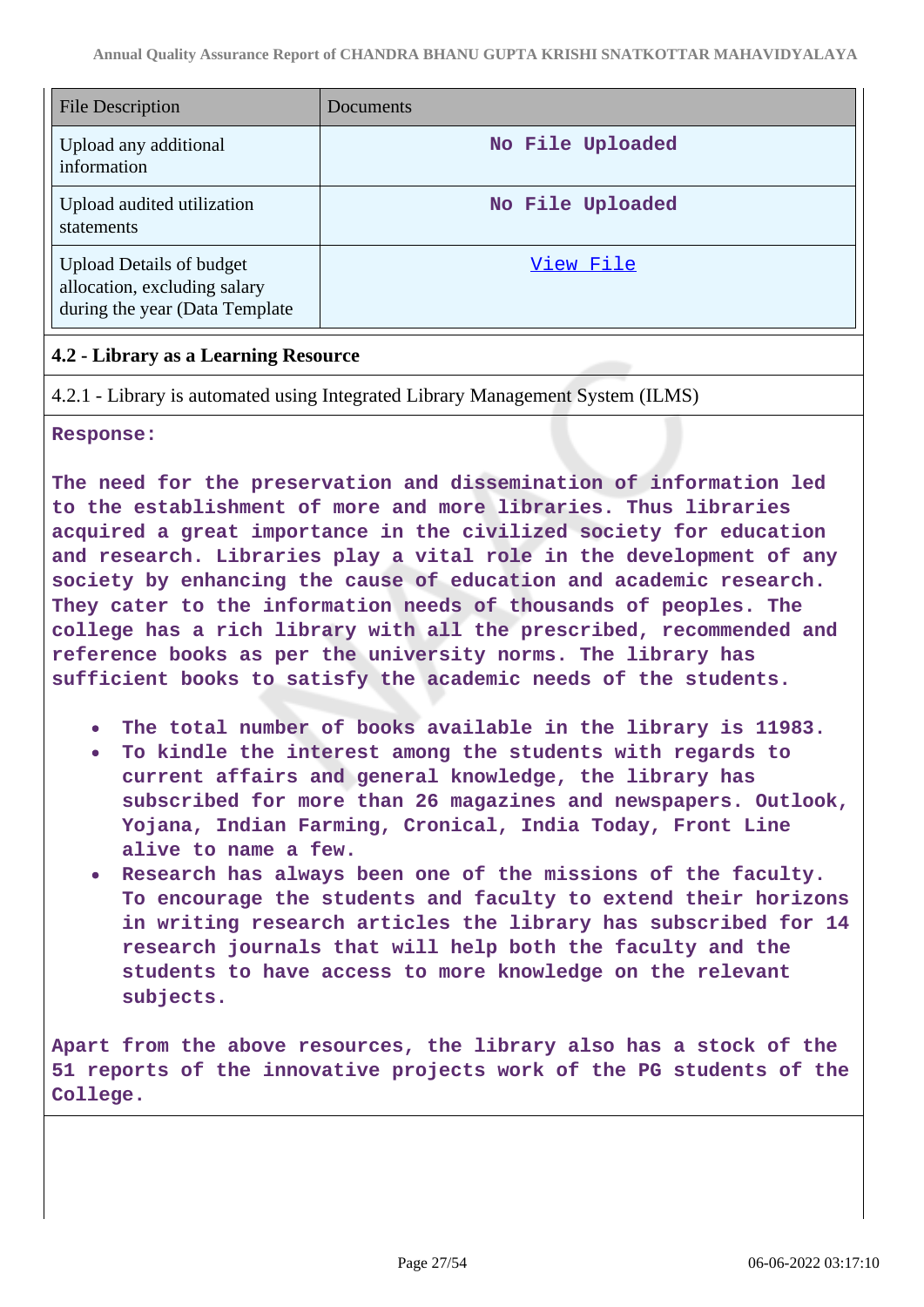| <b>File Description</b>                                                                           | Documents        |
|---------------------------------------------------------------------------------------------------|------------------|
| Upload any additional<br>information                                                              | No File Uploaded |
| Upload audited utilization<br>statements                                                          | No File Uploaded |
| <b>Upload Details of budget</b><br>allocation, excluding salary<br>during the year (Data Template | View File        |

## **4.2 - Library as a Learning Resource**

4.2.1 - Library is automated using Integrated Library Management System (ILMS)

**Response:**

**The need for the preservation and dissemination of information led to the establishment of more and more libraries. Thus libraries acquired a great importance in the civilized society for education and research. Libraries play a vital role in the development of any society by enhancing the cause of education and academic research. They cater to the information needs of thousands of peoples. The college has a rich library with all the prescribed, recommended and reference books as per the university norms. The library has sufficient books to satisfy the academic needs of the students.**

- **The total number of books available in the library is 11983.**
- **To kindle the interest among the students with regards to current affairs and general knowledge, the library has subscribed for more than 26 magazines and newspapers. Outlook, Yojana, Indian Farming, Cronical, India Today, Front Line alive to name a few.**
- **Research has always been one of the missions of the faculty. To encourage the students and faculty to extend their horizons in writing research articles the library has subscribed for 14 research journals that will help both the faculty and the students to have access to more knowledge on the relevant subjects.**

**Apart from the above resources, the library also has a stock of the 51 reports of the innovative projects work of the PG students of the College.**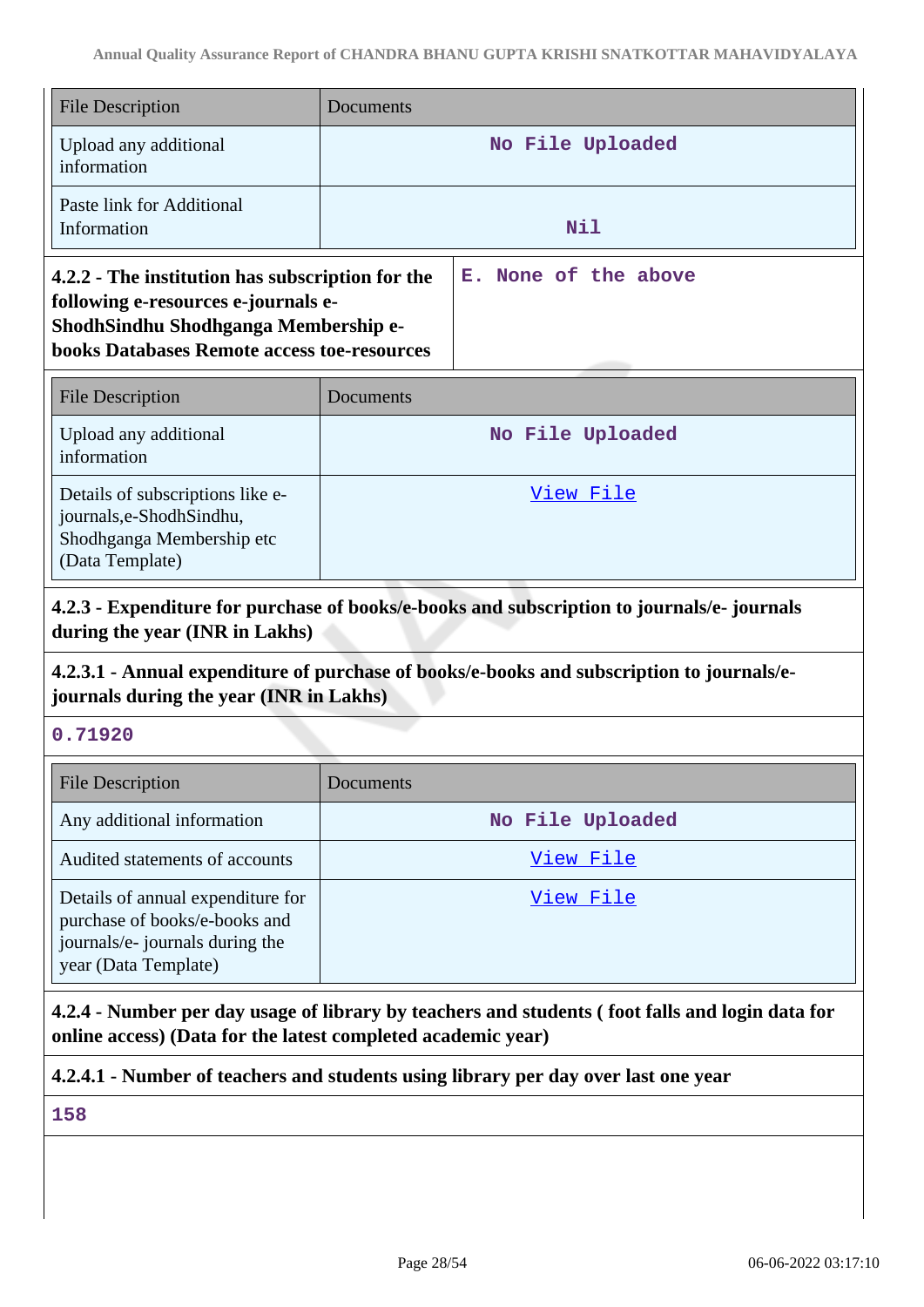| <b>File Description</b>                                                                                                                                                               | Documents |                      |
|---------------------------------------------------------------------------------------------------------------------------------------------------------------------------------------|-----------|----------------------|
| Upload any additional<br>information                                                                                                                                                  |           | No File Uploaded     |
| Paste link for Additional<br>Information                                                                                                                                              |           | Nil                  |
| 4.2.2 - The institution has subscription for the<br>following e-resources e-journals e-<br>ShodhSindhu Shodhganga Membership e-<br><b>books Databases Remote access toe-resources</b> |           | E. None of the above |

| <b>File Description</b>                                                                                       | Documents        |
|---------------------------------------------------------------------------------------------------------------|------------------|
| Upload any additional<br>information                                                                          | No File Uploaded |
| Details of subscriptions like e-<br>journals, e-Shodh Sindhu,<br>Shodhganga Membership etc<br>(Data Template) | View File        |

**4.2.3 - Expenditure for purchase of books/e-books and subscription to journals/e- journals during the year (INR in Lakhs)**

## **4.2.3.1 - Annual expenditure of purchase of books/e-books and subscription to journals/ejournals during the year (INR in Lakhs)**

## **0.71920**

| <b>File Description</b>                                                                                                       | Documents        |
|-------------------------------------------------------------------------------------------------------------------------------|------------------|
| Any additional information                                                                                                    | No File Uploaded |
| Audited statements of accounts                                                                                                | View File        |
| Details of annual expenditure for<br>purchase of books/e-books and<br>journals/e- journals during the<br>year (Data Template) | View File        |

**4.2.4 - Number per day usage of library by teachers and students ( foot falls and login data for online access) (Data for the latest completed academic year)**

**4.2.4.1 - Number of teachers and students using library per day over last one year**

**158**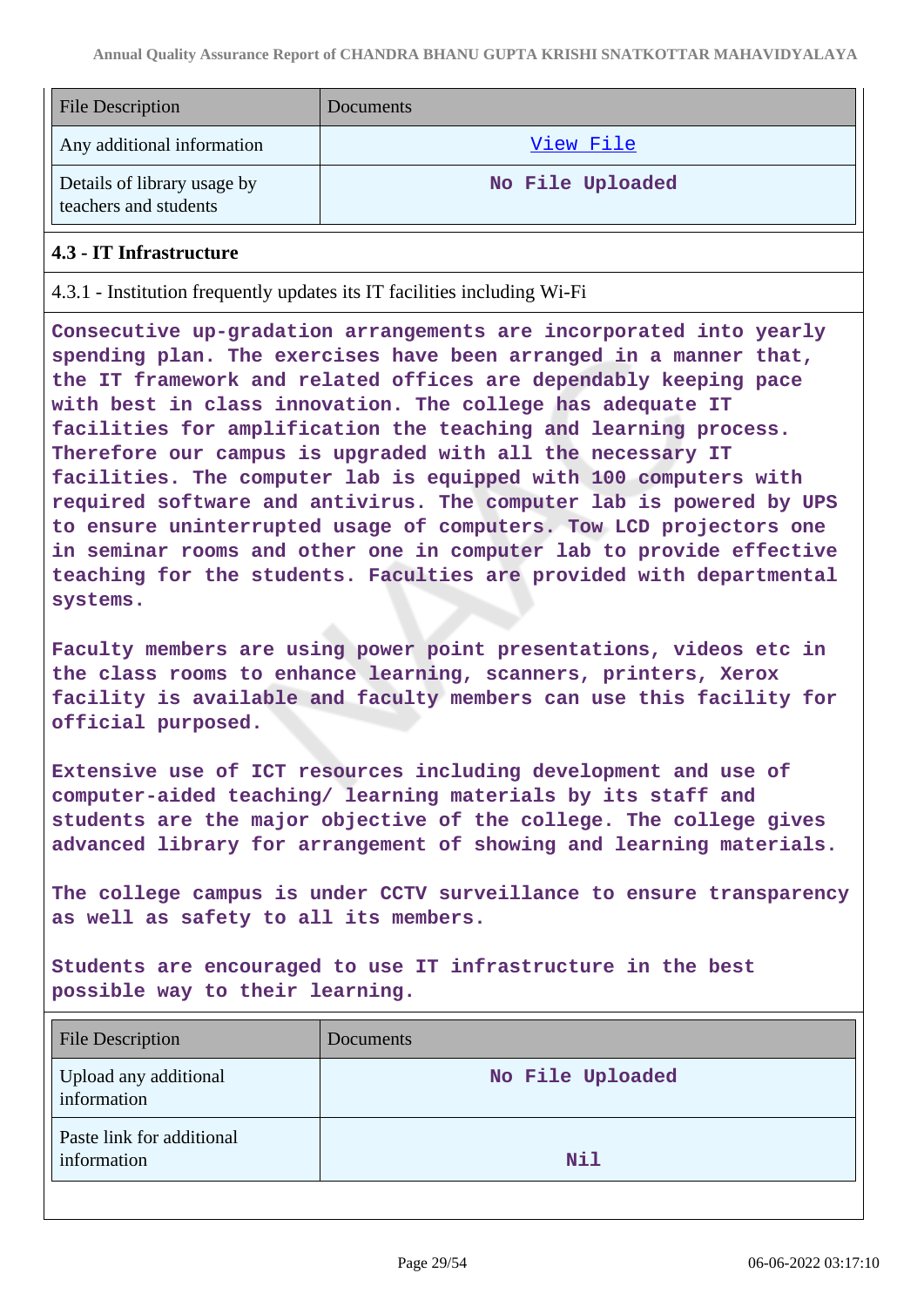| <b>File Description</b>                              | <b>Documents</b> |
|------------------------------------------------------|------------------|
| Any additional information                           | <u>View File</u> |
| Details of library usage by<br>teachers and students | No File Uploaded |

#### **4.3 - IT Infrastructure**

4.3.1 - Institution frequently updates its IT facilities including Wi-Fi

**Consecutive up-gradation arrangements are incorporated into yearly spending plan. The exercises have been arranged in a manner that, the IT framework and related offices are dependably keeping pace with best in class innovation. The college has adequate IT facilities for amplification the teaching and learning process. Therefore our campus is upgraded with all the necessary IT facilities. The computer lab is equipped with 100 computers with required software and antivirus. The computer lab is powered by UPS to ensure uninterrupted usage of computers. Tow LCD projectors one in seminar rooms and other one in computer lab to provide effective teaching for the students. Faculties are provided with departmental systems.**

**Faculty members are using power point presentations, videos etc in the class rooms to enhance learning, scanners, printers, Xerox facility is available and faculty members can use this facility for official purposed.**

**Extensive use of ICT resources including development and use of computer-aided teaching/ learning materials by its staff and students are the major objective of the college. The college gives advanced library for arrangement of showing and learning materials.**

**The college campus is under CCTV surveillance to ensure transparency as well as safety to all its members.**

**Students are encouraged to use IT infrastructure in the best possible way to their learning.**

| <b>File Description</b>                  | <b>Documents</b> |
|------------------------------------------|------------------|
| Upload any additional<br>information     | No File Uploaded |
| Paste link for additional<br>information | Nil              |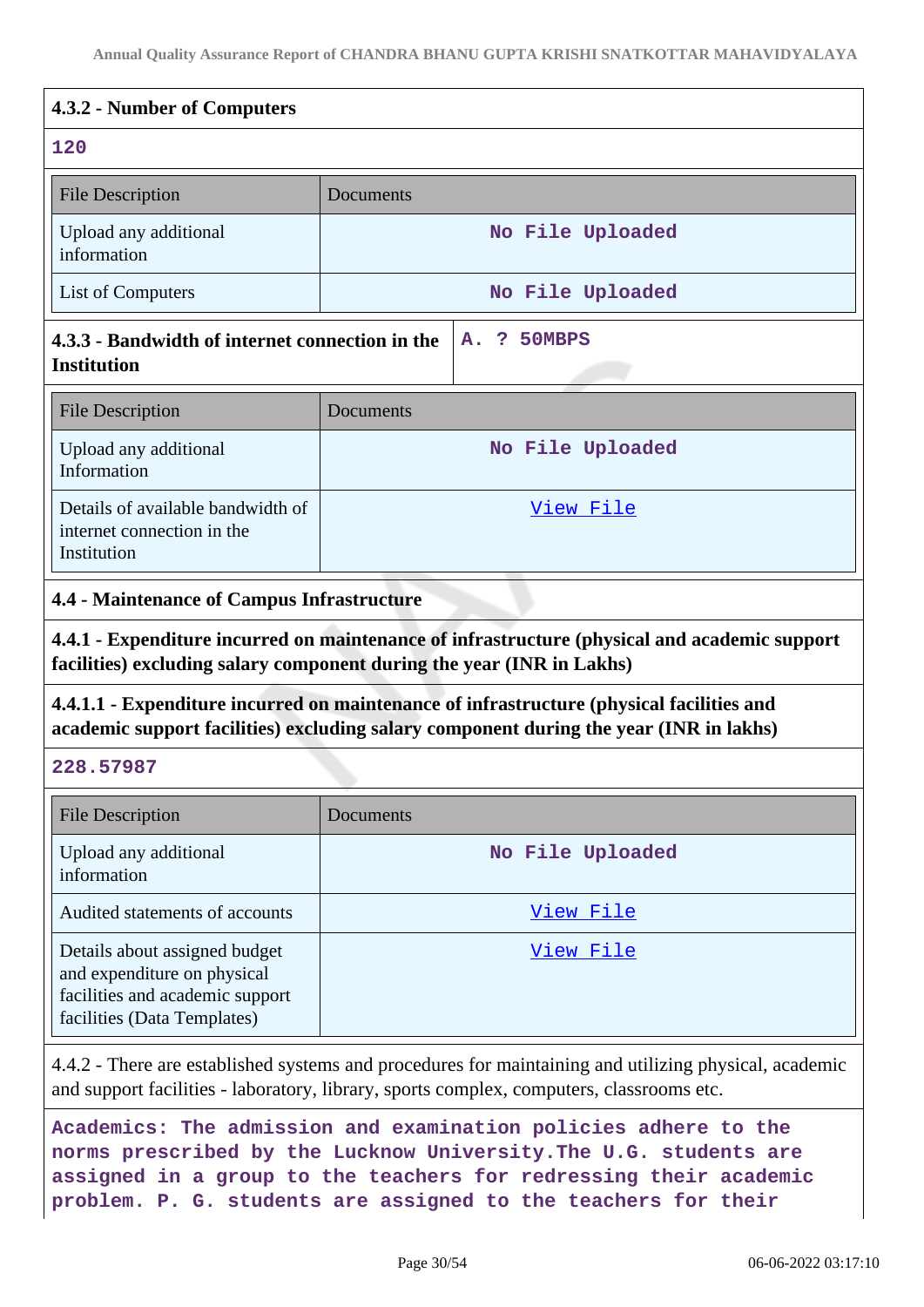## **4.3.2 - Number of Computers 120** File Description Documents Upload any additional information **No File Uploaded** List of Computers **No File Uploaded 4.3.3 - Bandwidth of internet connection in the Institution A. ? 50MBPS** File Description Documents Upload any additional Information **No File Uploaded** Details of available bandwidth of [View File](https://assessmentonline.naac.gov.in/storage/app/public/aqar/19769/19769_144_348.xlsx?1654508828)

## **4.4 - Maintenance of Campus Infrastructure**

**4.4.1 - Expenditure incurred on maintenance of infrastructure (physical and academic support facilities) excluding salary component during the year (INR in Lakhs)**

**4.4.1.1 - Expenditure incurred on maintenance of infrastructure (physical facilities and academic support facilities) excluding salary component during the year (INR in lakhs)**

#### **228.57987**

Institution

internet connection in the

| <b>File Description</b>                                                                                                        | Documents        |
|--------------------------------------------------------------------------------------------------------------------------------|------------------|
| Upload any additional<br>information                                                                                           | No File Uploaded |
| Audited statements of accounts                                                                                                 | View File        |
| Details about assigned budget<br>and expenditure on physical<br>facilities and academic support<br>facilities (Data Templates) | View File        |

4.4.2 - There are established systems and procedures for maintaining and utilizing physical, academic and support facilities - laboratory, library, sports complex, computers, classrooms etc.

**Academics: The admission and examination policies adhere to the norms prescribed by the Lucknow University.The U.G. students are assigned in a group to the teachers for redressing their academic problem. P. G. students are assigned to the teachers for their**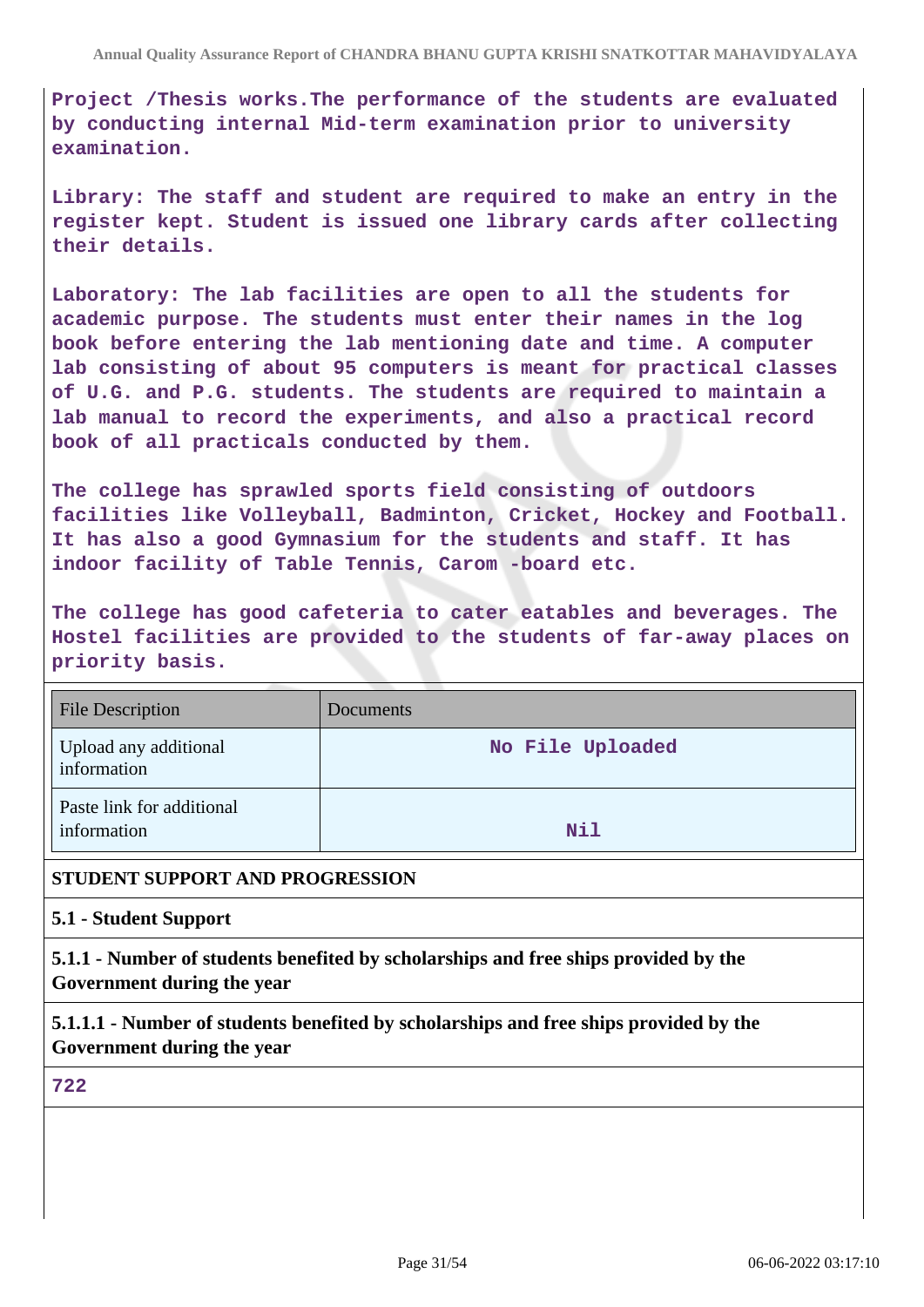**Project /Thesis works.The performance of the students are evaluated by conducting internal Mid-term examination prior to university examination.**

**Library: The staff and student are required to make an entry in the register kept. Student is issued one library cards after collecting their details.**

**Laboratory: The lab facilities are open to all the students for academic purpose. The students must enter their names in the log book before entering the lab mentioning date and time. A computer lab consisting of about 95 computers is meant for practical classes of U.G. and P.G. students. The students are required to maintain a lab manual to record the experiments, and also a practical record book of all practicals conducted by them.**

**The college has sprawled sports field consisting of outdoors facilities like Volleyball, Badminton, Cricket, Hockey and Football. It has also a good Gymnasium for the students and staff. It has indoor facility of Table Tennis, Carom -board etc.**

**The college has good cafeteria to cater eatables and beverages. The Hostel facilities are provided to the students of far-away places on priority basis.**

| <b>File Description</b>                  | <b>Documents</b> |
|------------------------------------------|------------------|
| Upload any additional<br>information     | No File Uploaded |
| Paste link for additional<br>information | Nil              |

#### **STUDENT SUPPORT AND PROGRESSION**

**5.1 - Student Support**

**5.1.1 - Number of students benefited by scholarships and free ships provided by the Government during the year**

**5.1.1.1 - Number of students benefited by scholarships and free ships provided by the Government during the year**

**722**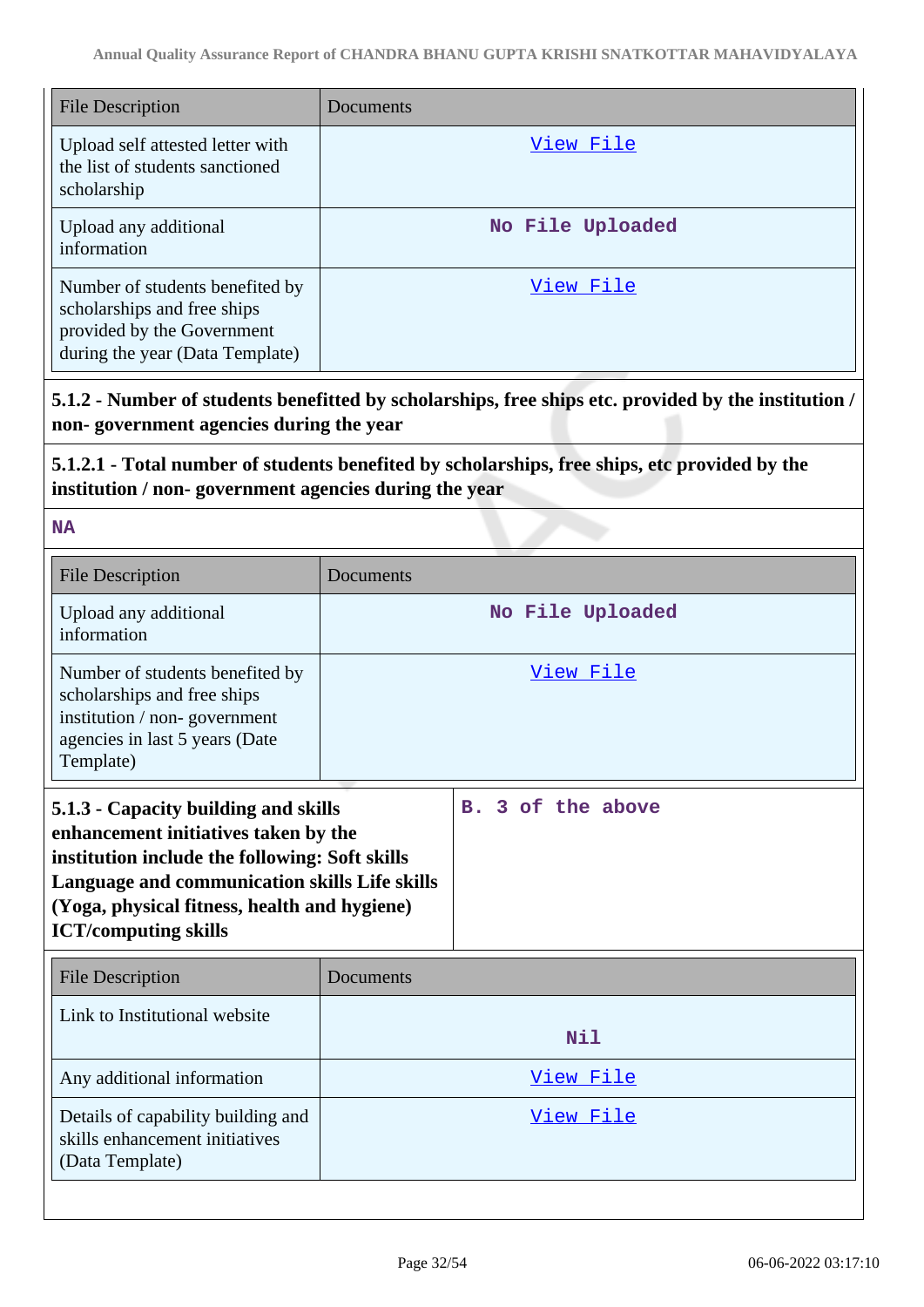| <b>File Description</b>                                                                                                         | Documents        |
|---------------------------------------------------------------------------------------------------------------------------------|------------------|
| Upload self attested letter with<br>the list of students sanctioned<br>scholarship                                              | View File        |
| Upload any additional<br>information                                                                                            | No File Uploaded |
| Number of students benefited by<br>scholarships and free ships<br>provided by the Government<br>during the year (Data Template) | View File        |

**5.1.2 - Number of students benefitted by scholarships, free ships etc. provided by the institution / non- government agencies during the year**

## **5.1.2.1 - Total number of students benefited by scholarships, free ships, etc provided by the institution / non- government agencies during the year**

**NA**

| <b>File Description</b>                                                                                                                                                                                                                                        | Documents |                   |
|----------------------------------------------------------------------------------------------------------------------------------------------------------------------------------------------------------------------------------------------------------------|-----------|-------------------|
| Upload any additional<br>information                                                                                                                                                                                                                           |           | No File Uploaded  |
| Number of students benefited by<br>scholarships and free ships<br>institution / non-government<br>agencies in last 5 years (Date<br>Template)                                                                                                                  | View File |                   |
| 5.1.3 - Capacity building and skills<br>enhancement initiatives taken by the<br>institution include the following: Soft skills<br>Language and communication skills Life skills<br>(Yoga, physical fitness, health and hygiene)<br><b>ICT/computing skills</b> |           | B. 3 of the above |
| <b>File Description</b>                                                                                                                                                                                                                                        | Documents |                   |
| Link to Institutional website                                                                                                                                                                                                                                  |           | <b>Nil</b>        |
| Any additional information                                                                                                                                                                                                                                     | View File |                   |
| Details of capability building and                                                                                                                                                                                                                             |           | View File         |
| skills enhancement initiatives<br>(Data Template)                                                                                                                                                                                                              |           |                   |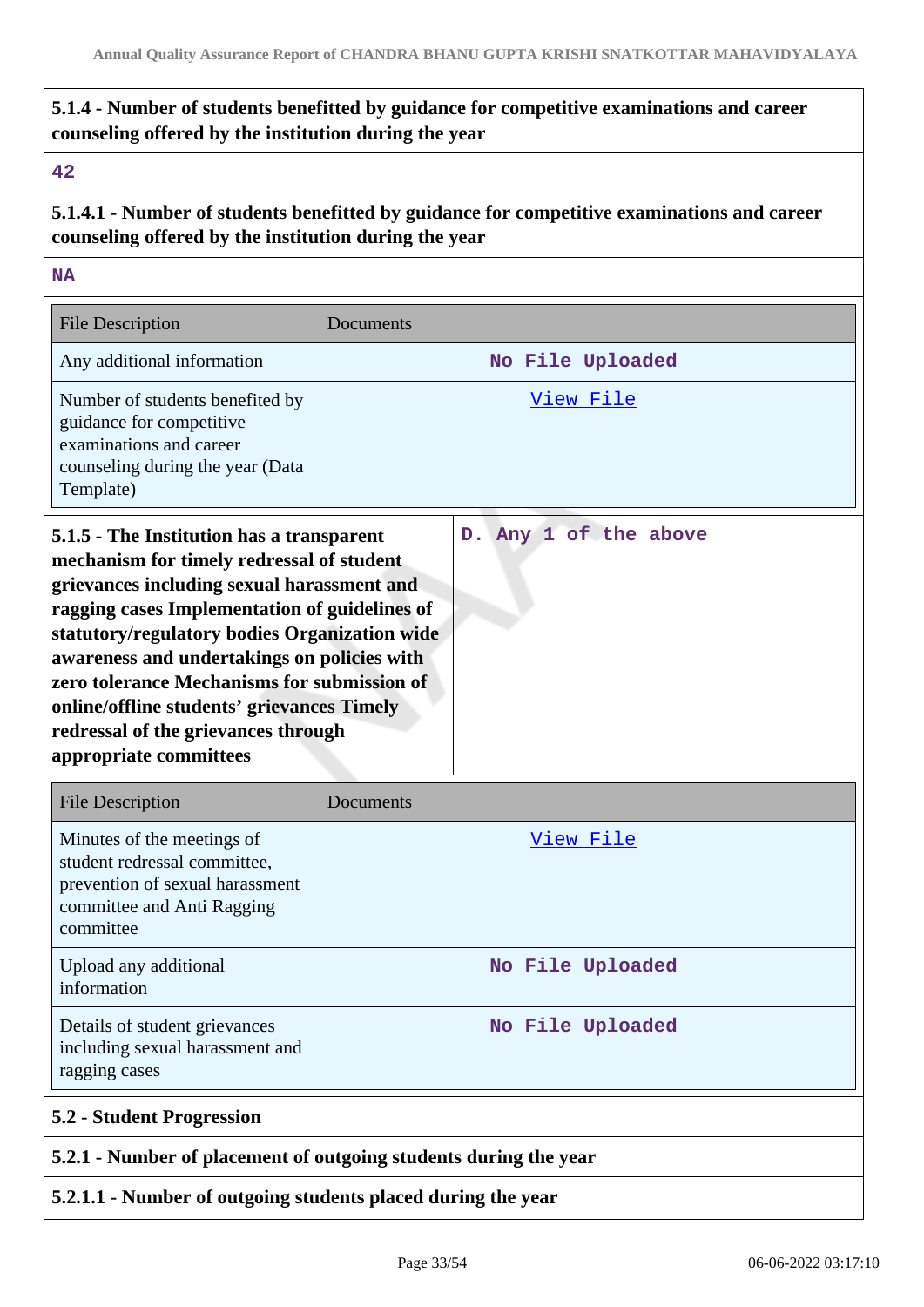## **5.1.4 - Number of students benefitted by guidance for competitive examinations and career counseling offered by the institution during the year**

#### **42**

**5.1.4.1 - Number of students benefitted by guidance for competitive examinations and career counseling offered by the institution during the year**

**NA**

| <b>File Description</b>                                                                                                                                                                                                                                                                                                                                                            | Documents |                       |
|------------------------------------------------------------------------------------------------------------------------------------------------------------------------------------------------------------------------------------------------------------------------------------------------------------------------------------------------------------------------------------|-----------|-----------------------|
| Any additional information                                                                                                                                                                                                                                                                                                                                                         |           | No File Uploaded      |
| Number of students benefited by<br>guidance for competitive<br>examinations and career<br>counseling during the year (Data<br>Template)                                                                                                                                                                                                                                            |           | View File             |
| 5.1.5 - The Institution has a transparent<br>mechanism for timely redressal of student<br>grievances including sexual harassment and<br>ragging cases Implementation of guidelines of<br>statutory/regulatory bodies Organization wide<br>awareness and undertakings on policies with<br>zero tolerance Mechanisms for submission of<br>online/offline students' grievances Timely |           | D. Any 1 of the above |

| <b>File Description</b>                                                                                                                  | Documents        |
|------------------------------------------------------------------------------------------------------------------------------------------|------------------|
| Minutes of the meetings of<br>student redressal committee,<br>prevention of sexual harassment<br>committee and Anti Ragging<br>committee | View File        |
| Upload any additional<br>information                                                                                                     | No File Uploaded |
| Details of student grievances<br>including sexual harassment and<br>ragging cases                                                        | No File Uploaded |

## **5.2.1 - Number of placement of outgoing students during the year**

#### **5.2.1.1 - Number of outgoing students placed during the year**

**redressal of the grievances through**

**appropriate committees**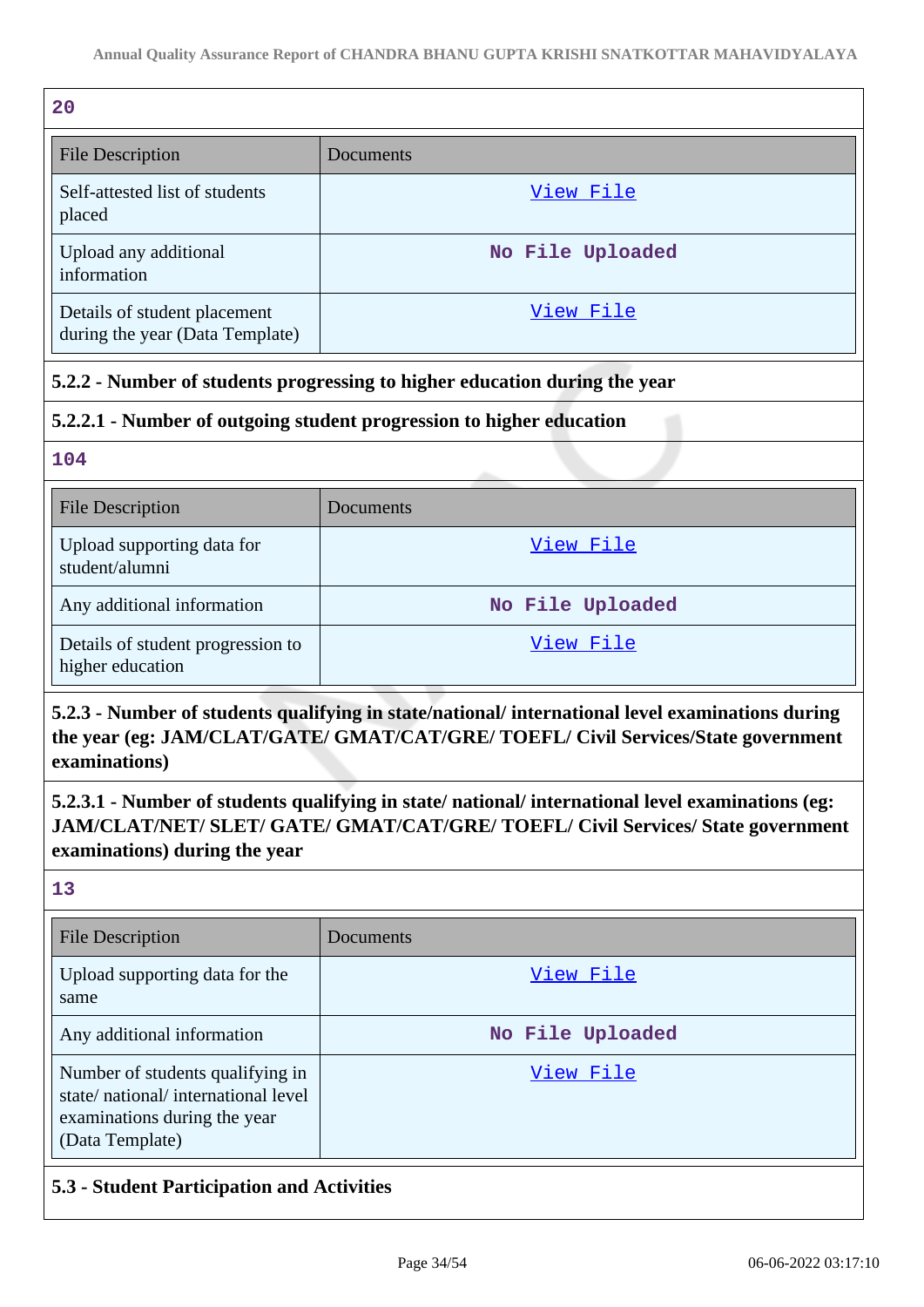| 20                                                              |                  |
|-----------------------------------------------------------------|------------------|
| <b>File Description</b>                                         | Documents        |
| Self-attested list of students<br>placed                        | View File        |
| Upload any additional<br>information                            | No File Uploaded |
| Details of student placement<br>during the year (Data Template) | View File        |

## **5.2.2 - Number of students progressing to higher education during the year**

## **5.2.2.1 - Number of outgoing student progression to higher education**

**104**

| <b>File Description</b>                               | Documents        |
|-------------------------------------------------------|------------------|
| Upload supporting data for<br>student/alumni          | View File        |
| Any additional information                            | No File Uploaded |
| Details of student progression to<br>higher education | View File        |

**5.2.3 - Number of students qualifying in state/national/ international level examinations during the year (eg: JAM/CLAT/GATE/ GMAT/CAT/GRE/ TOEFL/ Civil Services/State government examinations)**

**5.2.3.1 - Number of students qualifying in state/ national/ international level examinations (eg: JAM/CLAT/NET/ SLET/ GATE/ GMAT/CAT/GRE/ TOEFL/ Civil Services/ State government examinations) during the year**

**13**

| <b>File Description</b>                                                                                                   | Documents        |
|---------------------------------------------------------------------------------------------------------------------------|------------------|
| Upload supporting data for the<br>same                                                                                    | View File        |
| Any additional information                                                                                                | No File Uploaded |
| Number of students qualifying in<br>state/national/international level<br>examinations during the year<br>(Data Template) | View File        |

## **5.3 - Student Participation and Activities**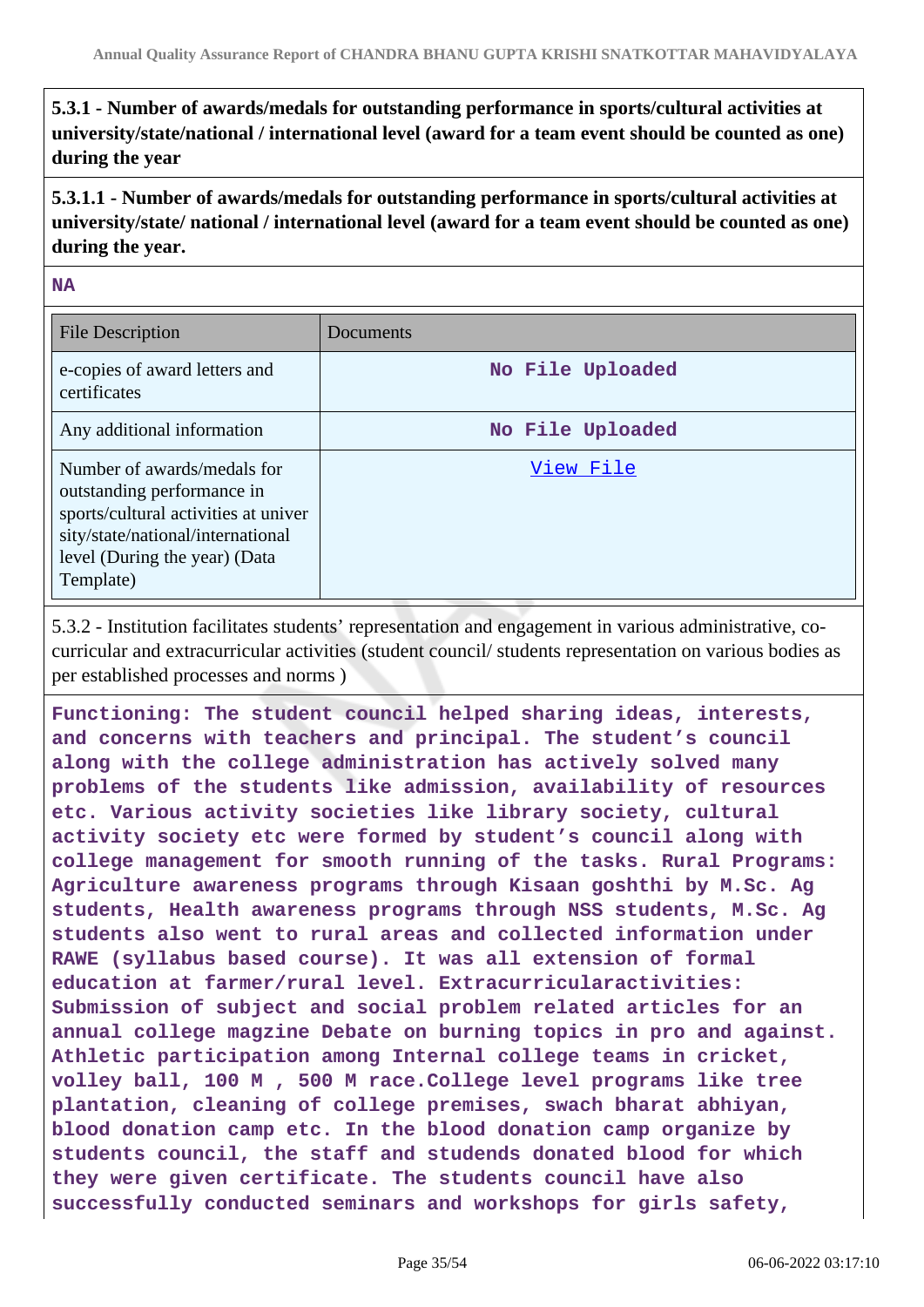**5.3.1 - Number of awards/medals for outstanding performance in sports/cultural activities at university/state/national / international level (award for a team event should be counted as one) during the year**

**5.3.1.1 - Number of awards/medals for outstanding performance in sports/cultural activities at university/state/ national / international level (award for a team event should be counted as one) during the year.**

#### **NA**

| <b>File Description</b>                                                                                                                                                              | Documents        |
|--------------------------------------------------------------------------------------------------------------------------------------------------------------------------------------|------------------|
| e-copies of award letters and<br>certificates                                                                                                                                        | No File Uploaded |
| Any additional information                                                                                                                                                           | No File Uploaded |
| Number of awards/medals for<br>outstanding performance in<br>sports/cultural activities at univer<br>sity/state/national/international<br>level (During the year) (Data<br>Template) | View File        |

5.3.2 - Institution facilitates students' representation and engagement in various administrative, cocurricular and extracurricular activities (student council/ students representation on various bodies as per established processes and norms )

**Functioning: The student council helped sharing ideas, interests, and concerns with teachers and principal. The student's council along with the college administration has actively solved many problems of the students like admission, availability of resources etc. Various activity societies like library society, cultural activity society etc were formed by student's council along with college management for smooth running of the tasks. Rural Programs: Agriculture awareness programs through Kisaan goshthi by M.Sc. Ag students, Health awareness programs through NSS students, M.Sc. Ag students also went to rural areas and collected information under RAWE (syllabus based course). It was all extension of formal education at farmer/rural level. Extracurricularactivities: Submission of subject and social problem related articles for an annual college magzine Debate on burning topics in pro and against. Athletic participation among Internal college teams in cricket, volley ball, 100 M , 500 M race.College level programs like tree plantation, cleaning of college premises, swach bharat abhiyan, blood donation camp etc. In the blood donation camp organize by students council, the staff and studends donated blood for which they were given certificate. The students council have also successfully conducted seminars and workshops for girls safety,**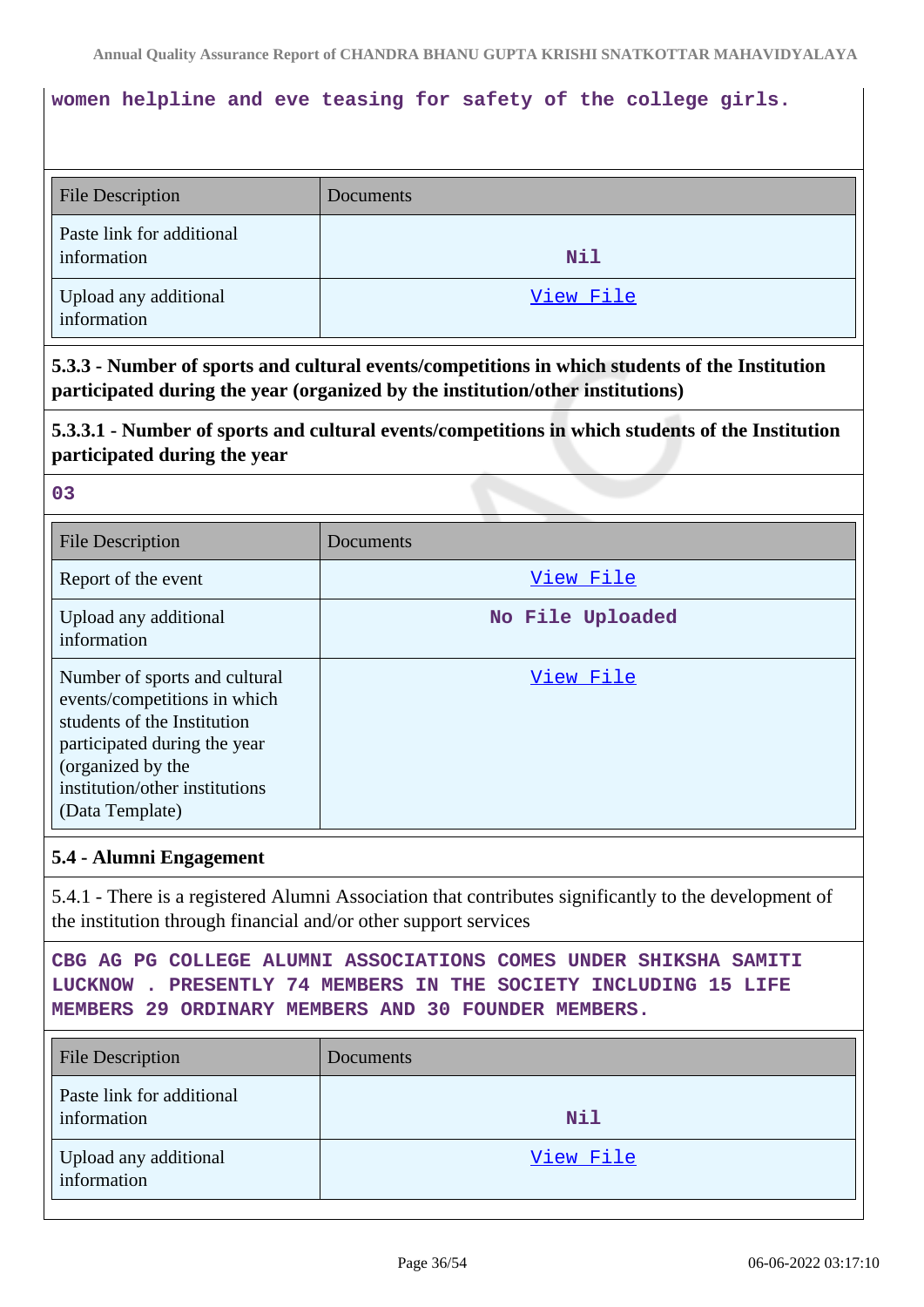## **women helpline and eve teasing for safety of the college girls.**

| <b>File Description</b>                  | Documents |
|------------------------------------------|-----------|
| Paste link for additional<br>information | Nil       |
| Upload any additional<br>information     | View File |

**5.3.3 - Number of sports and cultural events/competitions in which students of the Institution participated during the year (organized by the institution/other institutions)**

**5.3.3.1 - Number of sports and cultural events/competitions in which students of the Institution participated during the year**

**03**

| <b>File Description</b>                                                                                                                                                                                | Documents        |
|--------------------------------------------------------------------------------------------------------------------------------------------------------------------------------------------------------|------------------|
| Report of the event                                                                                                                                                                                    | View File        |
| Upload any additional<br>information                                                                                                                                                                   | No File Uploaded |
| Number of sports and cultural<br>events/competitions in which<br>students of the Institution<br>participated during the year<br>(organized by the<br>institution/other institutions<br>(Data Template) | View File        |

#### **5.4 - Alumni Engagement**

5.4.1 - There is a registered Alumni Association that contributes significantly to the development of the institution through financial and/or other support services

```
CBG AG PG COLLEGE ALUMNI ASSOCIATIONS COMES UNDER SHIKSHA SAMITI
LUCKNOW . PRESENTLY 74 MEMBERS IN THE SOCIETY INCLUDING 15 LIFE
MEMBERS 29 ORDINARY MEMBERS AND 30 FOUNDER MEMBERS.
```

| <b>File Description</b>                  | Documents |
|------------------------------------------|-----------|
| Paste link for additional<br>information | Nil       |
| Upload any additional<br>information     | View File |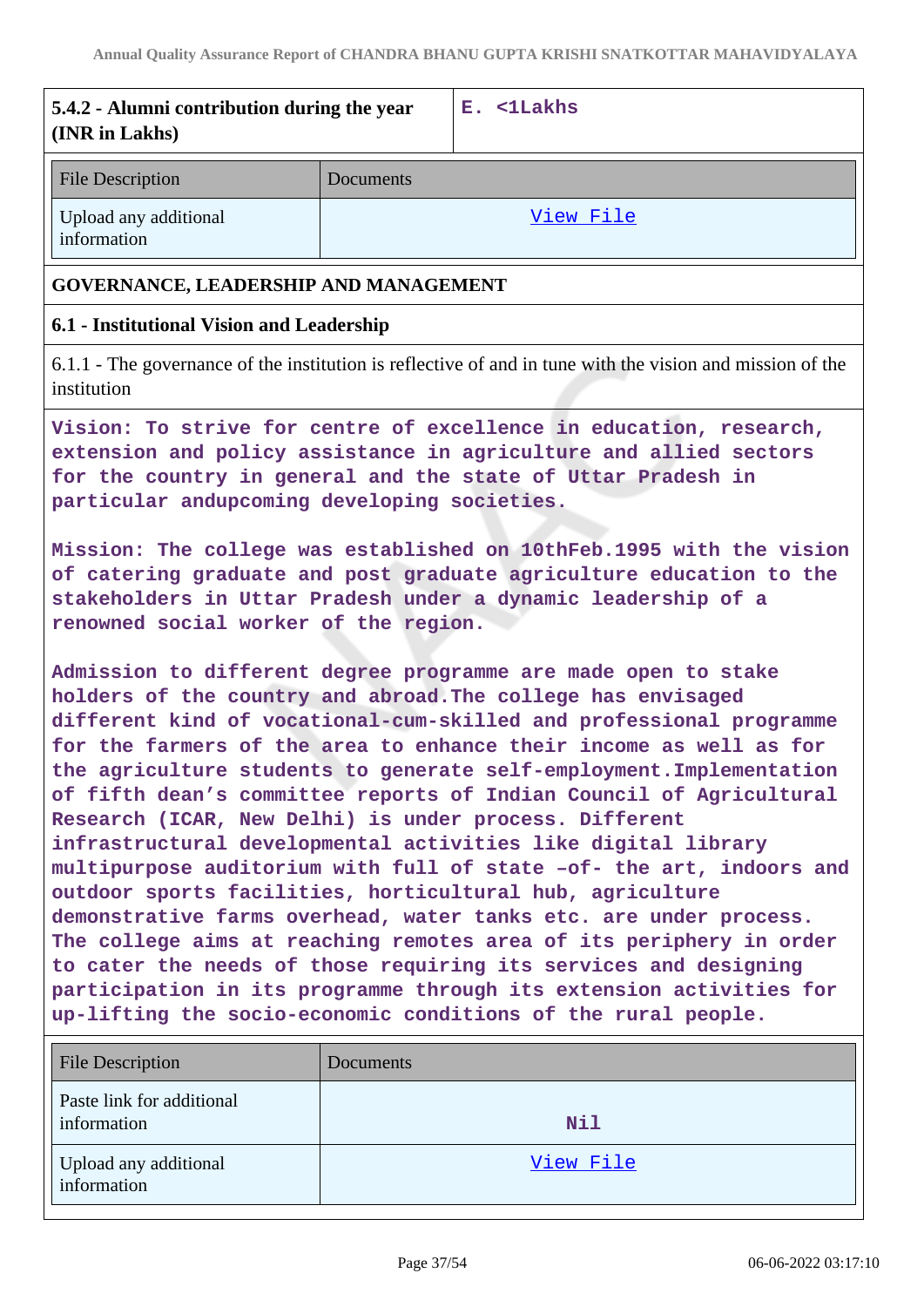| 5.4.2 - Alumni contribution during the year<br>(INR in Lakhs)                                                                                                                                                                                                                                                                                                                                                                                                                                                                                                                                                                                                                                                                                                                                                                                                                                                                                                                                                                                      |           | E. <1Lakhs                                                                                                |
|----------------------------------------------------------------------------------------------------------------------------------------------------------------------------------------------------------------------------------------------------------------------------------------------------------------------------------------------------------------------------------------------------------------------------------------------------------------------------------------------------------------------------------------------------------------------------------------------------------------------------------------------------------------------------------------------------------------------------------------------------------------------------------------------------------------------------------------------------------------------------------------------------------------------------------------------------------------------------------------------------------------------------------------------------|-----------|-----------------------------------------------------------------------------------------------------------|
| <b>File Description</b>                                                                                                                                                                                                                                                                                                                                                                                                                                                                                                                                                                                                                                                                                                                                                                                                                                                                                                                                                                                                                            | Documents |                                                                                                           |
| Upload any additional<br>information                                                                                                                                                                                                                                                                                                                                                                                                                                                                                                                                                                                                                                                                                                                                                                                                                                                                                                                                                                                                               |           | View File                                                                                                 |
| GOVERNANCE, LEADERSHIP AND MANAGEMENT                                                                                                                                                                                                                                                                                                                                                                                                                                                                                                                                                                                                                                                                                                                                                                                                                                                                                                                                                                                                              |           |                                                                                                           |
| 6.1 - Institutional Vision and Leadership                                                                                                                                                                                                                                                                                                                                                                                                                                                                                                                                                                                                                                                                                                                                                                                                                                                                                                                                                                                                          |           |                                                                                                           |
| institution                                                                                                                                                                                                                                                                                                                                                                                                                                                                                                                                                                                                                                                                                                                                                                                                                                                                                                                                                                                                                                        |           | 6.1.1 - The governance of the institution is reflective of and in tune with the vision and mission of the |
| Vision: To strive for centre of excellence in education, research,<br>extension and policy assistance in agriculture and allied sectors<br>for the country in general and the state of Uttar Pradesh in<br>particular andupcoming developing societies.                                                                                                                                                                                                                                                                                                                                                                                                                                                                                                                                                                                                                                                                                                                                                                                            |           |                                                                                                           |
| Mission: The college was established on 10thFeb.1995 with the vision<br>of catering graduate and post graduate agriculture education to the<br>stakeholders in Uttar Pradesh under a dynamic leadership of a<br>renowned social worker of the region.                                                                                                                                                                                                                                                                                                                                                                                                                                                                                                                                                                                                                                                                                                                                                                                              |           |                                                                                                           |
| Admission to different degree programme are made open to stake<br>holders of the country and abroad. The college has envisaged<br>different kind of vocational-cum-skilled and professional programme<br>for the farmers of the area to enhance their income as well as for<br>the agriculture students to generate self-employment. Implementation<br>of fifth dean's committee reports of Indian Council of Agricultural<br>Research (ICAR, New Delhi) is under process. Different<br>infrastructural developmental activities like digital library<br>multipurpose auditorium with full of state -of- the art, indoors and<br>outdoor sports facilities, horticultural hub, agriculture<br>demonstrative farms overhead, water tanks etc. are under process.<br>The college aims at reaching remotes area of its periphery in order<br>to cater the needs of those requiring its services and designing<br>participation in its programme through its extension activities for<br>up-lifting the socio-economic conditions of the rural people. |           |                                                                                                           |
| <b>File Description</b>                                                                                                                                                                                                                                                                                                                                                                                                                                                                                                                                                                                                                                                                                                                                                                                                                                                                                                                                                                                                                            | Documents |                                                                                                           |
| Paste link for additional<br>information                                                                                                                                                                                                                                                                                                                                                                                                                                                                                                                                                                                                                                                                                                                                                                                                                                                                                                                                                                                                           |           | Nil                                                                                                       |

[View File](https://assessmentonline.naac.gov.in/storage/app/public/aqar/19769/19769_160_388.pdf?1654508828)

Upload any additional

information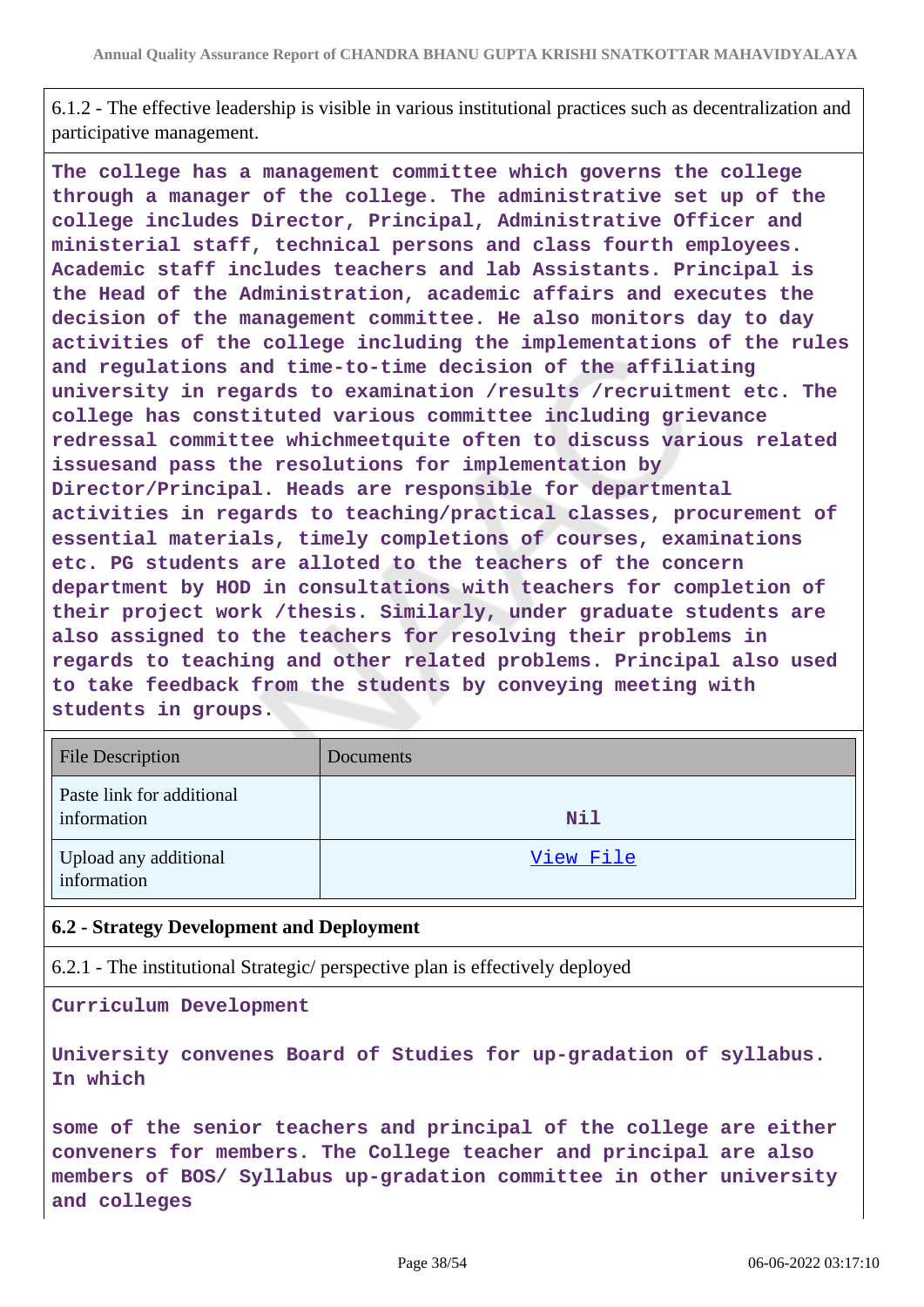6.1.2 - The effective leadership is visible in various institutional practices such as decentralization and participative management.

**The college has a management committee which governs the college through a manager of the college. The administrative set up of the college includes Director, Principal, Administrative Officer and ministerial staff, technical persons and class fourth employees. Academic staff includes teachers and lab Assistants. Principal is the Head of the Administration, academic affairs and executes the decision of the management committee. He also monitors day to day activities of the college including the implementations of the rules and regulations and time-to-time decision of the affiliating university in regards to examination /results /recruitment etc. The college has constituted various committee including grievance redressal committee whichmeetquite often to discuss various related issuesand pass the resolutions for implementation by Director/Principal. Heads are responsible for departmental activities in regards to teaching/practical classes, procurement of essential materials, timely completions of courses, examinations etc. PG students are alloted to the teachers of the concern department by HOD in consultations with teachers for completion of their project work /thesis. Similarly, under graduate students are also assigned to the teachers for resolving their problems in regards to teaching and other related problems. Principal also used to take feedback from the students by conveying meeting with students in groups.**

| <b>File Description</b>                  | <b>Documents</b> |
|------------------------------------------|------------------|
| Paste link for additional<br>information | Nil              |
| Upload any additional<br>information     | View File        |

#### **6.2 - Strategy Development and Deployment**

6.2.1 - The institutional Strategic/ perspective plan is effectively deployed

**Curriculum Development**

**University convenes Board of Studies for up-gradation of syllabus. In which**

**some of the senior teachers and principal of the college are either conveners for members. The College teacher and principal are also members of BOS/ Syllabus up-gradation committee in other university and colleges**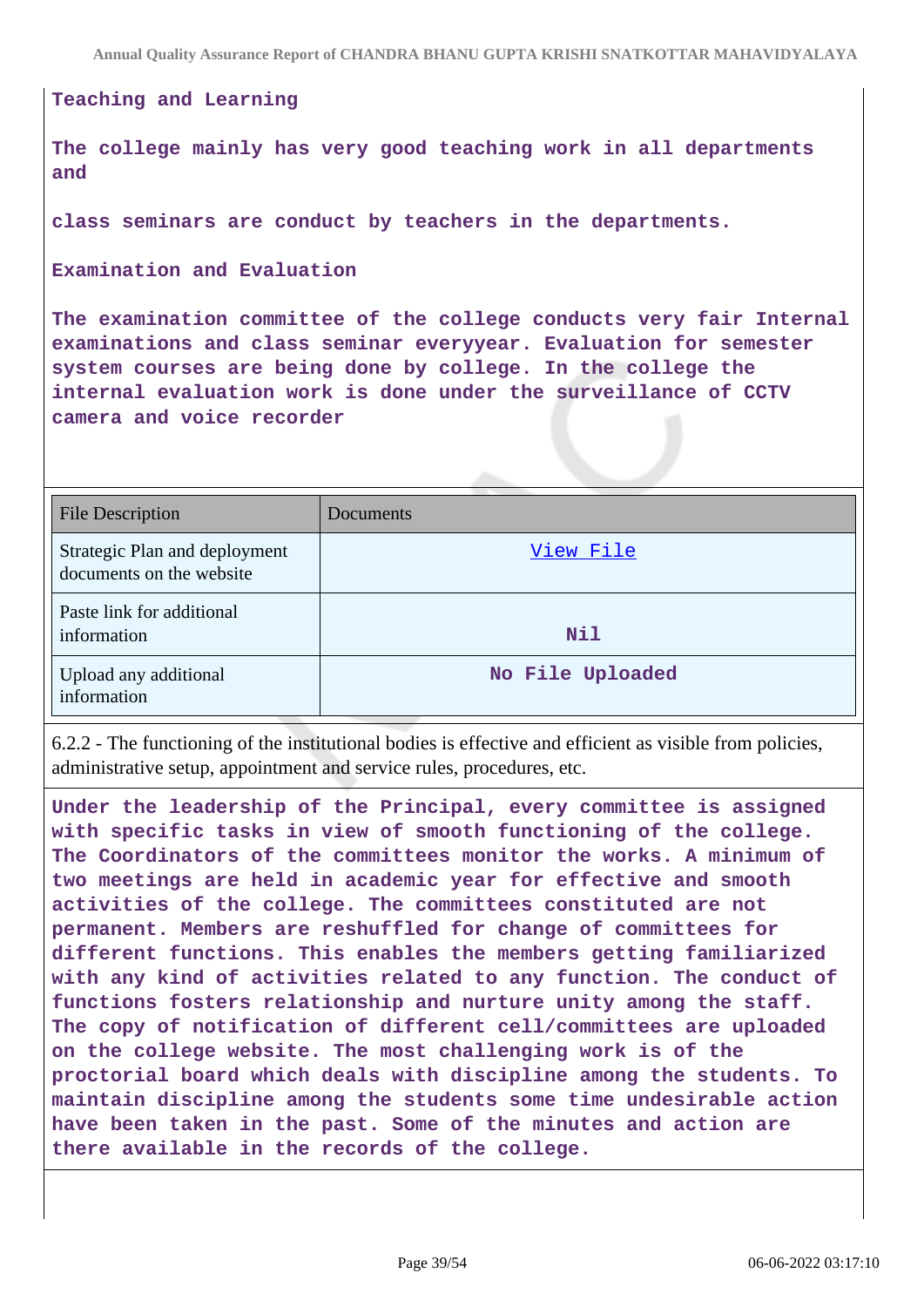#### **Teaching and Learning**

**The college mainly has very good teaching work in all departments and**

**class seminars are conduct by teachers in the departments.**

**Examination and Evaluation**

**The examination committee of the college conducts very fair Internal examinations and class seminar everyyear. Evaluation for semester system courses are being done by college. In the college the internal evaluation work is done under the surveillance of CCTV camera and voice recorder**

| <b>File Description</b>                                   | Documents        |
|-----------------------------------------------------------|------------------|
| Strategic Plan and deployment<br>documents on the website | View File        |
| Paste link for additional<br>information                  | Nil              |
| Upload any additional<br>information                      | No File Uploaded |

6.2.2 - The functioning of the institutional bodies is effective and efficient as visible from policies, administrative setup, appointment and service rules, procedures, etc.

**Under the leadership of the Principal, every committee is assigned with specific tasks in view of smooth functioning of the college. The Coordinators of the committees monitor the works. A minimum of two meetings are held in academic year for effective and smooth activities of the college. The committees constituted are not permanent. Members are reshuffled for change of committees for different functions. This enables the members getting familiarized with any kind of activities related to any function. The conduct of functions fosters relationship and nurture unity among the staff. The copy of notification of different cell/committees are uploaded on the college website. The most challenging work is of the proctorial board which deals with discipline among the students. To maintain discipline among the students some time undesirable action have been taken in the past. Some of the minutes and action are there available in the records of the college.**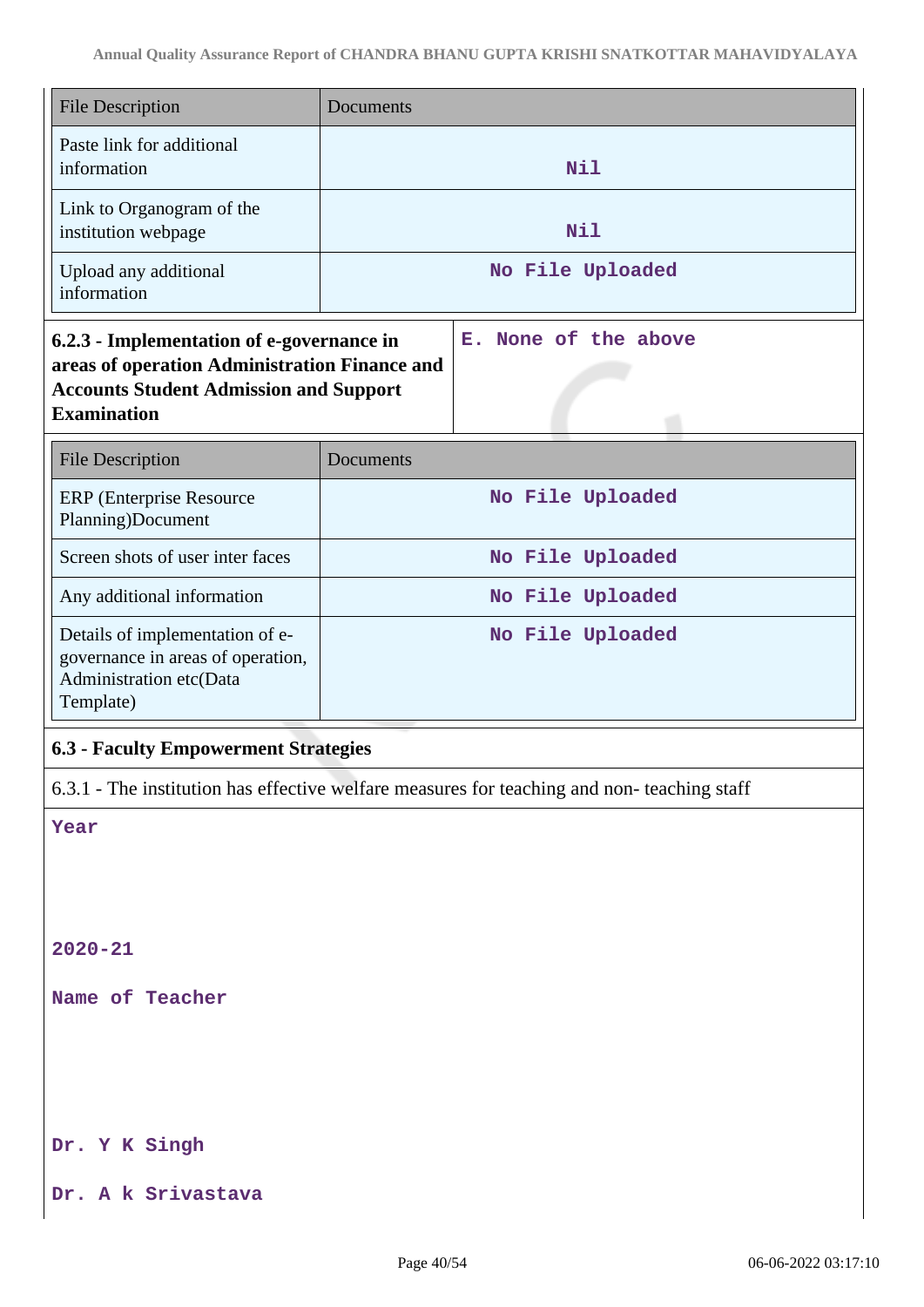| <b>File Description</b>                                                                                                                                           | Documents            |  |
|-------------------------------------------------------------------------------------------------------------------------------------------------------------------|----------------------|--|
| Paste link for additional<br>information                                                                                                                          | Nil                  |  |
| Link to Organogram of the<br>institution webpage                                                                                                                  | <b>Nil</b>           |  |
| Upload any additional<br>information                                                                                                                              | No File Uploaded     |  |
| 6.2.3 - Implementation of e-governance in<br>areas of operation Administration Finance and<br><b>Accounts Student Admission and Support</b><br><b>Examination</b> | E. None of the above |  |
| <b>File Description</b>                                                                                                                                           | Documents            |  |
| <b>ERP</b> (Enterprise Resource<br>Planning)Document                                                                                                              | No File Uploaded     |  |
| Screen shots of user inter faces                                                                                                                                  | No File Uploaded     |  |
| Any additional information                                                                                                                                        | No File Uploaded     |  |
| Details of implementation of e-<br>governance in areas of operation,<br>Administration etc(Data<br>Template)                                                      | No File Uploaded     |  |

## **6.3 - Faculty Empowerment Strategies**

6.3.1 - The institution has effective welfare measures for teaching and non- teaching staff

**Year**

**2020-21**

**Name of Teacher**

**Dr. Y K Singh**

**Dr. A k Srivastava**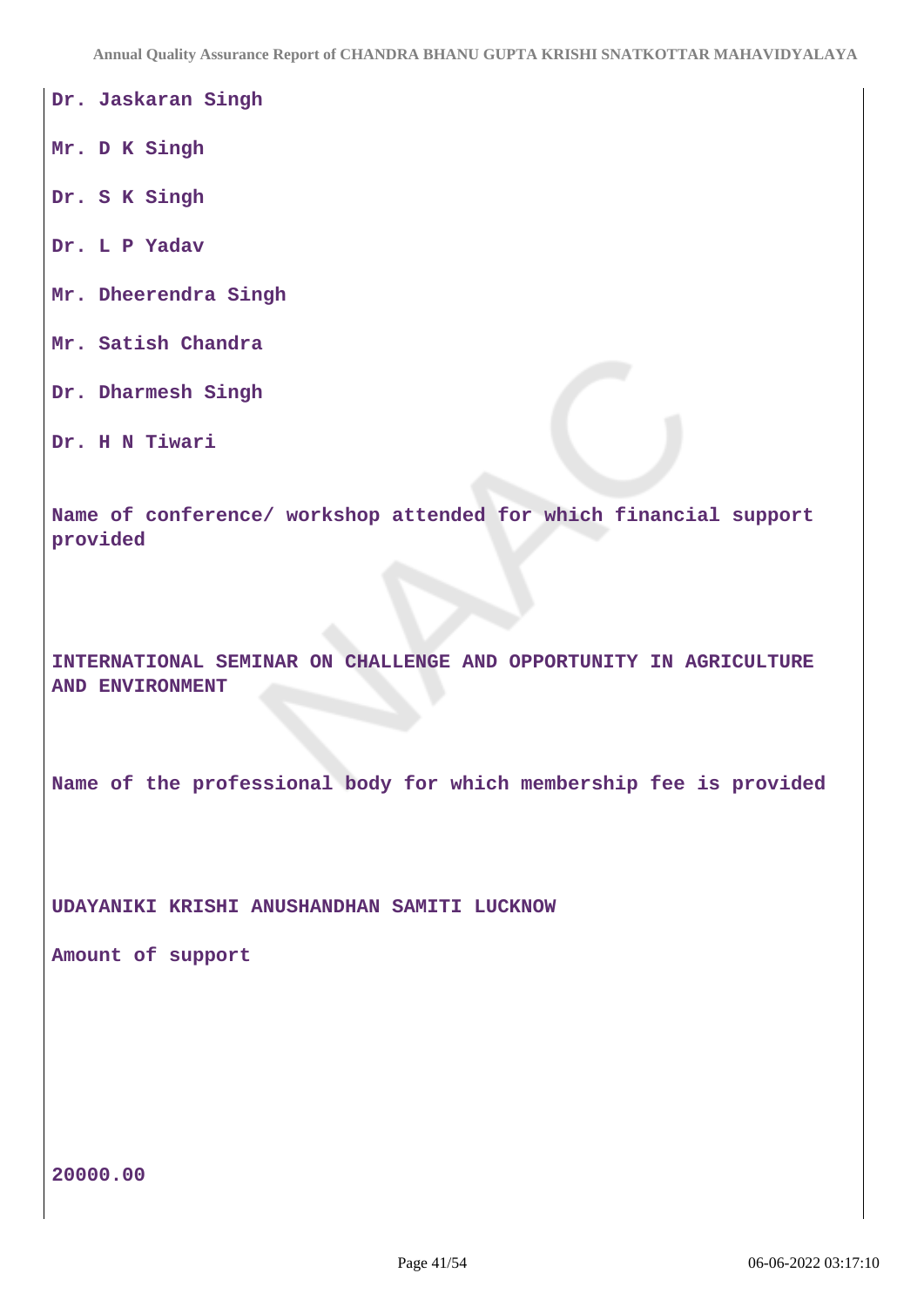**Annual Quality Assurance Report of CHANDRA BHANU GUPTA KRISHI SNATKOTTAR MAHAVIDYALAYA**

**Dr. Jaskaran Singh**

**Mr. D K Singh**

**Dr. S K Singh**

**Dr. L P Yadav**

**Mr. Dheerendra Singh**

**Mr. Satish Chandra**

**Dr. Dharmesh Singh**

**Dr. H N Tiwari**

**Name of conference/ workshop attended for which financial support provided**

**INTERNATIONAL SEMINAR ON CHALLENGE AND OPPORTUNITY IN AGRICULTURE AND ENVIRONMENT**

**Name of the professional body for which membership fee is provided**

**UDAYANIKI KRISHI ANUSHANDHAN SAMITI LUCKNOW**

**Amount of support**

**20000.00**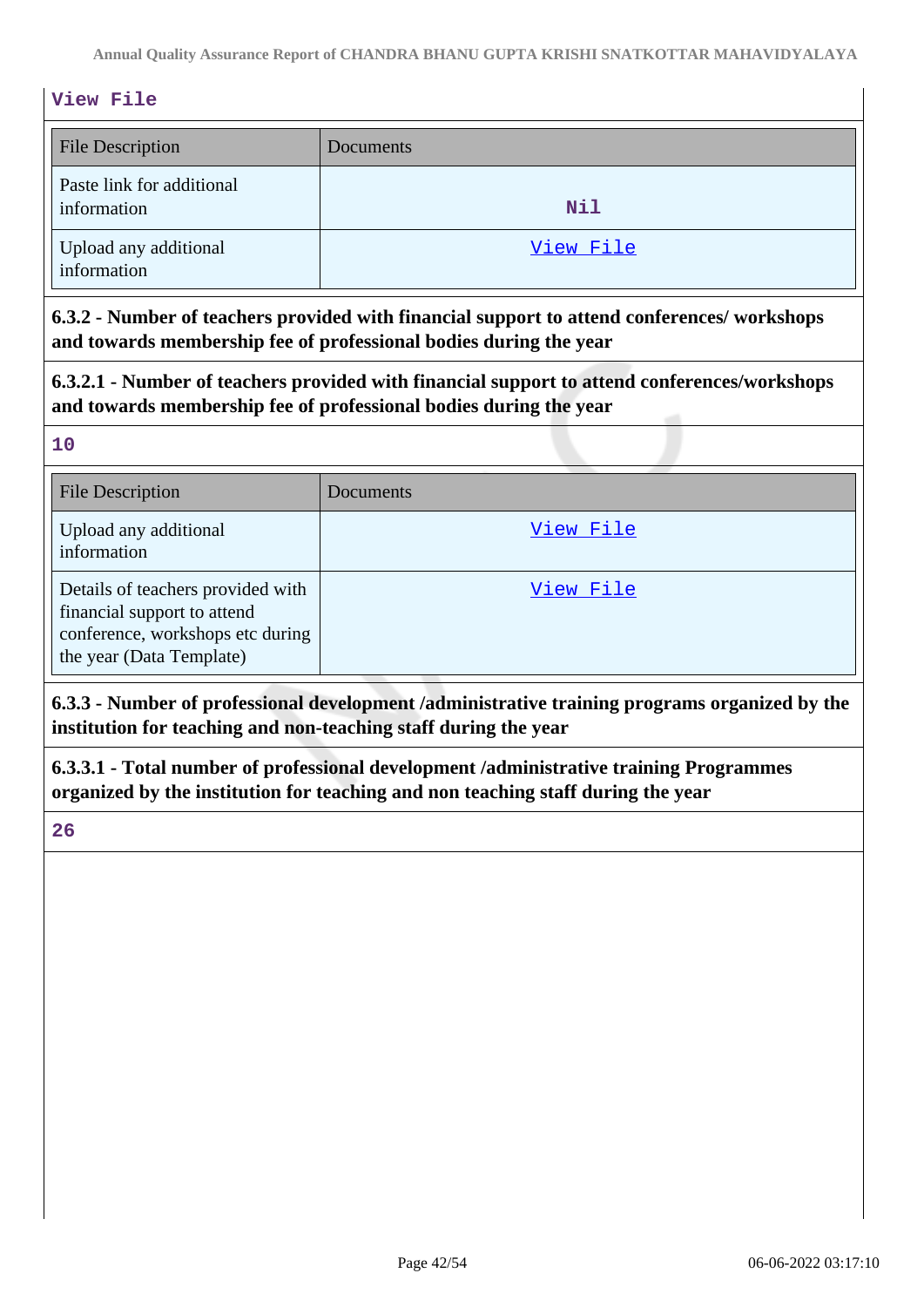#### **View File**

| <b>File Description</b>                  | Documents |
|------------------------------------------|-----------|
| Paste link for additional<br>information | Nil       |
| Upload any additional<br>information     | View File |

**6.3.2 - Number of teachers provided with financial support to attend conferences/ workshops and towards membership fee of professional bodies during the year**

**6.3.2.1 - Number of teachers provided with financial support to attend conferences/workshops and towards membership fee of professional bodies during the year**

#### **10**

| <b>File Description</b>                                                                                                          | Documents |
|----------------------------------------------------------------------------------------------------------------------------------|-----------|
| Upload any additional<br>information                                                                                             | View File |
| Details of teachers provided with<br>financial support to attend<br>conference, workshops etc during<br>the year (Data Template) | View File |

**6.3.3 - Number of professional development /administrative training programs organized by the institution for teaching and non-teaching staff during the year**

**6.3.3.1 - Total number of professional development /administrative training Programmes organized by the institution for teaching and non teaching staff during the year**

**26**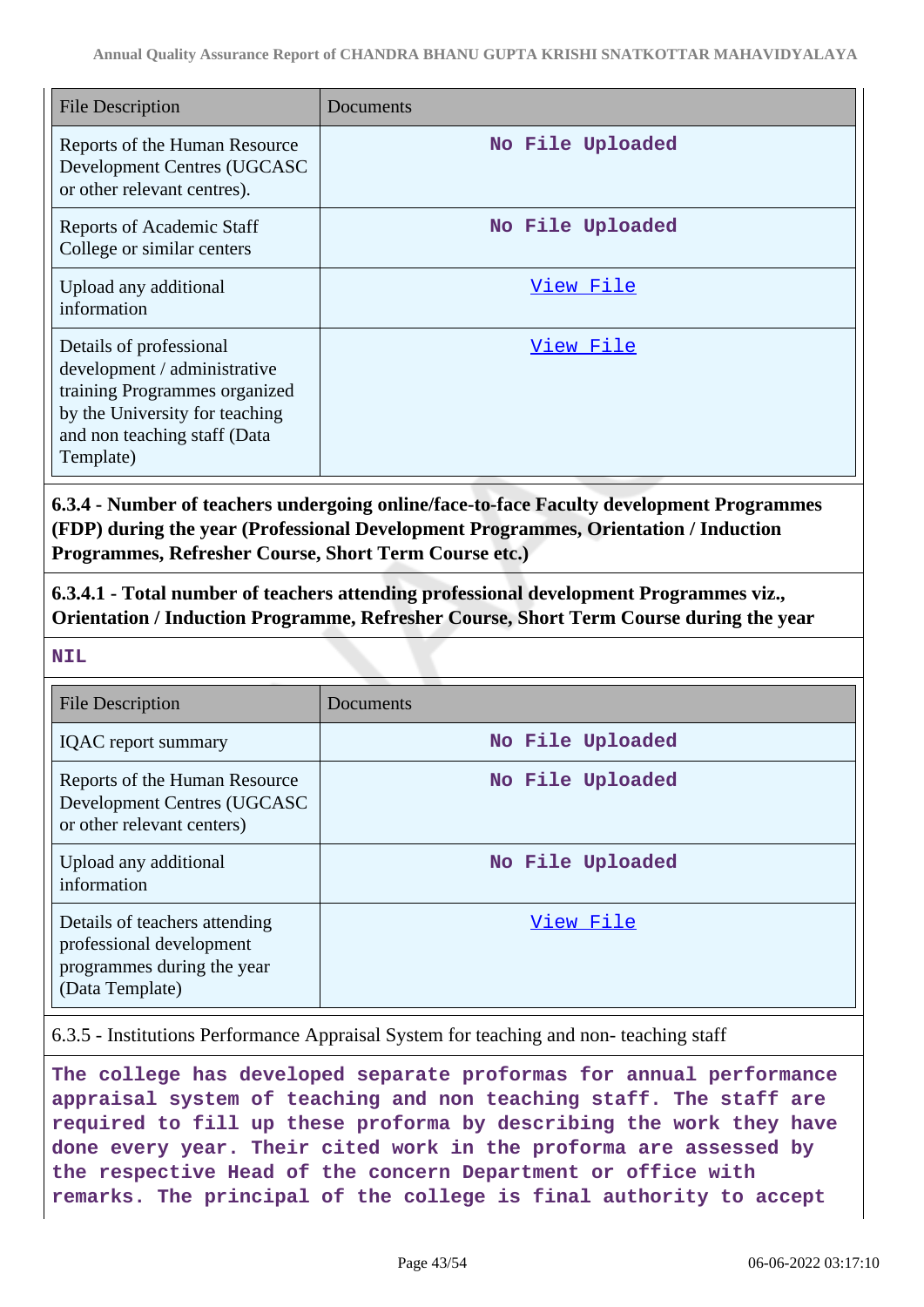| <b>File Description</b>                                                                                                                                                 | Documents        |
|-------------------------------------------------------------------------------------------------------------------------------------------------------------------------|------------------|
| Reports of the Human Resource<br>Development Centres (UGCASC<br>or other relevant centres).                                                                             | No File Uploaded |
| <b>Reports of Academic Staff</b><br>College or similar centers                                                                                                          | No File Uploaded |
| Upload any additional<br>information                                                                                                                                    | View File        |
| Details of professional<br>development / administrative<br>training Programmes organized<br>by the University for teaching<br>and non teaching staff (Data<br>Template) | View File        |

**6.3.4 - Number of teachers undergoing online/face-to-face Faculty development Programmes (FDP) during the year (Professional Development Programmes, Orientation / Induction Programmes, Refresher Course, Short Term Course etc.)**

**6.3.4.1 - Total number of teachers attending professional development Programmes viz., Orientation / Induction Programme, Refresher Course, Short Term Course during the year**

**NIL**

| File Description                                                                                           | Documents        |
|------------------------------------------------------------------------------------------------------------|------------------|
| <b>IQAC</b> report summary                                                                                 | No File Uploaded |
| Reports of the Human Resource<br>Development Centres (UGCASC<br>or other relevant centers)                 | No File Uploaded |
| Upload any additional<br>information                                                                       | No File Uploaded |
| Details of teachers attending<br>professional development<br>programmes during the year<br>(Data Template) | View File        |

6.3.5 - Institutions Performance Appraisal System for teaching and non- teaching staff

**The college has developed separate proformas for annual performance appraisal system of teaching and non teaching staff. The staff are required to fill up these proforma by describing the work they have done every year. Their cited work in the proforma are assessed by the respective Head of the concern Department or office with remarks. The principal of the college is final authority to accept**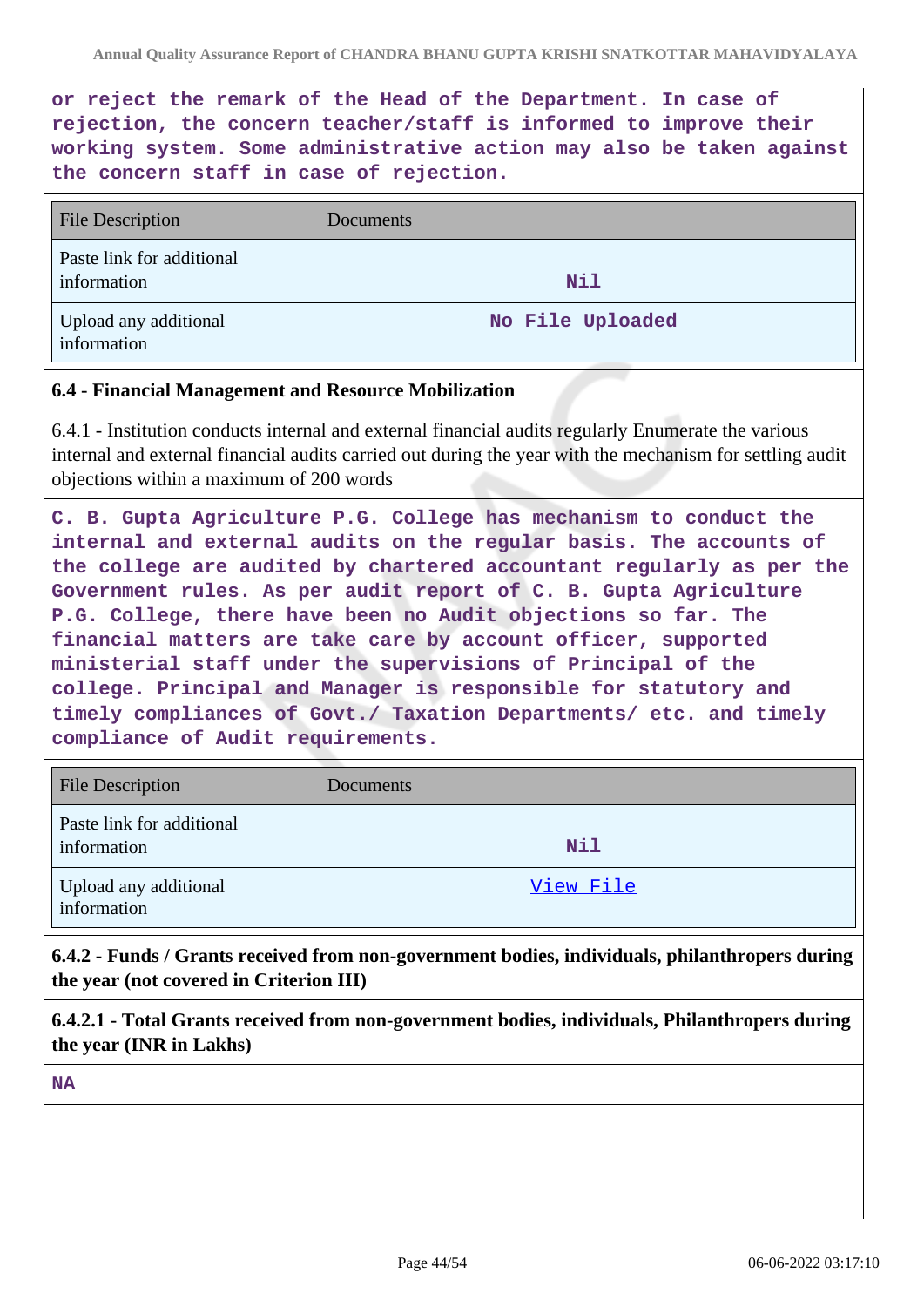**or reject the remark of the Head of the Department. In case of rejection, the concern teacher/staff is informed to improve their working system. Some administrative action may also be taken against the concern staff in case of rejection.**

| <b>File Description</b>                  | <b>Documents</b> |
|------------------------------------------|------------------|
| Paste link for additional<br>information | Nil              |
| Upload any additional<br>information     | No File Uploaded |

#### **6.4 - Financial Management and Resource Mobilization**

6.4.1 - Institution conducts internal and external financial audits regularly Enumerate the various internal and external financial audits carried out during the year with the mechanism for settling audit objections within a maximum of 200 words

**C. B. Gupta Agriculture P.G. College has mechanism to conduct the internal and external audits on the regular basis. The accounts of the college are audited by chartered accountant regularly as per the Government rules. As per audit report of C. B. Gupta Agriculture P.G. College, there have been no Audit objections so far. The financial matters are take care by account officer, supported ministerial staff under the supervisions of Principal of the college. Principal and Manager is responsible for statutory and timely compliances of Govt./ Taxation Departments/ etc. and timely compliance of Audit requirements.**

| <b>File Description</b>                  | Documents |
|------------------------------------------|-----------|
| Paste link for additional<br>information | Nil       |
| Upload any additional<br>information     | View File |

**6.4.2 - Funds / Grants received from non-government bodies, individuals, philanthropers during the year (not covered in Criterion III)**

**6.4.2.1 - Total Grants received from non-government bodies, individuals, Philanthropers during the year (INR in Lakhs)**

**NA**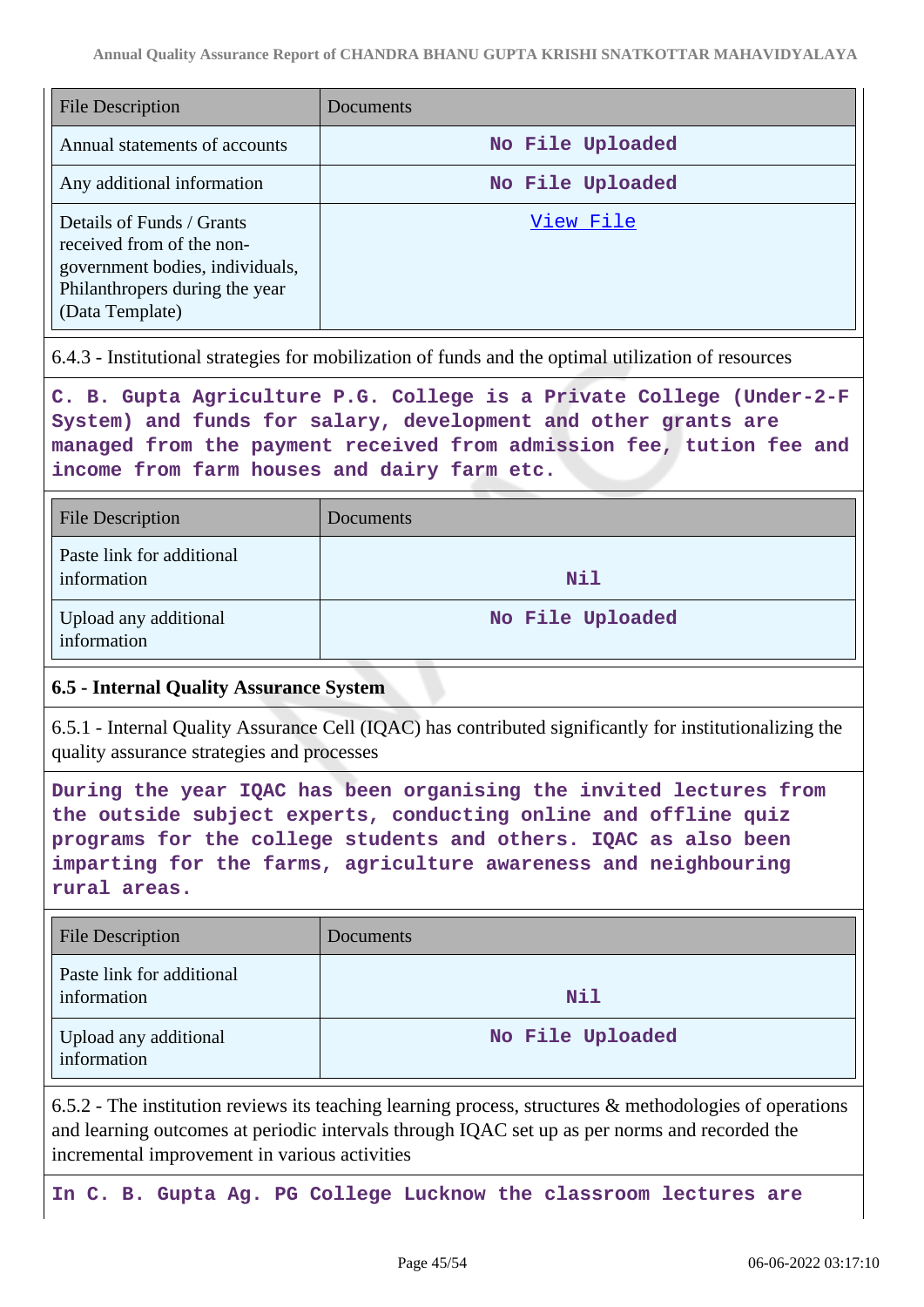| <b>File Description</b>                                                                                                                        | Documents        |
|------------------------------------------------------------------------------------------------------------------------------------------------|------------------|
| Annual statements of accounts                                                                                                                  | No File Uploaded |
| Any additional information                                                                                                                     | No File Uploaded |
| Details of Funds / Grants<br>received from of the non-<br>government bodies, individuals,<br>Philanthropers during the year<br>(Data Template) | View File        |

6.4.3 - Institutional strategies for mobilization of funds and the optimal utilization of resources

**C. B. Gupta Agriculture P.G. College is a Private College (Under-2-F System) and funds for salary, development and other grants are managed from the payment received from admission fee, tution fee and income from farm houses and dairy farm etc.**

| <b>File Description</b>                  | Documents        |
|------------------------------------------|------------------|
| Paste link for additional<br>information | Nil              |
| Upload any additional<br>information     | No File Uploaded |

#### **6.5 - Internal Quality Assurance System**

6.5.1 - Internal Quality Assurance Cell (IQAC) has contributed significantly for institutionalizing the quality assurance strategies and processes

**During the year IQAC has been organising the invited lectures from the outside subject experts, conducting online and offline quiz programs for the college students and others. IQAC as also been imparting for the farms, agriculture awareness and neighbouring rural areas.**

| <b>File Description</b>                  | Documents        |
|------------------------------------------|------------------|
| Paste link for additional<br>information | Nil              |
| Upload any additional<br>information     | No File Uploaded |

6.5.2 - The institution reviews its teaching learning process, structures & methodologies of operations and learning outcomes at periodic intervals through IQAC set up as per norms and recorded the incremental improvement in various activities

**In C. B. Gupta Ag. PG College Lucknow the classroom lectures are**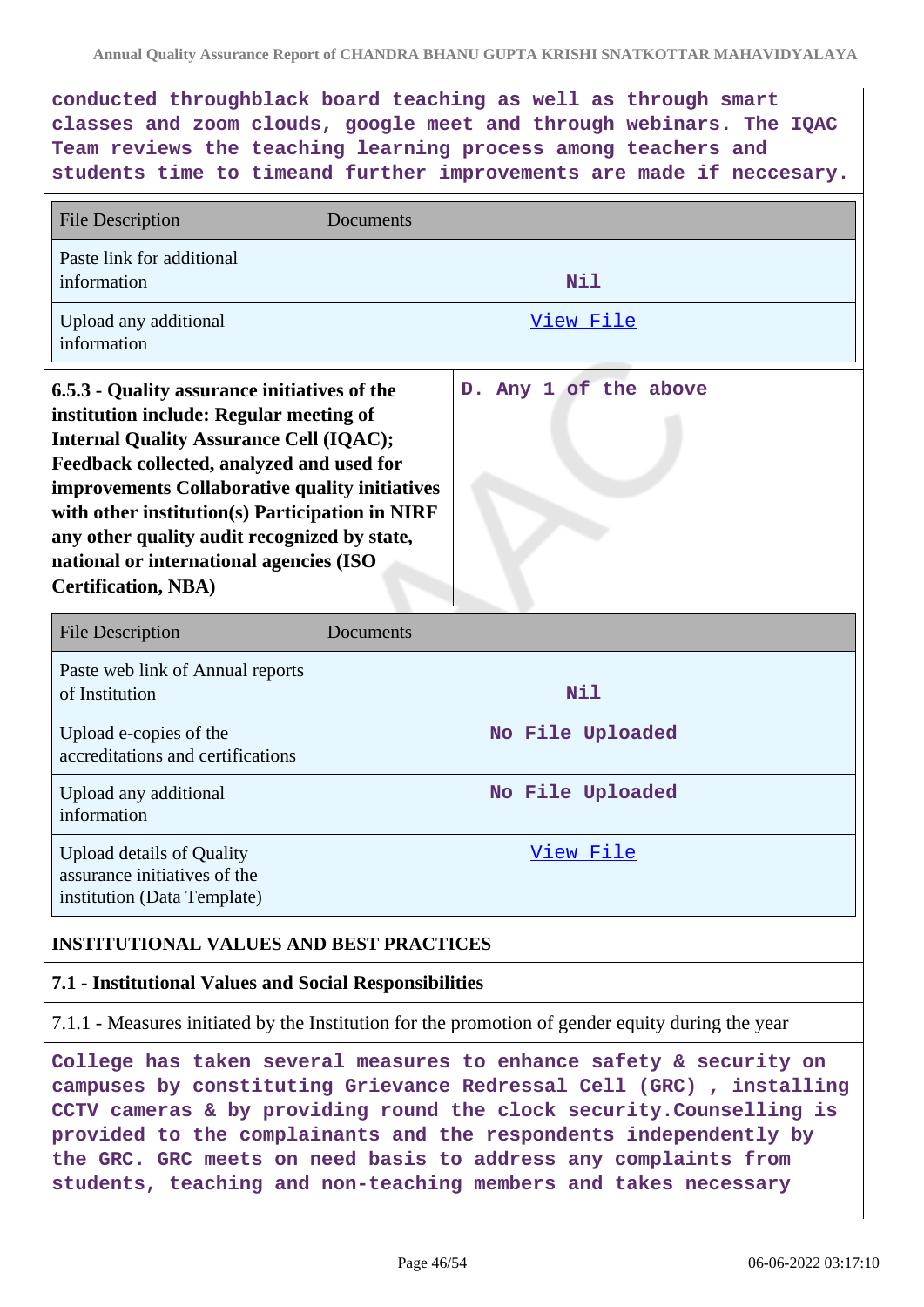**conducted throughblack board teaching as well as through smart classes and zoom clouds, google meet and through webinars. The IQAC Team reviews the teaching learning process among teachers and students time to timeand further improvements are made if neccesary.**

| <b>File Description</b>                                                                                                                                                                                                                                                                                                                                                                                              | Documents |                       |
|----------------------------------------------------------------------------------------------------------------------------------------------------------------------------------------------------------------------------------------------------------------------------------------------------------------------------------------------------------------------------------------------------------------------|-----------|-----------------------|
| Paste link for additional<br>information                                                                                                                                                                                                                                                                                                                                                                             |           | Nil                   |
| Upload any additional<br>information                                                                                                                                                                                                                                                                                                                                                                                 |           | View File             |
| 6.5.3 - Quality assurance initiatives of the<br>institution include: Regular meeting of<br><b>Internal Quality Assurance Cell (IQAC);</b><br>Feedback collected, analyzed and used for<br>improvements Collaborative quality initiatives<br>with other institution(s) Participation in NIRF<br>any other quality audit recognized by state,<br>national or international agencies (ISO<br><b>Certification, NBA)</b> |           | D. Any 1 of the above |

| <b>File Description</b>                                                                         | Documents        |
|-------------------------------------------------------------------------------------------------|------------------|
| Paste web link of Annual reports<br>of Institution                                              | Nil              |
| Upload e-copies of the<br>accreditations and certifications                                     | No File Uploaded |
| Upload any additional<br>information                                                            | No File Uploaded |
| <b>Upload details of Quality</b><br>assurance initiatives of the<br>institution (Data Template) | View File        |

#### **INSTITUTIONAL VALUES AND BEST PRACTICES**

#### **7.1 - Institutional Values and Social Responsibilities**

7.1.1 - Measures initiated by the Institution for the promotion of gender equity during the year

**College has taken several measures to enhance safety & security on campuses by constituting Grievance Redressal Cell (GRC) , installing CCTV cameras & by providing round the clock security.Counselling is provided to the complainants and the respondents independently by the GRC. GRC meets on need basis to address any complaints from students, teaching and non-teaching members and takes necessary**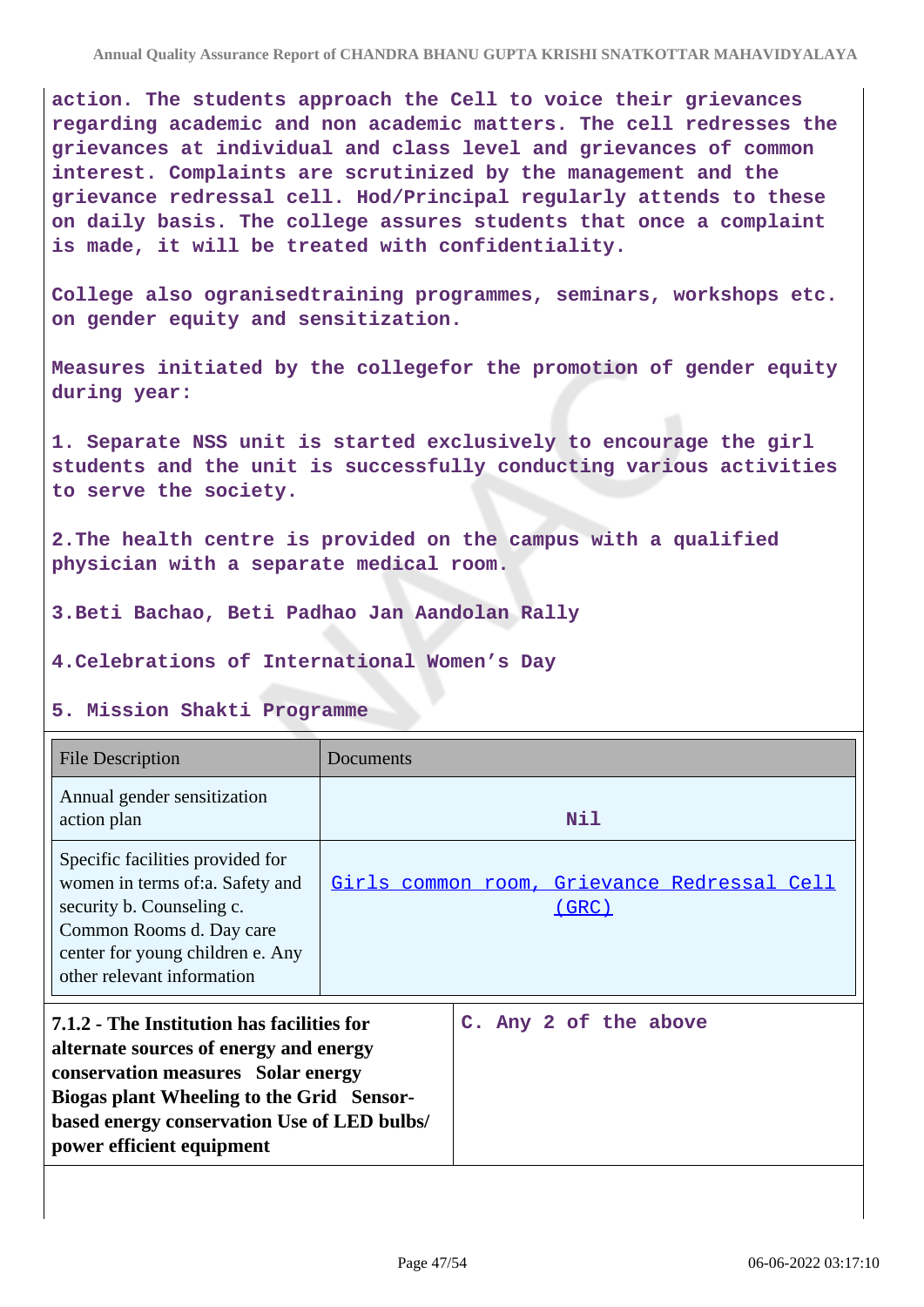**action. The students approach the Cell to voice their grievances regarding academic and non academic matters. The cell redresses the grievances at individual and class level and grievances of common interest. Complaints are scrutinized by the management and the grievance redressal cell. Hod/Principal regularly attends to these on daily basis. The college assures students that once a complaint is made, it will be treated with confidentiality.**

**College also ogranisedtraining programmes, seminars, workshops etc. on gender equity and sensitization.**

**Measures initiated by the collegefor the promotion of gender equity during year:**

**1. Separate NSS unit is started exclusively to encourage the girl students and the unit is successfully conducting various activities to serve the society.**

**2.The health centre is provided on the campus with a qualified physician with a separate medical room.**

**3.Beti Bachao, Beti Padhao Jan Aandolan Rally**

**4.Celebrations of International Women's Day**

#### **5. Mission Shakti Programme**

| <b>File Description</b>                                                                                                                                                                                                                             | Documents                                                   |
|-----------------------------------------------------------------------------------------------------------------------------------------------------------------------------------------------------------------------------------------------------|-------------------------------------------------------------|
| Annual gender sensitization<br>action plan                                                                                                                                                                                                          | Nil                                                         |
| Specific facilities provided for<br>women in terms of: a. Safety and<br>security b. Counseling c.<br>Common Rooms d. Day care<br>center for young children e. Any<br>other relevant information                                                     | Girls common room, Grievance Redressal Cell<br><u>(GRC)</u> |
| 7.1.2 - The Institution has facilities for<br>alternate sources of energy and energy<br>conservation measures Solar energy<br>Biogas plant Wheeling to the Grid Sensor-<br>based energy conservation Use of LED bulbs/<br>power efficient equipment | C. Any 2 of the above                                       |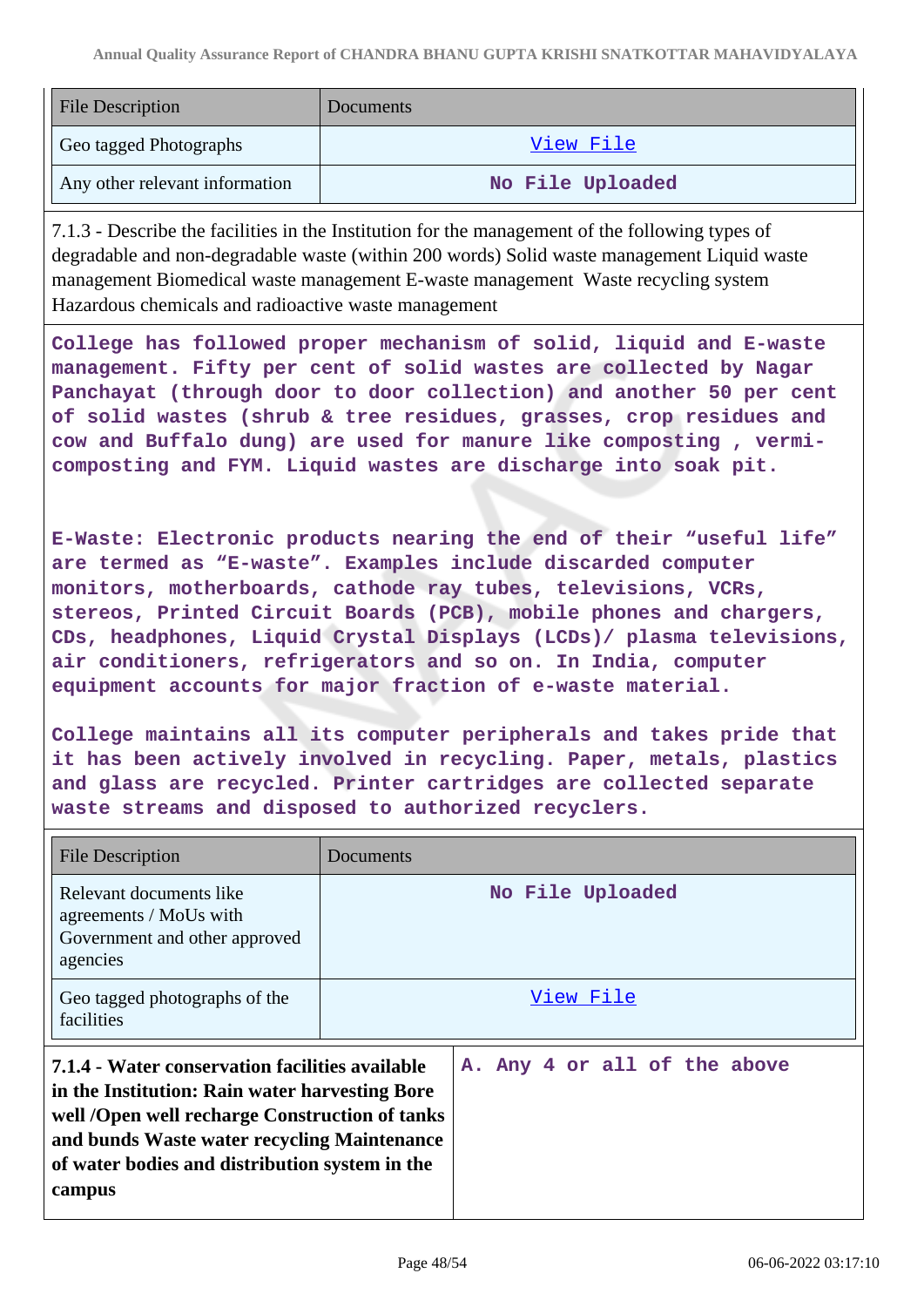| <b>File Description</b>        | Documents        |
|--------------------------------|------------------|
| Geo tagged Photographs         | View File        |
| Any other relevant information | No File Uploaded |

7.1.3 - Describe the facilities in the Institution for the management of the following types of degradable and non-degradable waste (within 200 words) Solid waste management Liquid waste management Biomedical waste management E-waste management Waste recycling system Hazardous chemicals and radioactive waste management

**College has followed proper mechanism of solid, liquid and E-waste management. Fifty per cent of solid wastes are collected by Nagar Panchayat (through door to door collection) and another 50 per cent of solid wastes (shrub & tree residues, grasses, crop residues and cow and Buffalo dung) are used for manure like composting , vermicomposting and FYM. Liquid wastes are discharge into soak pit.**

**E-Waste: Electronic products nearing the end of their "useful life" are termed as "E-waste". Examples include discarded computer monitors, motherboards, cathode ray tubes, televisions, VCRs, stereos, Printed Circuit Boards (PCB), mobile phones and chargers, CDs, headphones, Liquid Crystal Displays (LCDs)/ plasma televisions, air conditioners, refrigerators and so on. In India, computer equipment accounts for major fraction of e-waste material.**

**College maintains all its computer peripherals and takes pride that it has been actively involved in recycling. Paper, metals, plastics and glass are recycled. Printer cartridges are collected separate waste streams and disposed to authorized recyclers.**

| <b>File Description</b>                                                                                                                                                                                                                                        | Documents                    |
|----------------------------------------------------------------------------------------------------------------------------------------------------------------------------------------------------------------------------------------------------------------|------------------------------|
| Relevant documents like<br>agreements / MoUs with<br>Government and other approved<br>agencies                                                                                                                                                                 | No File Uploaded             |
| Geo tagged photographs of the<br>facilities                                                                                                                                                                                                                    | View File                    |
| 7.1.4 - Water conservation facilities available<br>in the Institution: Rain water harvesting Bore<br>well /Open well recharge Construction of tanks<br>and bunds Waste water recycling Maintenance<br>of water bodies and distribution system in the<br>campus | A. Any 4 or all of the above |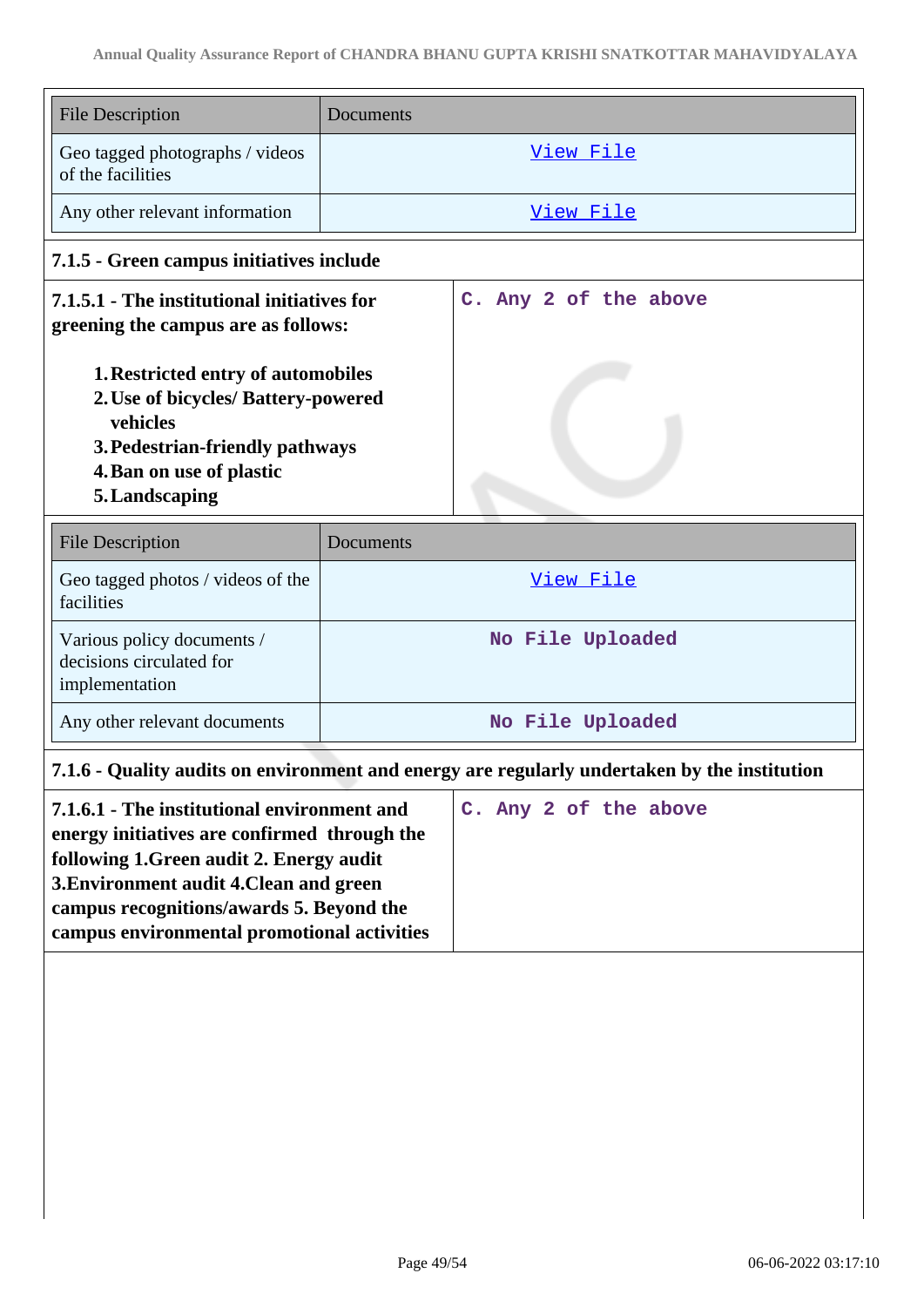| <b>File Description</b>                                                                                                                                                                                                                                                                               | Documents             |
|-------------------------------------------------------------------------------------------------------------------------------------------------------------------------------------------------------------------------------------------------------------------------------------------------------|-----------------------|
| Geo tagged photographs / videos<br>of the facilities                                                                                                                                                                                                                                                  | View File             |
| Any other relevant information                                                                                                                                                                                                                                                                        | View File             |
| 7.1.5 - Green campus initiatives include                                                                                                                                                                                                                                                              |                       |
| 7.1.5.1 - The institutional initiatives for<br>greening the campus are as follows:                                                                                                                                                                                                                    | C. Any 2 of the above |
| 1. Restricted entry of automobiles<br>2. Use of bicycles/ Battery-powered<br>vehicles<br>3. Pedestrian-friendly pathways<br>4. Ban on use of plastic<br>5. Landscaping                                                                                                                                |                       |
| <b>File Description</b>                                                                                                                                                                                                                                                                               | Documents             |
| Geo tagged photos / videos of the<br>facilities                                                                                                                                                                                                                                                       | View File             |
| Various policy documents /<br>decisions circulated for<br>implementation                                                                                                                                                                                                                              | No File Uploaded      |
| Any other relevant documents                                                                                                                                                                                                                                                                          | No File Uploaded      |
| 7.1.6 - Quality audits on environment and energy are regularly undertaken by the institution                                                                                                                                                                                                          |                       |
| C. Any 2 of the above<br>7.1.6.1 - The institutional environment and<br>energy initiatives are confirmed through the<br>following 1.Green audit 2. Energy audit<br>3. Environment audit 4. Clean and green<br>campus recognitions/awards 5. Beyond the<br>campus environmental promotional activities |                       |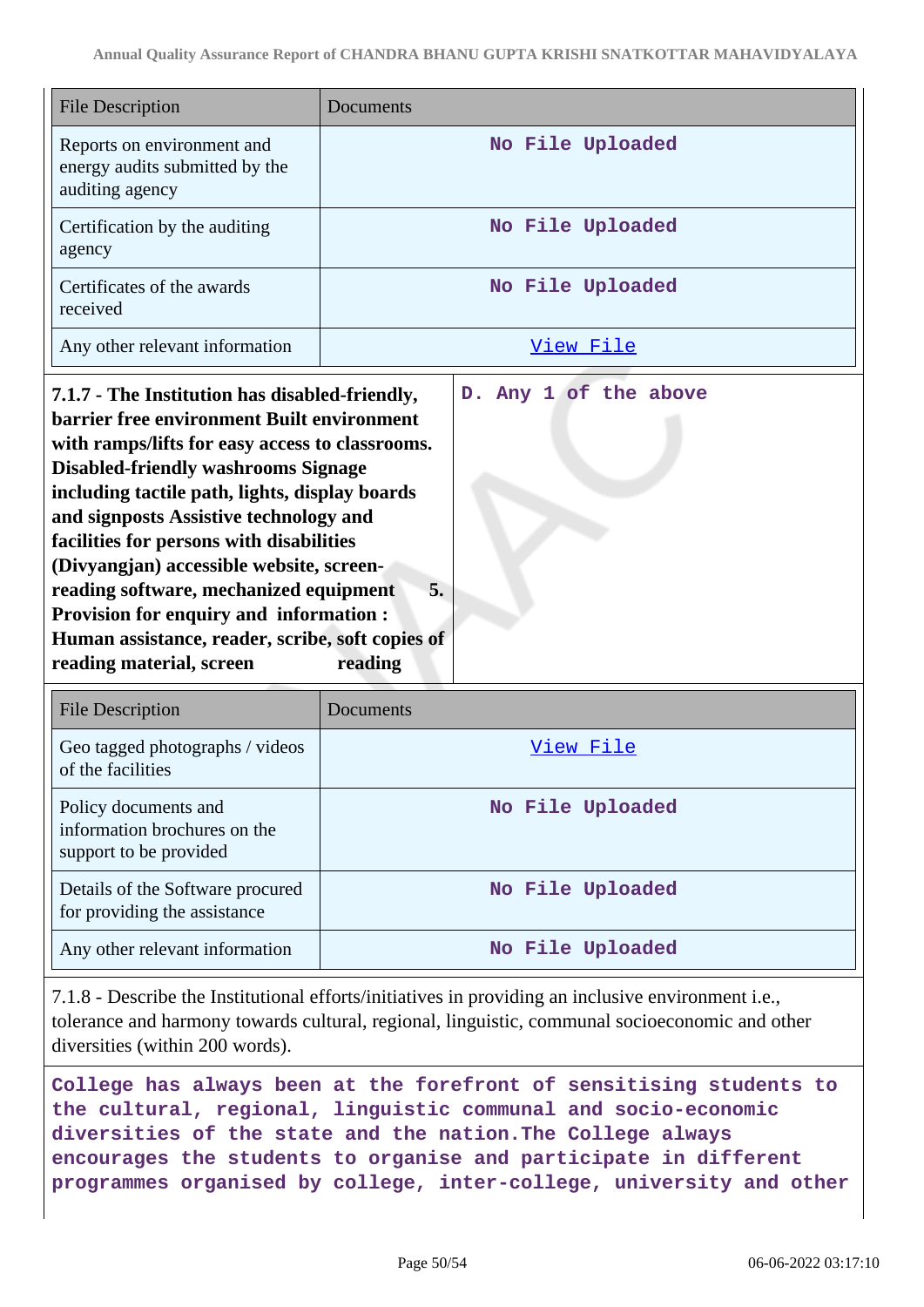| File Description                                                                | Documents        |
|---------------------------------------------------------------------------------|------------------|
| Reports on environment and<br>energy audits submitted by the<br>auditing agency | No File Uploaded |
| Certification by the auditing<br>agency                                         | No File Uploaded |
| Certificates of the awards<br>received                                          | No File Uploaded |
| Any other relevant information                                                  | View File        |

**7.1.7 - The Institution has disabled-friendly, barrier free environment Built environment with ramps/lifts for easy access to classrooms. Disabled-friendly washrooms Signage including tactile path, lights, display boards and signposts Assistive technology and facilities for persons with disabilities (Divyangjan) accessible website, screenreading software, mechanized equipment 5. Provision for enquiry and information : Human assistance, reader, scribe, soft copies of reading material, screen reading D. Any 1 of the above**

| <b>File Description</b>                                                        | Documents        |
|--------------------------------------------------------------------------------|------------------|
| Geo tagged photographs / videos<br>of the facilities                           | View File        |
| Policy documents and<br>information brochures on the<br>support to be provided | No File Uploaded |
| Details of the Software procured<br>for providing the assistance               | No File Uploaded |
| Any other relevant information                                                 | No File Uploaded |

7.1.8 - Describe the Institutional efforts/initiatives in providing an inclusive environment i.e., tolerance and harmony towards cultural, regional, linguistic, communal socioeconomic and other diversities (within 200 words).

**College has always been at the forefront of sensitising students to the cultural, regional, linguistic communal and socio-economic diversities of the state and the nation.The College always encourages the students to organise and participate in different programmes organised by college, inter-college, university and other**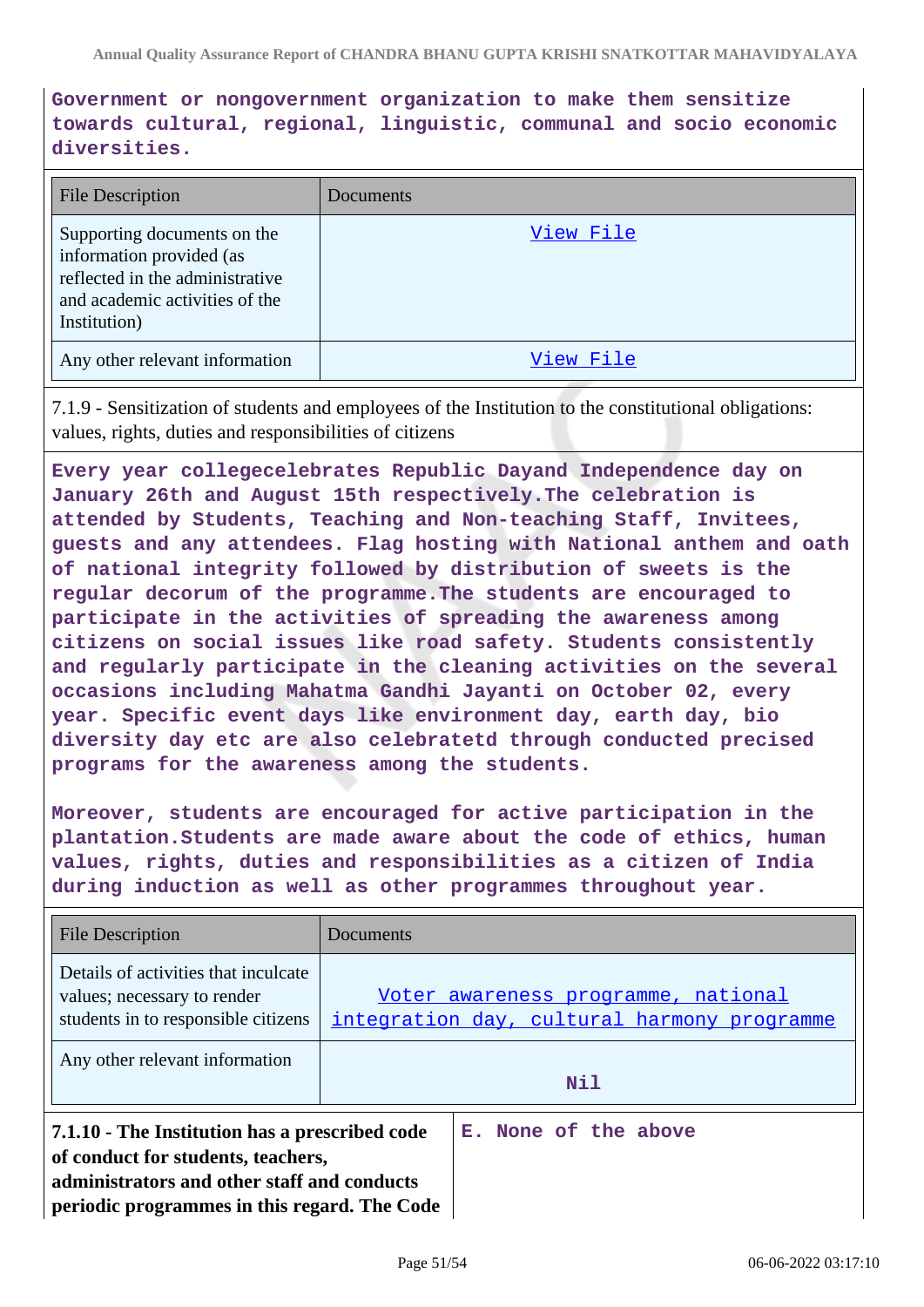**Government or nongovernment organization to make them sensitize towards cultural, regional, linguistic, communal and socio economic diversities.**

| <b>File Description</b>                                                                                                                      | <b>Documents</b> |
|----------------------------------------------------------------------------------------------------------------------------------------------|------------------|
| Supporting documents on the<br>information provided (as<br>reflected in the administrative<br>and academic activities of the<br>Institution) | View File        |
| Any other relevant information                                                                                                               | View File        |

7.1.9 - Sensitization of students and employees of the Institution to the constitutional obligations: values, rights, duties and responsibilities of citizens

**Every year collegecelebrates Republic Dayand Independence day on January 26th and August 15th respectively.The celebration is attended by Students, Teaching and Non-teaching Staff, Invitees, guests and any attendees. Flag hosting with National anthem and oath of national integrity followed by distribution of sweets is the regular decorum of the programme.The students are encouraged to participate in the activities of spreading the awareness among citizens on social issues like road safety. Students consistently and regularly participate in the cleaning activities on the several occasions including Mahatma Gandhi Jayanti on October 02, every year. Specific event days like environment day, earth day, bio diversity day etc are also celebratetd through conducted precised programs for the awareness among the students.**

**Moreover, students are encouraged for active participation in the plantation.Students are made aware about the code of ethics, human values, rights, duties and responsibilities as a citizen of India during induction as well as other programmes throughout year.**

| File Description                                                                                                                                                                    | Documents                                                                          |
|-------------------------------------------------------------------------------------------------------------------------------------------------------------------------------------|------------------------------------------------------------------------------------|
| Details of activities that inculcate<br>values; necessary to render<br>students in to responsible citizens                                                                          | Voter awareness programme, national<br>integration day, cultural harmony programme |
| Any other relevant information                                                                                                                                                      | Nil                                                                                |
| 7.1.10 - The Institution has a prescribed code<br>of conduct for students, teachers,<br>administrators and other staff and conducts<br>periodic programmes in this regard. The Code | E. None of the above                                                               |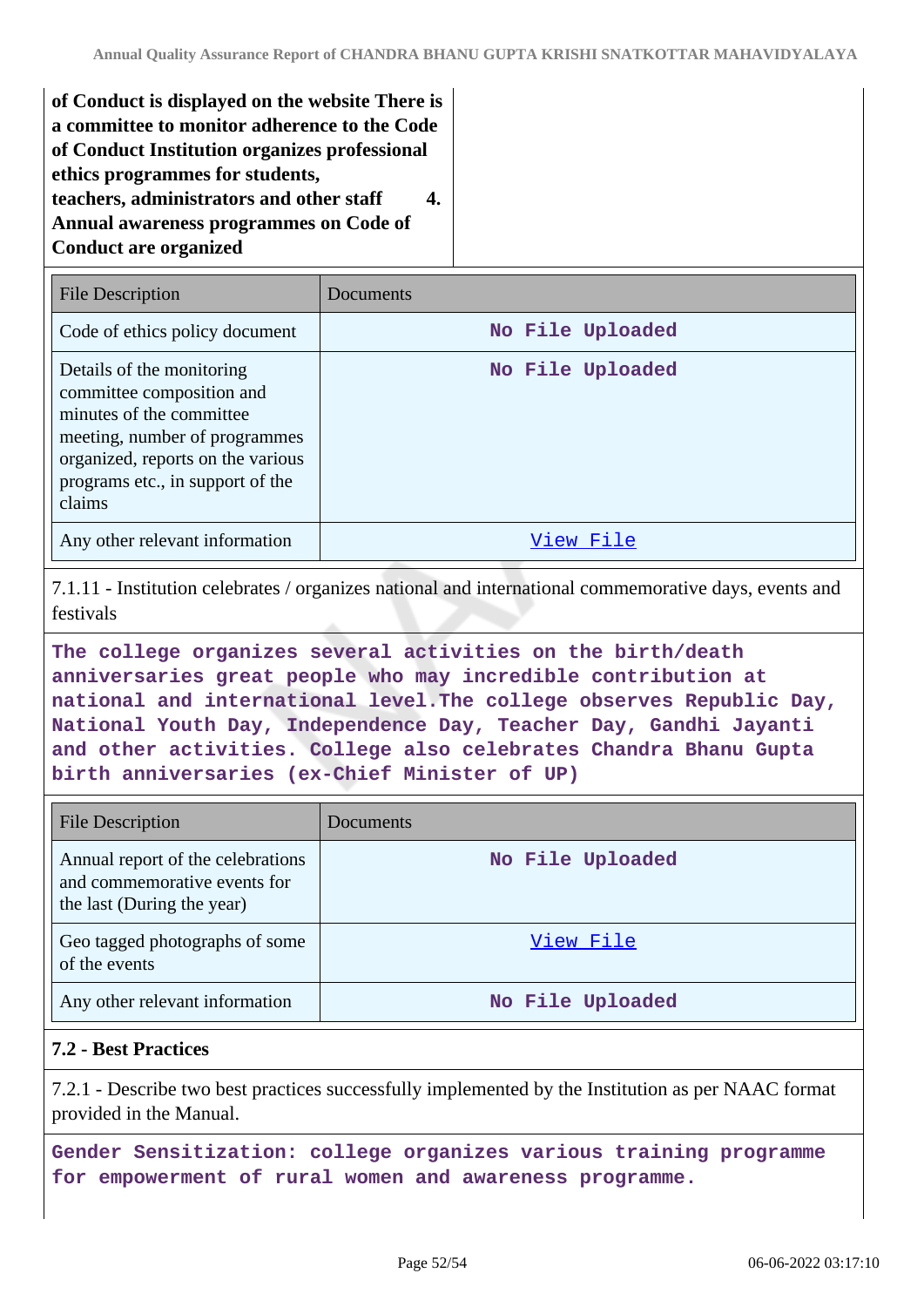**of Conduct is displayed on the website There is a committee to monitor adherence to the Code of Conduct Institution organizes professional ethics programmes for students, teachers, administrators and other staff 4. Annual awareness programmes on Code of Conduct are organized**

| <b>File Description</b>                                                                                                                                                                                | Documents        |
|--------------------------------------------------------------------------------------------------------------------------------------------------------------------------------------------------------|------------------|
| Code of ethics policy document                                                                                                                                                                         | No File Uploaded |
| Details of the monitoring<br>committee composition and<br>minutes of the committee<br>meeting, number of programmes<br>organized, reports on the various<br>programs etc., in support of the<br>claims | No File Uploaded |
| Any other relevant information                                                                                                                                                                         | View File        |

7.1.11 - Institution celebrates / organizes national and international commemorative days, events and festivals

**The college organizes several activities on the birth/death anniversaries great people who may incredible contribution at national and international level.The college observes Republic Day, National Youth Day, Independence Day, Teacher Day, Gandhi Jayanti and other activities. College also celebrates Chandra Bhanu Gupta birth anniversaries (ex-Chief Minister of UP)**

| <b>File Description</b>                                                                         | Documents        |
|-------------------------------------------------------------------------------------------------|------------------|
| Annual report of the celebrations<br>and commemorative events for<br>the last (During the year) | No File Uploaded |
| Geo tagged photographs of some<br>of the events                                                 | View File        |
| Any other relevant information                                                                  | No File Uploaded |

## **7.2 - Best Practices**

7.2.1 - Describe two best practices successfully implemented by the Institution as per NAAC format provided in the Manual.

**Gender Sensitization: college organizes various training programme for empowerment of rural women and awareness programme.**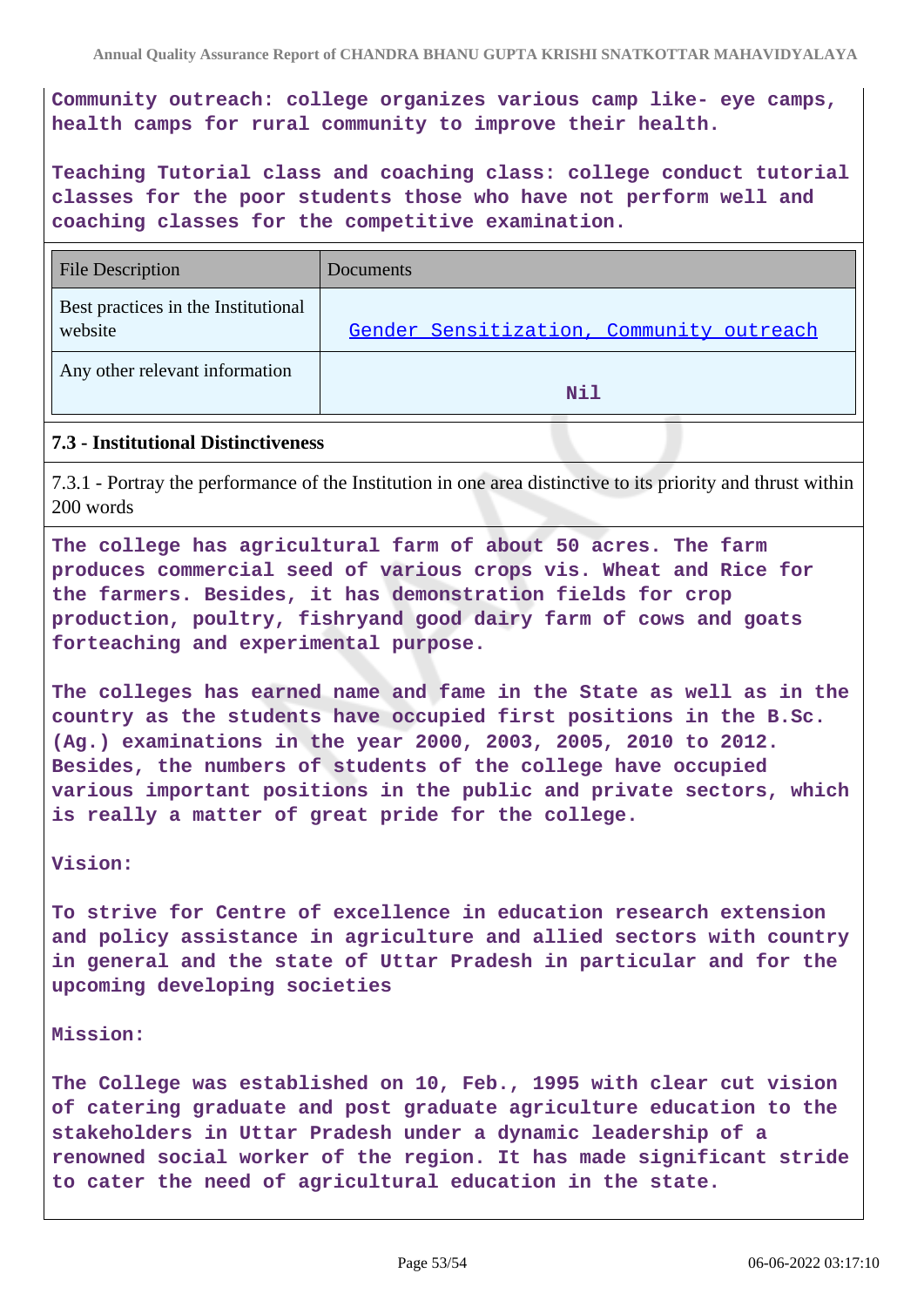**Community outreach: college organizes various camp like- eye camps, health camps for rural community to improve their health.**

**Teaching Tutorial class and coaching class: college conduct tutorial classes for the poor students those who have not perform well and coaching classes for the competitive examination.**

| <b>File Description</b>                        | Documents                                |
|------------------------------------------------|------------------------------------------|
| Best practices in the Institutional<br>website | Gender Sensitization, Community outreach |
| Any other relevant information                 | Nil                                      |

#### **7.3 - Institutional Distinctiveness**

7.3.1 - Portray the performance of the Institution in one area distinctive to its priority and thrust within 200 words

**The college has agricultural farm of about 50 acres. The farm produces commercial seed of various crops vis. Wheat and Rice for the farmers. Besides, it has demonstration fields for crop production, poultry, fishryand good dairy farm of cows and goats forteaching and experimental purpose.**

**The colleges has earned name and fame in the State as well as in the country as the students have occupied first positions in the B.Sc. (Ag.) examinations in the year 2000, 2003, 2005, 2010 to 2012. Besides, the numbers of students of the college have occupied various important positions in the public and private sectors, which is really a matter of great pride for the college.**

**Vision:**

**To strive for Centre of excellence in education research extension and policy assistance in agriculture and allied sectors with country in general and the state of Uttar Pradesh in particular and for the upcoming developing societies**

#### **Mission:**

**The College was established on 10, Feb., 1995 with clear cut vision of catering graduate and post graduate agriculture education to the stakeholders in Uttar Pradesh under a dynamic leadership of a renowned social worker of the region. It has made significant stride to cater the need of agricultural education in the state.**